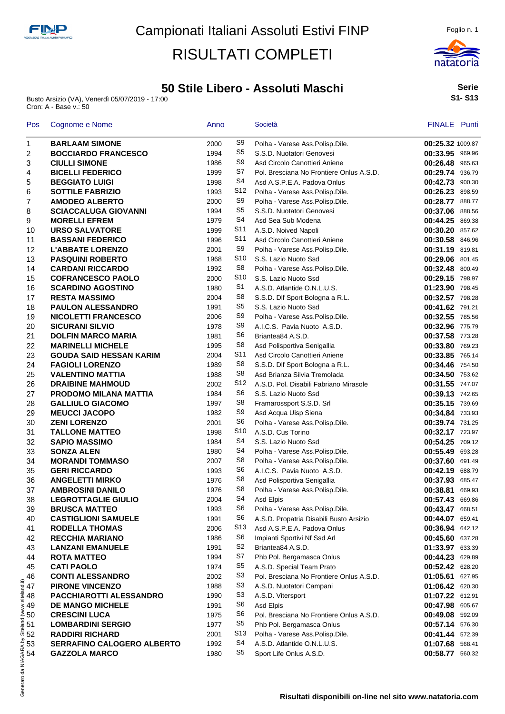### **50 Stile Libero - Assoluti Maschi**

Busto Arsizio (VA), Venerdì 05/07/2019 - 17:00 Cron: A - Base v.: 50



**Serie S1- S13**

| <b>BARLAAM SIMONE</b>                         |      |                 |                                          |                  |
|-----------------------------------------------|------|-----------------|------------------------------------------|------------------|
|                                               | 2000 | S9              | Polha - Varese Ass.Polisp.Dile.          | 00:25.32 1009.87 |
| <b>BOCCIARDO FRANCESCO</b>                    | 1994 | S <sub>5</sub>  | S.S.D. Nuotatori Genovesi                | 00:33.95 969.96  |
| <b>CIULLI SIMONE</b>                          | 1986 | S9              | Asd Circolo Canottieri Aniene            | 00:26.48 965.63  |
| <b>BICELLI FEDERICO</b>                       | 1999 | S7              | Pol. Bresciana No Frontiere Onlus A.S.D. | 00:29.74 936.79  |
| <b>BEGGIATO LUIGI</b>                         | 1998 | S4              | Asd A.S.P.E.A. Padova Onlus              | 00:42.73 900.30  |
| <b>SOTTILE FABRIZIO</b>                       | 1993 | S12             | Polha - Varese Ass.Polisp.Dile.          | 00:26.23 898.59  |
| <b>AMODEO ALBERTO</b>                         | 2000 | S9              | Polha - Varese Ass.Polisp.Dile.          | 00:28.77 888.77  |
| <b>SCIACCALUGA GIOVANNI</b>                   | 1994 | S <sub>5</sub>  | S.S.D. Nuotatori Genovesi                | 00:37.06 888.56  |
|                                               | 1979 | S4              | Asd Sea Sub Modena                       | 00:44.25 869.38  |
| <b>MORELLI EFREM</b><br><b>URSO SALVATORE</b> | 1999 | S <sub>11</sub> | A.S.D. Noived Napoli                     | 00:30.20 857.62  |
|                                               | 1996 | S <sub>11</sub> |                                          |                  |
| <b>BASSANI FEDERICO</b>                       |      | S9              | Asd Circolo Canottieri Aniene            | 00:30.58 846.96  |
| <b>L'ABBATE LORENZO</b>                       | 2001 | S10             | Polha - Varese Ass.Polisp.Dile.          | 00:31.19 819.81  |
| <b>PASQUINI ROBERTO</b>                       | 1968 | S8              | S.S. Lazio Nuoto Ssd                     | 00:29.06 801.45  |
| <b>CARDANI RICCARDO</b>                       | 1992 |                 | Polha - Varese Ass.Polisp.Dile.          | 00:32.48 800.49  |
| <b>COFRANCESCO PAOLO</b>                      | 2000 | S10             | S.S. Lazio Nuoto Ssd                     | 00:29.15 798.97  |
| <b>SCARDINO AGOSTINO</b>                      | 1980 | S1              | A.S.D. Atlantide O.N.L.U.S.              | 01:23.90 798.45  |
| <b>RESTA MASSIMO</b>                          | 2004 | S8              | S.S.D. Dlf Sport Bologna a R.L.          | 00:32.57 798.28  |
| <b>PAULON ALESSANDRO</b>                      | 1991 | S5              | S.S. Lazio Nuoto Ssd                     | 00:41.62 791.21  |
| <b>NICOLETTI FRANCESCO</b>                    | 2006 | S9              | Polha - Varese Ass.Polisp.Dile.          | 00:32.55 785.56  |
| <b>SICURANI SILVIO</b>                        | 1978 | S <sub>9</sub>  | A.I.C.S. Pavia Nuoto A.S.D.              | 00:32.96 775.79  |
| <b>DOLFIN MARCO MARIA</b>                     | 1981 | S <sub>6</sub>  | Briantea84 A.S.D.                        | 00:37.58 773.28  |
| <b>MARINELLI MICHELE</b>                      | 1995 | S8              | Asd Polisportiva Senigallia              | 00:33.80 769.23  |
| <b>GOUDA SAID HESSAN KARIM</b>                | 2004 | S11             | Asd Circolo Canottieri Aniene            | 00:33.85 765.14  |
| <b>FAGIOLI LORENZO</b>                        | 1989 | S8              | S.S.D. Dlf Sport Bologna a R.L.          | 00:34.46 754.50  |
| <b>VALENTINO MATTIA</b>                       | 1988 | S8              | Asd Brianza Silvia Tremolada             | 00:34.50 753.62  |
| <b>DRAIBINE MAHMOUD</b>                       | 2002 | S12             | A.S.D. Pol. Disabili Fabriano Mirasole   | 00:31.55 747.07  |
| <b>PRODOMO MILANA MATTIA</b>                  | 1984 | S6              | S.S. Lazio Nuoto Ssd                     | 00:39.13 742.65  |
| <b>GALLIULO GIACOMO</b>                       | 1997 | S <sub>8</sub>  | Framarossport S.S.D. Srl                 | 00:35.15 739.69  |
| <b>MEUCCI JACOPO</b>                          | 1982 | S9              | Asd Acqua Uisp Siena                     | 00:34.84 733.93  |
| <b>ZENI LORENZO</b>                           | 2001 | S <sub>6</sub>  | Polha - Varese Ass.Polisp.Dile.          | 00:39.74 731.25  |
| <b>TALLONE MATTEO</b>                         | 1998 | S10             | A.S.D. Cus Torino                        | 00:32.17 723.97  |
| <b>SAPIO MASSIMO</b>                          | 1984 | S4              | S.S. Lazio Nuoto Ssd                     | 00:54.25 709.12  |
| <b>SONZA ALEN</b>                             | 1980 | S <sub>4</sub>  | Polha - Varese Ass.Polisp.Dile.          | 00:55.49 693.28  |
| <b>MORANDI TOMMASO</b>                        | 2007 | S8              | Polha - Varese Ass.Polisp.Dile.          | 00:37.60 691.49  |
| <b>GERI RICCARDO</b>                          | 1993 | S <sub>6</sub>  | A.I.C.S. Pavia Nuoto A.S.D.              | 00:42.19 688.79  |
| <b>ANGELETTI MIRKO</b>                        | 1976 | S8              | Asd Polisportiva Senigallia              | 00:37.93 685.47  |
| <b>AMBROSINI DANILO</b>                       | 1976 | S <sub>8</sub>  | Polha - Varese Ass.Polisp.Dile.          | 00:38.81 669.93  |
| <b>LEGROTTAGLIE GIULIO</b>                    | 2004 | S <sub>4</sub>  | Asd Elpis                                | 00:57.43 669.86  |
| <b>BRUSCA MATTEO</b>                          | 1993 | S <sub>6</sub>  | Polha - Varese Ass.Polisp.Dile.          | 00:43.47 668.51  |
| <b>CASTIGLIONI SAMUELE</b>                    | 1991 | S <sub>6</sub>  | A.S.D. Propatria Disabili Busto Arsizio  | 00:44.07 659.41  |
| <b>RODELLA THOMAS</b>                         | 2006 | S <sub>13</sub> | Asd A.S.P.E.A. Padova Onlus              | 00:36.94 642.12  |
| <b>RECCHIA MARIANO</b>                        | 1986 | S6              | Impianti Sportivi Nf Ssd Arl             | 00:45.60 637.28  |
| <b>LANZANI EMANUELE</b>                       | 1991 | S <sub>2</sub>  | Briantea84 A.S.D.                        | 01:33.97 633.39  |
| <b>ROTA MATTEO</b>                            | 1994 | S7              | Phb Pol. Bergamasca Onlus                | 00:44.23 629.89  |
| <b>CATI PAOLO</b>                             | 1974 | S <sub>5</sub>  | A.S.D. Special Team Prato                | 00:52.42 628.20  |
| <b>CONTI ALESSANDRO</b>                       | 2002 | S <sub>3</sub>  | Pol. Bresciana No Frontiere Onlus A.S.D. | 01:05.61 627.95  |
|                                               |      | S <sub>3</sub>  |                                          |                  |
| <b>PIRONE VINCENZO</b>                        | 1988 | S <sub>3</sub>  | A.S.D. Nuotatori Campani                 | 01:06.42 620.30  |
| PACCHIAROTTI ALESSANDRO                       | 1990 |                 | A.S.D. Vitersport                        | 01:07.22 612.91  |
| <b>DE MANGO MICHELE</b>                       | 1991 | S <sub>6</sub>  | Asd Elpis                                | 00:47.98 605.67  |
| <b>CRESCINI LUCA</b>                          | 1975 | S6              | Pol. Bresciana No Frontiere Onlus A.S.D. | 00:49.08 592.09  |
| <b>LOMBARDINI SERGIO</b>                      | 1977 | S5              | Phb Pol. Bergamasca Onlus                | 00:57.14 576.30  |
| <b>RADDIRI RICHARD</b>                        | 2001 | S13             | Polha - Varese Ass.Polisp.Dile.          | 00:41.44 572.39  |
| <b>SERRAFINO CALOGERO ALBERTO</b>             | 1992 | S4              | A.S.D. Atlantide O.N.L.U.S.              | 01:07.68 568.41  |
| <b>GAZZOLA MARCO</b>                          | 1980 | S5              | Sport Life Onlus A.S.D.                  | 00:58.77 560.32  |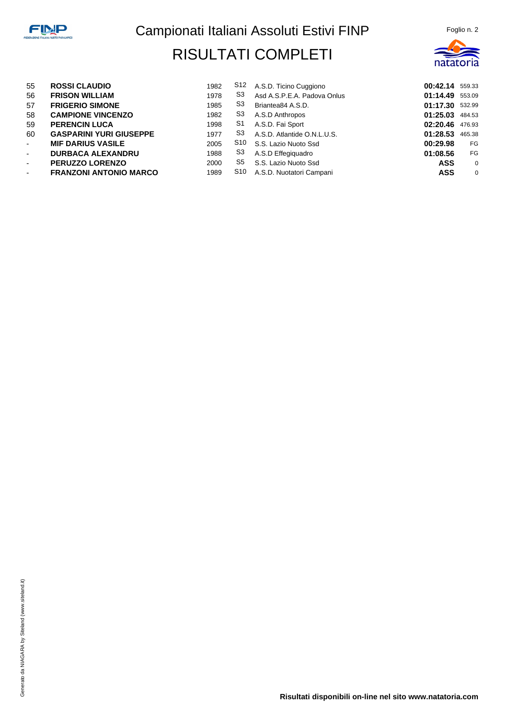

| 55             | <b>ROSSI CLAUDIO</b>           | 1982 | S12 | A.S.D. Ticino Cuggiono      | 00:42.14 559.33 |                |
|----------------|--------------------------------|------|-----|-----------------------------|-----------------|----------------|
| 56             | <b>FRISON WILLIAM</b>          | 1978 | S3  | Asd A.S.P.E.A. Padova Onlus | 01:14.49 553.09 |                |
| 57             | <b>FRIGERIO SIMONE</b>         | 1985 | S3  | Briantea84 A.S.D.           | 01:17.30 532.99 |                |
| 58             | <b>CAMPIONE VINCENZO</b>       | 1982 | S3  | A.S.D Anthropos             | 01:25.03 484.53 |                |
| 59             | <b>PERENCIN LUCA</b>           | 1998 | S1  | A.S.D. Fai Sport            | 02:20.46 476.93 |                |
| 60             | <b>GASPARINI YURI GIUSEPPE</b> | 1977 | S3  | A.S.D. Atlantide O.N.L.U.S. | 01:28.53 465.38 |                |
| $\sim$         | <b>MIF DARIUS VASILE</b>       | 2005 | S10 | S.S. Lazio Nuoto Ssd        | 00:29.98        | FG             |
| $\sim$         | <b>DURBACA ALEXANDRU</b>       | 1988 | S3  | A.S.D Effegiguadro          | 01:08.56        | FG             |
| $\sim$         | <b>PERUZZO LORENZO</b>         | 2000 | S5  | S.S. Lazio Nuoto Ssd        | <b>ASS</b>      | $\overline{0}$ |
| $\blacksquare$ | <b>FRANZONI ANTONIO MARCO</b>  | 1989 | S10 | A.S.D. Nuotatori Campani    | <b>ASS</b>      | $\overline{0}$ |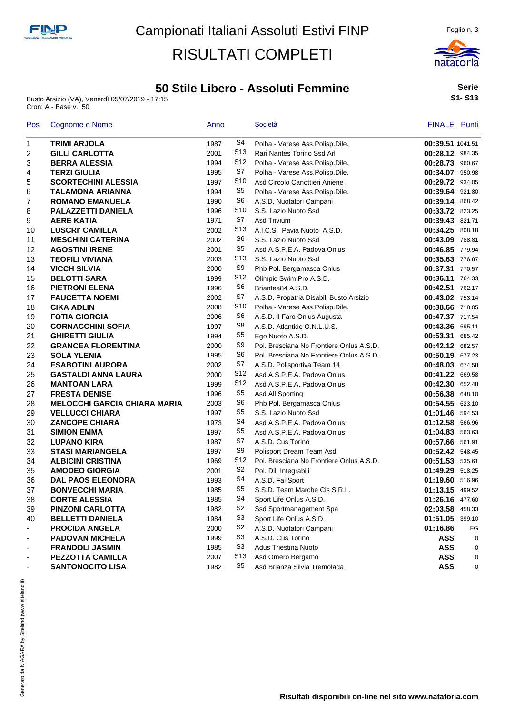### **50 Stile Libero - Assoluti Femmine**

Busto Arsizio (VA), Venerdì 05/07/2019 - 17:15 Cron: A - Base v.: 50



**Serie S1- S13**

| Pos                      | Cognome e Nome                      | Anno |                 | Società                                  | FINALE Punti     |    |
|--------------------------|-------------------------------------|------|-----------------|------------------------------------------|------------------|----|
| 1                        | <b>TRIMI ARJOLA</b>                 | 1987 | S <sub>4</sub>  | Polha - Varese Ass.Polisp.Dile.          | 00:39.51 1041.51 |    |
| 2                        | <b>GILLI CARLOTTA</b>               | 2001 | S <sub>13</sub> | Rari Nantes Torino Ssd Arl               | 00:28.12 984.35  |    |
| 3                        | <b>BERRA ALESSIA</b>                | 1994 | S12             | Polha - Varese Ass.Polisp.Dile.          | 00:28.73 960.67  |    |
| 4                        | <b>TERZI GIULIA</b>                 | 1995 | S7              | Polha - Varese Ass.Polisp.Dile.          | 00:34.07 950.98  |    |
| 5                        | <b>SCORTECHINI ALESSIA</b>          | 1997 | S <sub>10</sub> | Asd Circolo Canottieri Aniene            | 00:29.72 934.05  |    |
| 6                        | <b>TALAMONA ARIANNA</b>             | 1994 | S5              | Polha - Varese Ass. Polisp. Dile.        | 00:39.64 921.80  |    |
| 7                        | <b>ROMANO EMANUELA</b>              | 1990 | S6              | A.S.D. Nuotatori Campani                 | 00:39.14 868.42  |    |
| 8                        | PALAZZETTI DANIELA                  | 1996 | S <sub>10</sub> | S.S. Lazio Nuoto Ssd                     | 00:33.72 823.25  |    |
| 9                        | <b>AERE KATIA</b>                   | 1971 | S7              | Asd Trivium                              | 00:39.43 821.71  |    |
| 10                       | <b>LUSCRI' CAMILLA</b>              | 2002 | S <sub>13</sub> | A.I.C.S. Pavia Nuoto A.S.D.              | 00:34.25 808.18  |    |
| 11                       | <b>MESCHINI CATERINA</b>            | 2002 | S6              | S.S. Lazio Nuoto Ssd                     | 00:43.09 788.81  |    |
| 12                       | <b>AGOSTINI IRENE</b>               | 2001 | S <sub>5</sub>  | Asd A.S.P.E.A. Padova Onlus              | 00:46.85 779.94  |    |
| 13                       | <b>TEOFILI VIVIANA</b>              | 2003 | S13             | S.S. Lazio Nuoto Ssd                     | 00:35.63 776.87  |    |
| 14                       | <b>VICCH SILVIA</b>                 | 2000 | S <sub>9</sub>  | Phb Pol. Bergamasca Onlus                | 00:37.31 770.57  |    |
| 15                       | <b>BELOTTI SARA</b>                 | 1999 | S <sub>12</sub> | Olimpic Swim Pro A.S.D.                  | 00:36.11 764.33  |    |
| 16                       | <b>PIETRONI ELENA</b>               | 1996 | S <sub>6</sub>  | Briantea84 A.S.D.                        | 00:42.51 762.17  |    |
| 17                       | <b>FAUCETTA NOEMI</b>               | 2002 | S7              | A.S.D. Propatria Disabili Busto Arsizio  | 00:43.02 753.14  |    |
| 18                       | <b>CIKA ADLIN</b>                   | 2008 | S10             | Polha - Varese Ass.Polisp.Dile.          | 00:38.66 718.05  |    |
| 19                       | <b>FOTIA GIORGIA</b>                | 2006 | S6              | A.S.D. Il Faro Onlus Augusta             | 00:47.37 717.54  |    |
| 20                       | <b>CORNACCHINI SOFIA</b>            | 1997 | S8              | A.S.D. Atlantide O.N.L.U.S.              | 00:43.36 695.11  |    |
| 21                       | <b>GHIRETTI GIULIA</b>              | 1994 | S <sub>5</sub>  | Ego Nuoto A.S.D.                         | 00:53.31 685.42  |    |
| 22                       | <b>GRANCEA FLORENTINA</b>           | 2000 | S9              | Pol. Bresciana No Frontiere Onlus A.S.D. | 00:42.12 682.57  |    |
| 23                       | <b>SOLA YLENIA</b>                  | 1995 | S <sub>6</sub>  | Pol. Bresciana No Frontiere Onlus A.S.D. | 00:50.19 677.23  |    |
| 24                       | <b>ESABOTINI AURORA</b>             | 2002 | S7              | A.S.D. Polisportiva Team 14              | 00:48.03 674.58  |    |
| 25                       | <b>GASTALDI ANNA LAURA</b>          | 2000 | S <sub>12</sub> | Asd A.S.P.E.A. Padova Onlus              | 00:41.22 669.58  |    |
| 26                       | <b>MANTOAN LARA</b>                 | 1999 | S <sub>12</sub> | Asd A.S.P.E.A. Padova Onlus              | 00:42.30 652.48  |    |
| 27                       | <b>FRESTA DENISE</b>                | 1996 | S <sub>5</sub>  | Asd All Sporting                         | 00:56.38 648.10  |    |
| 28                       | <b>MELOCCHI GARCIA CHIARA MARIA</b> | 2003 | S <sub>6</sub>  | Phb Pol. Bergamasca Onlus                | 00:54.55 623.10  |    |
| 29                       | <b>VELLUCCI CHIARA</b>              | 1997 | S5              | S.S. Lazio Nuoto Ssd                     | 01:01.46 594.53  |    |
| 30                       | <b>ZANCOPE CHIARA</b>               | 1973 | S <sub>4</sub>  | Asd A.S.P.E.A. Padova Onlus              | 01:12.58 566.96  |    |
| 31                       | <b>SIMION EMMA</b>                  | 1997 | S5              | Asd A.S.P.E.A. Padova Onlus              | 01:04.83 563.63  |    |
| 32                       | <b>LUPANO KIRA</b>                  | 1987 | S7              | A.S.D. Cus Torino                        | 00:57.66 561.91  |    |
| 33                       | <b>STASI MARIANGELA</b>             | 1997 | S <sub>9</sub>  | Polisport Dream Team Asd                 | 00:52.42 548.45  |    |
| 34                       | <b>ALBICINI CRISTINA</b>            | 1969 | S12             | Pol. Bresciana No Frontiere Onlus A.S.D. | 00:51.53 535.61  |    |
| 35                       | <b>AMODEO GIORGIA</b>               | 2001 | S <sub>2</sub>  | Pol. Dil. Integrabili                    | 01:49.29 518.25  |    |
| 36                       | <b>DAL PAOS ELEONORA</b>            | 1993 | S4              | A.S.D. Fai Sport                         | 01:19.60 516.96  |    |
| 37                       | <b>BONVECCHI MARIA</b>              | 1985 | S <sub>5</sub>  | S.S.D. Team Marche Cis S.R.L.            | 01:13.15 499.52  |    |
| 38                       | <b>CORTE ALESSIA</b>                | 1985 | S4              | Sport Life Onlus A.S.D.                  | 01:26.16 477.60  |    |
| 39                       | <b>PINZONI CARLOTTA</b>             | 1982 | S2              | Ssd Sportmanagement Spa                  | 02:03.58 458.33  |    |
| 40                       | <b>BELLETTI DANIELA</b>             | 1984 | S3              | Sport Life Onlus A.S.D.                  | 01:51.05 399.10  |    |
| $\overline{\phantom{a}}$ | <b>PROCIDA ANGELA</b>               | 2000 | S <sub>2</sub>  | A.S.D. Nuotatori Campani                 | 01:16.86         | FG |
| $\overline{\phantom{a}}$ | <b>PADOVAN MICHELA</b>              | 1999 | S <sub>3</sub>  | A.S.D. Cus Torino                        | <b>ASS</b>       | 0  |
|                          | <b>FRANDOLI JASMIN</b>              | 1985 | S <sub>3</sub>  | <b>Adus Triestina Nuoto</b>              | <b>ASS</b>       | 0  |
|                          | PEZZOTTA CAMILLA                    | 2007 | S <sub>13</sub> | Asd Omero Bergamo                        | <b>ASS</b>       | 0  |
|                          | <b>SANTONOCITO LISA</b>             | 1982 | S5              | Asd Brianza Silvia Tremolada             | <b>ASS</b>       | 0  |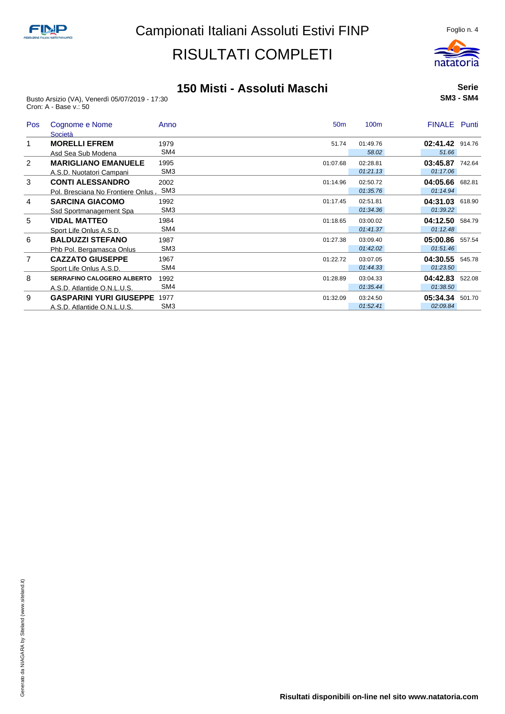

#### **150 Misti - Assoluti Maschi**

Busto Arsizio (VA), Venerdì 05/07/2019 - 17:30 Cron: A - Base v.: 50

|  | <b>Serie</b>     |
|--|------------------|
|  | <b>SM3 - SM4</b> |

| <b>Pos</b>     | Cognome e Nome<br>Società          | Anno            | 50 <sub>m</sub> | 100 <sub>m</sub> | <b>FINALE</b>   | Punti  |
|----------------|------------------------------------|-----------------|-----------------|------------------|-----------------|--------|
|                | <b>MORELLI EFREM</b>               | 1979            | 51.74           | 01:49.76         | 02:41.42 914.76 |        |
|                | Asd Sea Sub Modena                 | SM4             |                 | 58.02            | 51.66           |        |
| $\overline{2}$ | <b>MARIGLIANO EMANUELE</b>         | 1995            | 01:07.68        | 02:28.81         | 03:45.87 742.64 |        |
|                | A.S.D. Nuotatori Campani           | SM <sub>3</sub> |                 | 01:21.13         | 01:17.06        |        |
| 3              | <b>CONTI ALESSANDRO</b>            | 2002            | 01:14.96        | 02:50.72         | 04:05.66        | 682.81 |
|                | Pol. Bresciana No Frontiere Onlus, | SM <sub>3</sub> |                 | 01:35.76         | 01:14.94        |        |
| 4              | <b>SARCINA GIACOMO</b>             | 1992            | 01:17.45        | 02:51.81         | 04:31.03        | 618.90 |
|                | Ssd Sportmanagement Spa            | SM <sub>3</sub> |                 | 01:34.36         | 01:39.22        |        |
| 5              | <b>VIDAL MATTEO</b>                | 1984            | 01:18.65        | 03:00.02         | 04:12.50        | 584.79 |
|                | Sport Life Onlus A.S.D.            | SM4             |                 | 01:41.37         | 01:12.48        |        |
| 6              | <b>BALDUZZI STEFANO</b>            | 1987            | 01:27.38        | 03:09.40         | 05:00.86        | 557.54 |
|                | Phb Pol. Bergamasca Onlus          | SM <sub>3</sub> |                 | 01:42.02         | 01:51.46        |        |
| $\overline{7}$ | <b>CAZZATO GIUSEPPE</b>            | 1967            | 01:22.72        | 03:07.05         | 04:30.55        | 545.78 |
|                | Sport Life Onlus A.S.D.            | SM4             |                 | 01:44.33         | 01:23.50        |        |
| 8              | <b>SERRAFINO CALOGERO ALBERTO</b>  | 1992            | 01:28.89        | 03:04.33         | 04:42.83        | 522.08 |
|                | A.S.D. Atlantide O.N.L.U.S.        | SM4             |                 | 01:35.44         | 01:38.50        |        |
| 9              | <b>GASPARINI YURI GIUSEPPE</b>     | 1977            | 01:32.09        | 03:24.50         | 05:34.34        | 501.70 |
|                | A.S.D. Atlantide O.N.L.U.S.        | SM <sub>3</sub> |                 | 01:52.41         | 02:09.84        |        |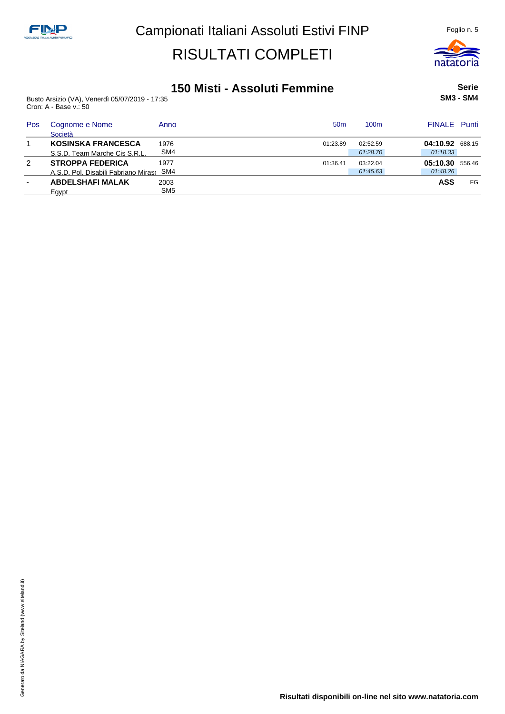

### **150 Misti - Assoluti Femmine**

Busto Arsizio (VA), Venerdì 05/07/2019 - 17:35 Cron: A - Base v.: 50

**Serie SM3 - SM4**

| Pos           | Cognome e Nome<br>Società            | Anno            | 50 <sub>m</sub> | 100m     | <b>FINALE</b> Punti |    |
|---------------|--------------------------------------|-----------------|-----------------|----------|---------------------|----|
|               | <b>KOSINSKA FRANCESCA</b>            | 1976            | 01:23.89        | 02:52.59 | 04:10.92 688.15     |    |
|               | S.S.D. Team Marche Cis S.R.L.        | SM4             |                 | 01:28.70 | 01:18.33            |    |
| $\mathcal{P}$ | <b>STROPPA FEDERICA</b>              | 1977            | 01:36.41        | 03:22.04 | 05:10.30 556.46     |    |
|               | A.S.D. Pol. Disabili Fabriano Miraso | SM4             |                 | 01:45.63 | 01:48.26            |    |
| $\sim$        | <b>ABDELSHAFI MALAK</b>              | 2003            |                 |          | <b>ASS</b>          | FG |
|               | Eavpt                                | SM <sub>5</sub> |                 |          |                     |    |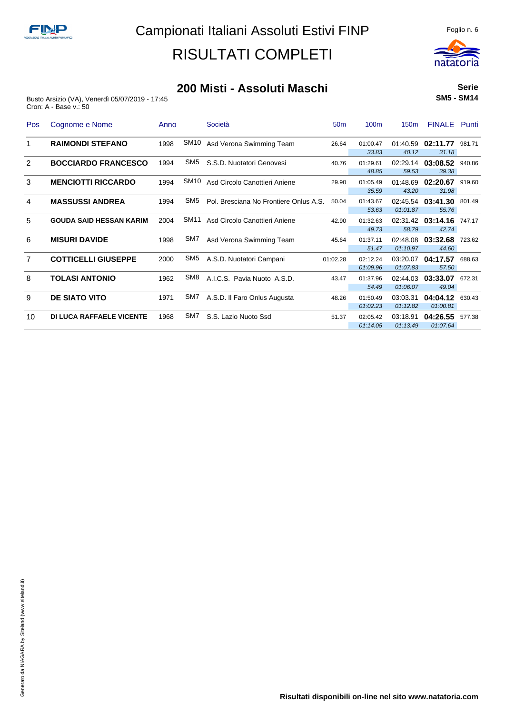

#### **200 Misti - Assoluti Maschi**

Busto Arsizio (VA), Venerdì 05/07/2019 - 17:45 Cron: A - Base v.: 50

**Serie SM5 - SM14**

| Pos            | Cognome e Nome                  | Anno |                  | Società                                | 50 <sub>m</sub> | 100 <sub>m</sub>     | 150 <sub>m</sub>     | <b>FINALE</b> Punti        |        |
|----------------|---------------------------------|------|------------------|----------------------------------------|-----------------|----------------------|----------------------|----------------------------|--------|
| 1              | <b>RAIMONDI STEFANO</b>         | 1998 | SM <sub>10</sub> | Asd Verona Swimming Team               | 26.64           | 01:00.47<br>33.83    | 01:40.59<br>40.12    | 02:11.77<br>31.18          | 981.71 |
| 2              | <b>BOCCIARDO FRANCESCO</b>      | 1994 | SM5              | S.S.D. Nuotatori Genovesi              | 40.76           | 01:29.61<br>48.85    | 59.53                | 02:29.14 03:08.52<br>39.38 | 940.86 |
| 3              | <b>MENCIOTTI RICCARDO</b>       | 1994 | SM <sub>10</sub> | Asd Circolo Canottieri Aniene          | 29.90           | 01:05.49<br>35.59    | 01:48.69<br>43.20    | 02:20.67<br>31.98          | 919.60 |
| 4              | <b>MASSUSSI ANDREA</b>          | 1994 | SM <sub>5</sub>  | Pol. Bresciana No Frontiere Onlus A.S. | 50.04           | 01:43.67<br>53.63    | 01:01.87             | 02:45.54 03:41.30<br>55.76 | 801.49 |
| 5              | <b>GOUDA SAID HESSAN KARIM</b>  | 2004 | SM <sub>11</sub> | Asd Circolo Canottieri Aniene          | 42.90           | 01:32.63<br>49.73    | 02:31.42<br>58.79    | 03:14.16<br>42.74          | 747.17 |
| 6              | <b>MISURI DAVIDE</b>            | 1998 | SM7              | Asd Verona Swimming Team               | 45.64           | 01:37.11<br>51.47    | 02:48.08<br>01:10.97 | 03:32.68<br>44.60          | 723.62 |
| $\overline{7}$ | <b>COTTICELLI GIUSEPPE</b>      | 2000 | SM <sub>5</sub>  | A.S.D. Nuotatori Campani               | 01:02.28        | 02:12.24<br>01:09.96 | 03:20.07<br>01:07.83 | 04:17.57<br>57.50          | 688.63 |
| 8              | <b>TOLASI ANTONIO</b>           | 1962 | SM <sub>8</sub>  | A.I.C.S. Pavia Nuoto A.S.D.            | 43.47           | 01:37.96<br>54.49    | 02:44.03<br>01:06.07 | 03:33.07<br>49.04          | 672.31 |
| 9              | <b>DE SIATO VITO</b>            | 1971 | SM7              | A.S.D. Il Faro Onlus Augusta           | 48.26           | 01:50.49<br>01:02.23 | 03:03.31<br>01:12.82 | 04:04.12<br>01:00.81       | 630.43 |
| 10             | <b>DI LUCA RAFFAELE VICENTE</b> | 1968 | SM7              | S.S. Lazio Nuoto Ssd                   | 51.37           | 02:05.42<br>01:14.05 | 03:18.91<br>01:13.49 | 04:26.55<br>01:07.64       | 577.38 |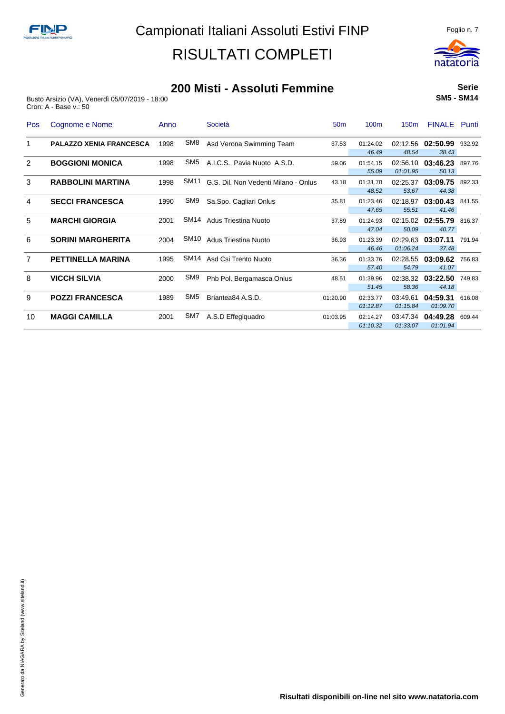

#### **200 Misti - Assoluti Femmine**

Busto Arsizio (VA), Venerdì 05/07/2019 - 18:00 Cron: A - Base v.: 50

**Serie SM5 - SM14**

| Pos            | Cognome e Nome                 | Anno |                  | Società                              | 50 <sub>m</sub> | 100 <sub>m</sub>     | 150 <sub>m</sub>     | <b>FINALE</b> Punti               |        |
|----------------|--------------------------------|------|------------------|--------------------------------------|-----------------|----------------------|----------------------|-----------------------------------|--------|
|                | <b>PALAZZO XENIA FRANCESCA</b> | 1998 | SM8              | Asd Verona Swimming Team             | 37.53           | 01:24.02<br>46.49    | 48.54                | 02:12.56 02:50.99 932.92<br>38.43 |        |
| 2              | <b>BOGGIONI MONICA</b>         | 1998 | SM <sub>5</sub>  | A.I.C.S. Pavia Nuoto A.S.D.          | 59.06           | 01:54.15<br>55.09    | 02:56.10<br>01:01.95 | 03:46.23<br>50.13                 | 897.76 |
| 3              | <b>RABBOLINI MARTINA</b>       | 1998 | SM11             | G.S. Dil. Non Vedenti Milano - Onlus | 43.18           | 01:31.70<br>48.52    | 02:25.37<br>53.67    | 03:09.75<br>44.38                 | 892.33 |
| 4              | <b>SECCI FRANCESCA</b>         | 1990 | SM9              | Sa.Spo. Cagliari Onlus               | 35.81           | 01:23.46<br>47.65    | 02:18.97<br>55.51    | 03:00.43 841.55<br>41.46          |        |
| 5              | <b>MARCHI GIORGIA</b>          | 2001 | SM <sub>14</sub> | <b>Adus Triestina Nuoto</b>          | 37.89           | 01:24.93<br>47.04    | 02:15.02<br>50.09    | 02:55.79<br>40.77                 | 816.37 |
| 6              | <b>SORINI MARGHERITA</b>       | 2004 | SM <sub>10</sub> | Adus Triestina Nuoto                 | 36.93           | 01:23.39<br>46.46    | 01:06.24             | 02:29.63 03:07.11<br>37.48        | 791.94 |
| $\overline{7}$ | <b>PETTINELLA MARINA</b>       | 1995 | SM14             | Asd Csi Trento Nuoto                 | 36.36           | 01:33.76<br>57.40    | 54.79                | 02:28.55 03:09.62<br>41.07        | 756.83 |
| 8              | <b>VICCH SILVIA</b>            | 2000 | SM <sub>9</sub>  | Phb Pol. Bergamasca Onlus            | 48.51           | 01:39.96<br>51.45    | 02:38.32<br>58.36    | 03:22.50<br>44.18                 | 749.83 |
| 9              | <b>POZZI FRANCESCA</b>         | 1989 | SM <sub>5</sub>  | Briantea84 A.S.D.                    | 01:20.90        | 02:33.77<br>01:12.87 | 03:49.61<br>01:15.84 | 04:59.31<br>01:09.70              | 616.08 |
| 10             | <b>MAGGI CAMILLA</b>           | 2001 | SM7              | A.S.D Effegiquadro                   | 01:03.95        | 02:14.27<br>01:10.32 | 01:33.07             | 03:47.34 04:49.28<br>01:01.94     | 609.44 |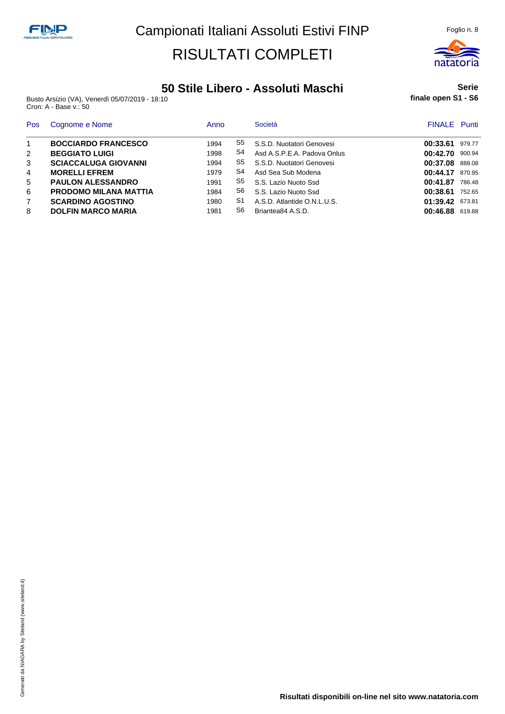

### **50 Stile Libero - Assoluti Maschi**

Busto Arsizio (VA), Venerdì 05/07/2019 - 18:10 Cron: A - Base v.: 50

**Serie finale open S1 - S6**

| Pos            | Cognome e Nome               | Anno |    | Società                     | <b>FINALE</b> Punti |        |
|----------------|------------------------------|------|----|-----------------------------|---------------------|--------|
|                | <b>BOCCIARDO FRANCESCO</b>   | 1994 | S5 | S.S.D. Nuotatori Genovesi   | 00:33.61            | 979.77 |
| 2              | <b>BEGGIATO LUIGI</b>        | 1998 | S4 | Asd A.S.P.E.A. Padova Onlus | 00:42.70            | 900.94 |
| 3              | <b>SCIACCALUGA GIOVANNI</b>  | 1994 | S5 | S.S.D. Nuotatori Genovesi   | 00:37.08 888.08     |        |
| 4              | <b>MORELLI EFREM</b>         | 1979 | S4 | Asd Sea Sub Modena          | 00:44.17            | 870.95 |
| 5              | <b>PAULON ALESSANDRO</b>     | 1991 | S5 | S.S. Lazio Nuoto Ssd        | 00:41.87            | 786.48 |
| 6              | <b>PRODOMO MILANA MATTIA</b> | 1984 | S6 | S.S. Lazio Nuoto Ssd        | 00:38.61            | 752.65 |
| $\overline{7}$ | <b>SCARDINO AGOSTINO</b>     | 1980 | S1 | A.S.D. Atlantide O.N.L.U.S. | 01:39.42 673.81     |        |
| 8              | <b>DOLFIN MARCO MARIA</b>    | 1981 | S6 | Briantea84 A.S.D.           | 00:46.88 619.88     |        |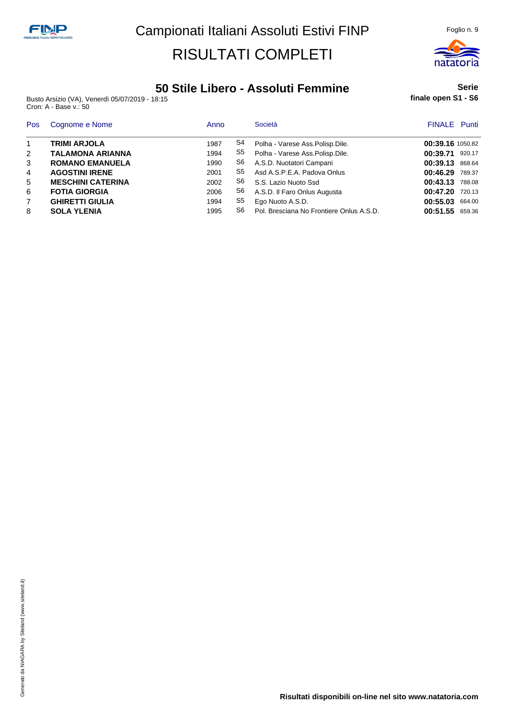

### **50 Stile Libero - Assoluti Femmine**

Busto Arsizio (VA), Venerdì 05/07/2019 - 18:15 Cron: A - Base v.: 50

#### **Serie finale open S1 - S6**

| Pos            | Cognome e Nome           | Anno |    | Società                                  | <b>FINALE</b> Punti |  |
|----------------|--------------------------|------|----|------------------------------------------|---------------------|--|
| $\overline{1}$ | <b>TRIMI ARJOLA</b>      | 1987 | S4 | Polha - Varese Ass. Polisp. Dile.        | 00:39.16 1050.82    |  |
| 2              | <b>TALAMONA ARIANNA</b>  | 1994 | S5 | Polha - Varese Ass.Polisp.Dile.          | 00:39.71<br>920.17  |  |
| 3              | <b>ROMANO EMANUELA</b>   | 1990 | S6 | A.S.D. Nuotatori Campani                 | 00:39.13<br>868.64  |  |
| $\overline{4}$ | <b>AGOSTINI IRENE</b>    | 2001 | S5 | Asd A.S.P.E.A. Padova Onlus              | 00:46.29<br>789.37  |  |
| 5              | <b>MESCHINI CATERINA</b> | 2002 | S6 | S.S. Lazio Nuoto Ssd                     | 00:43.13<br>788.08  |  |
| 6              | <b>FOTIA GIORGIA</b>     | 2006 | S6 | A.S.D. Il Faro Onlus Augusta             | 00:47.20<br>720.13  |  |
| 7              | <b>GHIRETTI GIULIA</b>   | 1994 | S5 | Ego Nuoto A.S.D.                         | 00:55.03<br>664.00  |  |
| 8              | <b>SOLA YLENIA</b>       | 1995 | S6 | Pol. Bresciana No Frontiere Onlus A.S.D. | 00:51.55<br>659.36  |  |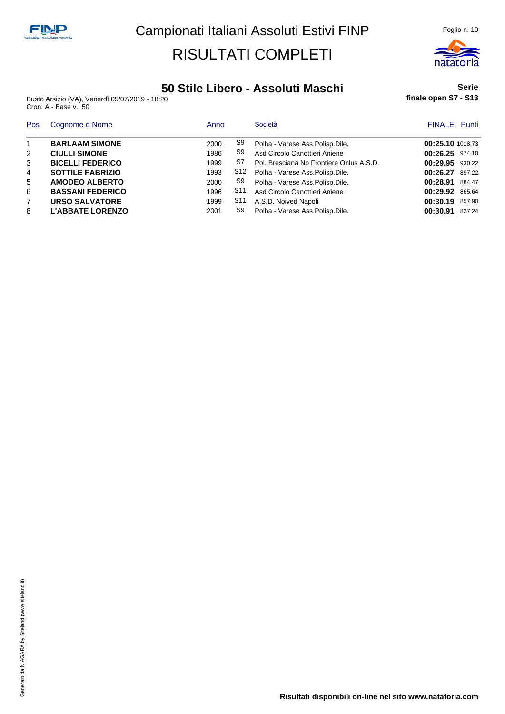Busto Arsizio (VA), Venerdì 05/07/2019 - 18:20 Cron: A - Base v.: 50

#### **50 Stile Libero - Assoluti Maschi**

Pos Cognome e Nome **Anno** Società **Anno Società** Anno Società e Anno Società e Anno Società e Anno 1992 e FINALE Punti **BARLAAM SIMONE** 2000 S9 Polha - Varese Ass.Polisp.Dile. **00:25.10** 1018.73 **CIULLI SIMONE** 1986 S9 Asd Circolo Canottieri Aniene **00:26.25** 974.10 **BICELLI FEDERICO** 1999 S7 Pol. Bresciana No Frontiere Onlus A.S.D. **00:29.95** 930.22 **SOTTILE FABRIZIO** 1993 S12 Polha - Varese Ass.Polisp.Dile. **00:26.27** 897.22 **AMODEO ALBERTO** 2000 S9 Polha - Varese Ass.Polisp.Dile. **00:28.91** 884.47 **BASSANI FEDERICO** 1996 S11 Asd Circolo Canottieri Aniene **00:29.92** 865.64 **URSO SALVATORE** 1999 S11 A.S.D. Noived Napoli **00:30.19** 857.90 **L'ABBATE LORENZO** 2001 S9 Polha - Varese Ass.Polisp.Dile. **00:30.91** 827.24



**Serie**

**finale open S7 - S13**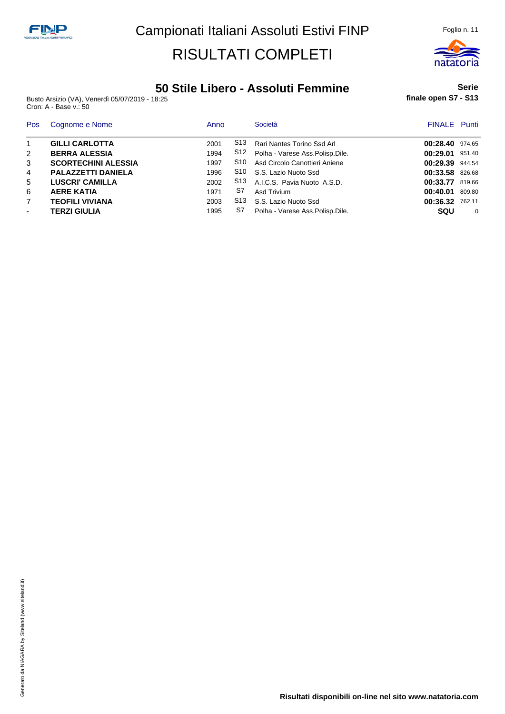

### **50 Stile Libero - Assoluti Femmine**

Busto Arsizio (VA), Venerdì 05/07/2019 - 18:25 Cron: A - Base v.: 50

**Serie finale open S7 - S13**

| Pos            | Cognome e Nome             | Anno |     | Società                               | <b>FINALE</b> Punti |          |
|----------------|----------------------------|------|-----|---------------------------------------|---------------------|----------|
| $\mathbf{1}$   | <b>GILLI CARLOTTA</b>      | 2001 | S13 | Rari Nantes Torino Ssd Arl            | 00:28.40            | 974.65   |
| 2              | <b>BERRA ALESSIA</b>       | 1994 |     | S12 Polha - Varese Ass. Polisp. Dile. | 00:29.01            | 951.40   |
| 3              | <b>SCORTECHINI ALESSIA</b> | 1997 | S10 | Asd Circolo Canottieri Aniene         | 00:29.39 944.54     |          |
| 4              | <b>PALAZZETTI DANIELA</b>  | 1996 |     | S10 S.S. Lazio Nuoto Ssd              | 00:33.58            | 826.68   |
| 5              | <b>LUSCRI' CAMILLA</b>     | 2002 |     | S13 A.I.C.S. Pavia Nuoto A.S.D.       | 00:33.77            | 819.66   |
| 6              | <b>AERE KATIA</b>          | 1971 | S7  | Asd Trivium                           | 00:40.01            | 809.80   |
| $\overline{7}$ | <b>TEOFILI VIVIANA</b>     | 2003 |     | S13 S.S. Lazio Nuoto Ssd              | 00:36.32            | 762.11   |
| $\blacksquare$ | <b>TERZI GIULIA</b>        | 1995 | S7  | Polha - Varese Ass. Polisp. Dile.     | <b>SQU</b>          | $\Omega$ |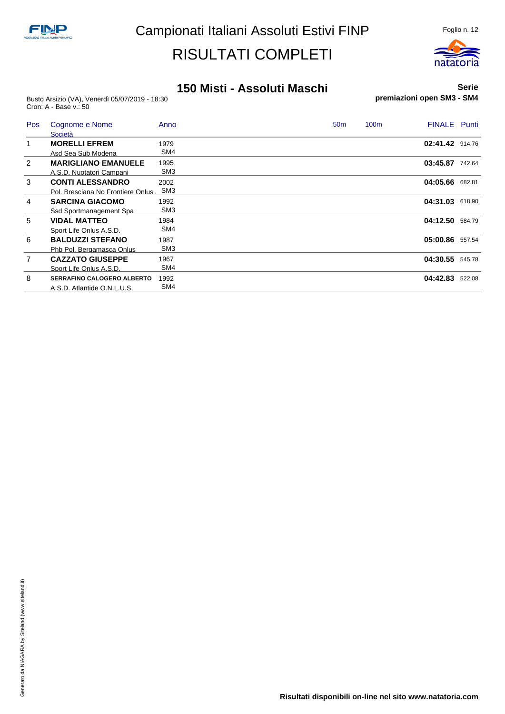

#### **150 Misti - Assoluti Maschi**

Busto Arsizio (VA), Venerdì 05/07/2019 - 18:30 Cron: A - Base v.: 50

**Serie premiazioni open SM3 - SM4**

| Pos            | Cognome e Nome<br>Società         | Anno            | <b>FINALE</b> Punti<br>100 <sub>m</sub><br>50 <sub>m</sub> |        |
|----------------|-----------------------------------|-----------------|------------------------------------------------------------|--------|
| $\mathbf 1$    | <b>MORELLI EFREM</b>              | 1979            | 02:41.42 914.76                                            |        |
|                | Asd Sea Sub Modena                | SM4             |                                                            |        |
| 2              | <b>MARIGLIANO EMANUELE</b>        | 1995            | 03:45.87 742.64                                            |        |
|                | A.S.D. Nuotatori Campani          | SM <sub>3</sub> |                                                            |        |
| 3              | <b>CONTI ALESSANDRO</b>           | 2002            | 04:05.66 682.81                                            |        |
|                | Pol. Bresciana No Frontiere Onlus | SM <sub>3</sub> |                                                            |        |
| 4              | <b>SARCINA GIACOMO</b>            | 1992            | 04:31.03 618.90                                            |        |
|                | Ssd Sportmanagement Spa           | SM <sub>3</sub> |                                                            |        |
| 5              | <b>VIDAL MATTEO</b>               | 1984            | 04:12.50                                                   | 584.79 |
|                | Sport Life Onlus A.S.D.           | SM4             |                                                            |        |
| 6              | <b>BALDUZZI STEFANO</b>           | 1987            | 05:00.86                                                   | 557.54 |
|                | Phb Pol. Bergamasca Onlus         | SM <sub>3</sub> |                                                            |        |
| $\overline{7}$ | <b>CAZZATO GIUSEPPE</b>           | 1967            | 04:30.55                                                   | 545.78 |
|                | Sport Life Onlus A.S.D.           | SM4             |                                                            |        |
| 8              | <b>SERRAFINO CALOGERO ALBERTO</b> | 1992            | 04:42.83                                                   | 522.08 |
|                | A.S.D. Atlantide O.N.L.U.S.       | SM4             |                                                            |        |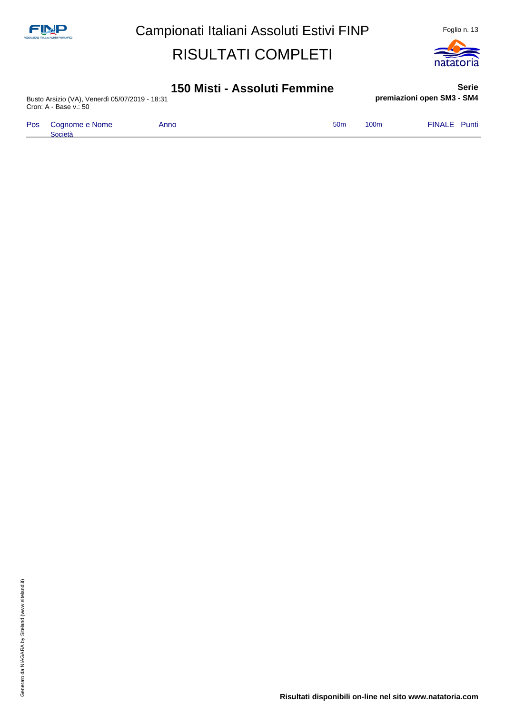

#### **150 Misti - Assoluti Femmine**

Busto Arsizio (VA), Venerdì 05/07/2019 - 18:31 Cron: A - Base v.: 50

Pos Cognome e Nome Società

**Serie premiazioni open SM3 - SM4**

| Anno | 50 <sub>m</sub> | 100 <sub>m</sub> | <b>FINALE</b> Punti |  |
|------|-----------------|------------------|---------------------|--|
|      |                 |                  |                     |  |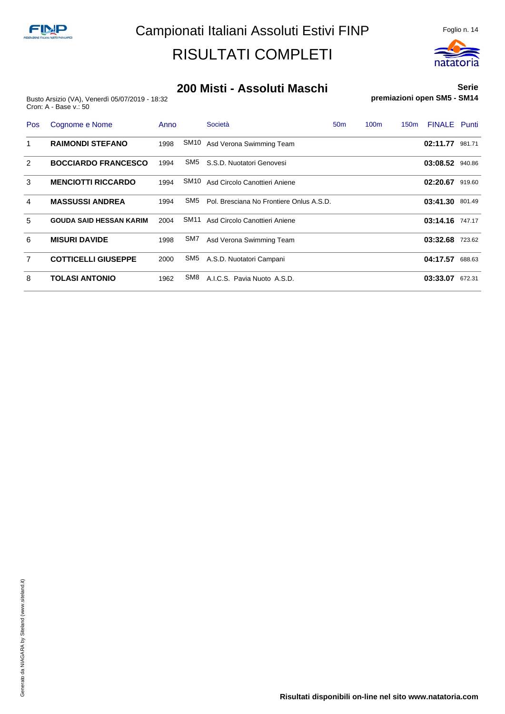

#### **200 Misti - Assoluti Maschi**

Busto Arsizio (VA), Venerdì 05/07/2019 - 18:32 Cron: A - Base v.: 50

**Serie premiazioni open SM5 - SM14**

| Pos            | Cognome e Nome                 | Anno |                  | Società                                  | 50 <sub>m</sub> | 100 <sub>m</sub> | 150 <sub>m</sub> | <b>FINALE</b> Punti |        |
|----------------|--------------------------------|------|------------------|------------------------------------------|-----------------|------------------|------------------|---------------------|--------|
| 1              | <b>RAIMONDI STEFANO</b>        | 1998 | SM10             | Asd Verona Swimming Team                 |                 |                  |                  | 02:11.77            | 981.71 |
| 2              | <b>BOCCIARDO FRANCESCO</b>     | 1994 | SM5              | S.S.D. Nuotatori Genovesi                |                 |                  |                  | 03:08.52 940.86     |        |
| 3              | <b>MENCIOTTI RICCARDO</b>      | 1994 | SM10             | Asd Circolo Canottieri Aniene            |                 |                  |                  | 02:20.67            | 919.60 |
| 4              | <b>MASSUSSI ANDREA</b>         | 1994 | SM5              | Pol. Bresciana No Frontiere Onlus A.S.D. |                 |                  |                  | 03:41.30            | 801.49 |
| 5              | <b>GOUDA SAID HESSAN KARIM</b> | 2004 | SM <sub>11</sub> | Asd Circolo Canottieri Aniene            |                 |                  |                  | 03:14.16            | 747.17 |
| 6              | <b>MISURI DAVIDE</b>           | 1998 | SM7              | Asd Verona Swimming Team                 |                 |                  |                  | 03:32.68            | 723.62 |
| $\overline{7}$ | <b>COTTICELLI GIUSEPPE</b>     | 2000 | SM5              | A.S.D. Nuotatori Campani                 |                 |                  |                  | 04:17.57            | 688.63 |
| 8              | <b>TOLASI ANTONIO</b>          | 1962 | SM8              | A.I.C.S. Pavia Nuoto A.S.D.              |                 |                  |                  | 03:33.07            | 672.31 |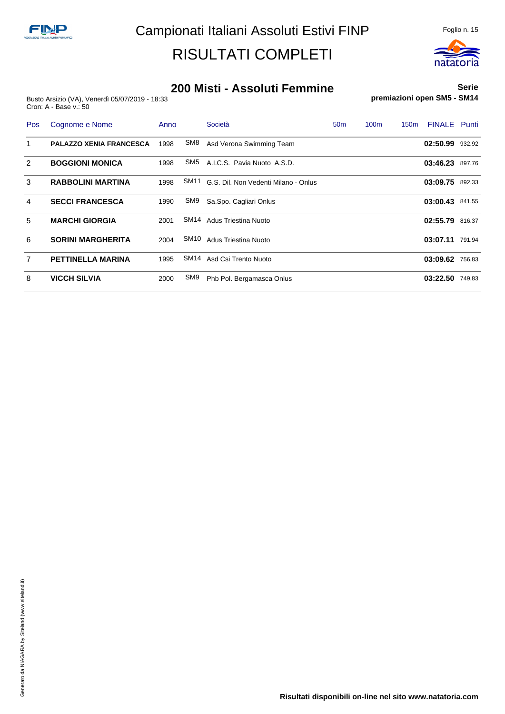

#### **200 Misti - Assoluti Femmine**

Busto Arsizio (VA), Venerdì 05/07/2019 - 18:33 Cron: A - Base v.: 50

**Serie premiazioni open SM5 - SM14**

| Pos            | Cognome e Nome                 | Anno |                  | Società                              | 50 <sub>m</sub> | 100 <sub>m</sub> | 150 <sub>m</sub> | <b>FINALE</b> Punti |        |
|----------------|--------------------------------|------|------------------|--------------------------------------|-----------------|------------------|------------------|---------------------|--------|
| 1              | <b>PALAZZO XENIA FRANCESCA</b> | 1998 | SM8              | Asd Verona Swimming Team             |                 |                  |                  | 02:50.99 932.92     |        |
| $\overline{2}$ | <b>BOGGIONI MONICA</b>         | 1998 | SM <sub>5</sub>  | A.I.C.S. Pavia Nuoto A.S.D.          |                 |                  |                  | 03:46.23 897.76     |        |
| 3              | <b>RABBOLINI MARTINA</b>       | 1998 | SM <sub>11</sub> | G.S. Dil. Non Vedenti Milano - Onlus |                 |                  |                  | 03:09.75            | 892.33 |
| 4              | <b>SECCI FRANCESCA</b>         | 1990 | SM9              | Sa.Spo. Cagliari Onlus               |                 |                  |                  | 03:00.43            | 841.55 |
| 5              | <b>MARCHI GIORGIA</b>          | 2001 | SM14             | Adus Triestina Nuoto                 |                 |                  |                  | 02:55.79            | 816.37 |
| 6              | <b>SORINI MARGHERITA</b>       | 2004 | SM10             | Adus Triestina Nuoto                 |                 |                  |                  | 03:07.11            | 791.94 |
| $\overline{7}$ | <b>PETTINELLA MARINA</b>       | 1995 | SM14             | Asd Csi Trento Nuoto                 |                 |                  |                  | 03:09.62            | 756.83 |
| 8              | <b>VICCH SILVIA</b>            | 2000 | SM9              | Phb Pol. Bergamasca Onlus            |                 |                  |                  | 03:22.50            | 749.83 |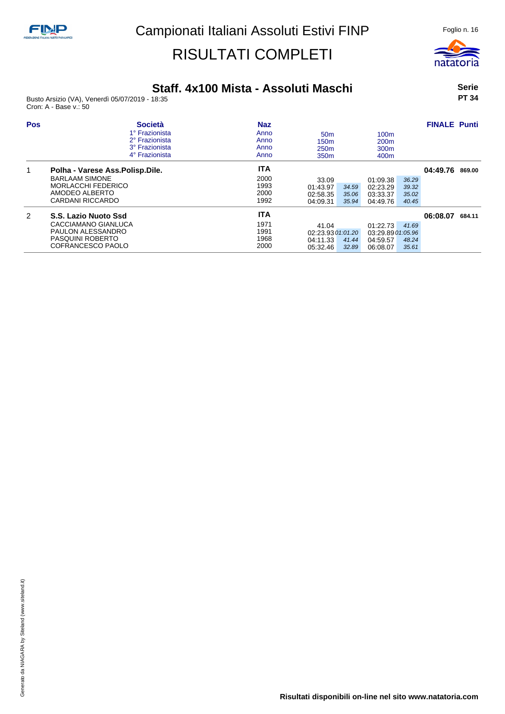

### **Staff. 4x100 Mista - Assoluti Maschi**

Busto Arsizio (VA), Venerdì 05/07/2019 - 18:35 Cron: A - Base v.: 50

#### **Serie PT 34**

| <b>Pos</b> | <b>Società</b><br>1º Frazionista<br>2° Frazionista<br>3° Frazionista<br>4° Frazionista                                        | <b>Naz</b><br>Anno<br>Anno<br>Anno<br>Anno | 50 <sub>m</sub><br>150 <sub>m</sub><br>250 <sub>m</sub><br>350 <sub>m</sub> | 100 <sub>m</sub><br>200 <sub>m</sub><br>300 <sub>m</sub><br>400 <sub>m</sub>     | <b>FINALE Punti</b> |        |
|------------|-------------------------------------------------------------------------------------------------------------------------------|--------------------------------------------|-----------------------------------------------------------------------------|----------------------------------------------------------------------------------|---------------------|--------|
| 1          | Polha - Varese Ass. Polisp. Dile.<br><b>BARLAAM SIMONE</b><br><b>MORLACCHI FEDERICO</b><br>AMODEO ALBERTO<br>CARDANI RICCARDO | <b>ITA</b><br>2000<br>1993<br>2000<br>1992 | 33.09<br>01:43.97<br>34.59<br>02:58.35<br>35.06<br>04:09.31<br>35.94        | 01:09.38<br>36.29<br>02:23.29<br>39.32<br>03:33.37<br>35.02<br>04:49.76<br>40.45 | 04:49.76 869.00     |        |
| 2          | S.S. Lazio Nuoto Ssd<br>CACCIAMANO GIANLUCA<br>PAULON ALESSANDRO<br>PASQUINI ROBERTO<br>COFRANCESCO PAOLO                     | <b>ITA</b><br>1971<br>1991<br>1968<br>2000 | 41.04<br>02:23.93 01:01.20<br>04:11.33<br>41.44<br>05:32.46<br>32.89        | 01:22.73<br>41.69<br>03:29.89 01:05.96<br>04:59.57<br>48.24<br>06:08.07<br>35.61 | 06:08.07            | 684.11 |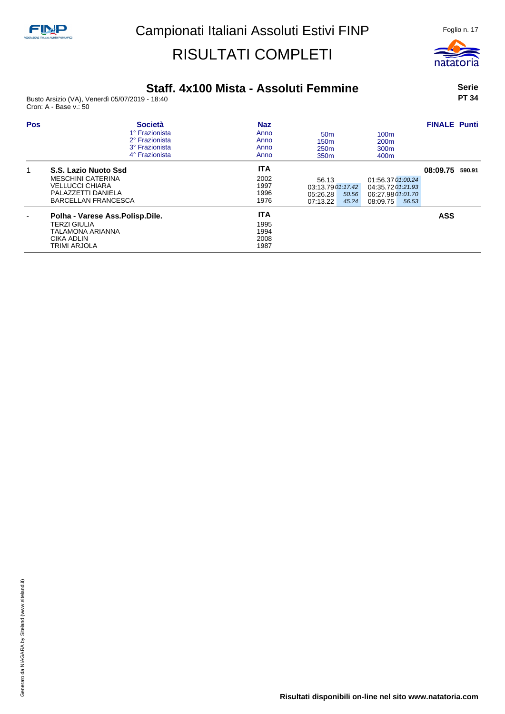

### **Staff. 4x100 Mista - Assoluti Femmine**

Busto Arsizio (VA), Venerdì 05/07/2019 - 18:40 Cron: A - Base v.: 50

**Serie PT 34**

| <b>Pos</b> | <b>Società</b><br>1° Frazionista<br>2° Frazionista<br>3° Frazionista<br>4° Frazionista                                         | <b>Naz</b><br>Anno<br>Anno<br>Anno<br>Anno | 50 <sub>m</sub><br>150 <sub>m</sub><br>250 <sub>m</sub><br>350 <sub>m</sub> | 100 <sub>m</sub><br>200 <sub>m</sub><br>300 <sub>m</sub><br>400 <sub>m</sub>     | <b>FINALE Punti</b> |  |
|------------|--------------------------------------------------------------------------------------------------------------------------------|--------------------------------------------|-----------------------------------------------------------------------------|----------------------------------------------------------------------------------|---------------------|--|
|            | S.S. Lazio Nuoto Ssd<br><b>MESCHINI CATERINA</b><br><b>VELLUCCI CHIARA</b><br>PALAZZETTI DANIELA<br><b>BARCELLAN FRANCESCA</b> | <b>ITA</b><br>2002<br>1997<br>1996<br>1976 | 56.13<br>03:13.79 01:17.42<br>05:26.28<br>50.56<br>07:13.22<br>45.24        | 01:56.37 01:00.24<br>04:35.72 01:21.93<br>06:27.98 01:01.70<br>08:09.75<br>56.53 | 08:09.75 590.91     |  |
|            | Polha - Varese Ass. Polisp. Dile.<br><b>TERZI GIULIA</b><br>TALAMONA ARIANNA<br>CIKA ADLIN<br><b>TRIMI ARJOLA</b>              | <b>ITA</b><br>1995<br>1994<br>2008<br>1987 |                                                                             |                                                                                  | <b>ASS</b>          |  |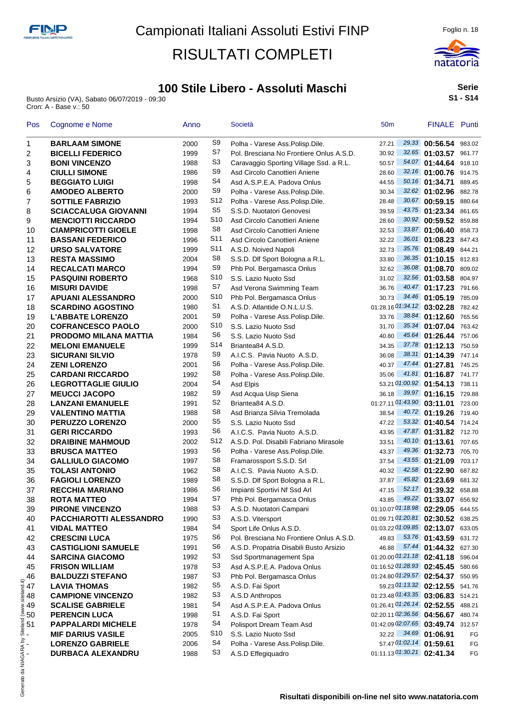

Busto Arsizio (VA), Sabato 06/07/2019 - 09:30 Cron: A - Base v.: 50



**Serie S1 - S14**

| Pos                                  | Cognome e Nome                 | Anno |                      | Società                                                   | 50 <sub>m</sub> |       | FINALE Punti                      |        |
|--------------------------------------|--------------------------------|------|----------------------|-----------------------------------------------------------|-----------------|-------|-----------------------------------|--------|
| 1                                    | <b>BARLAAM SIMONE</b>          | 2000 | S9                   | Polha - Varese Ass.Polisp.Dile.                           | 27.21           |       | 29.33 00:56.54 983.02             |        |
| 2                                    | <b>BICELLI FEDERICO</b>        | 1999 | S7                   | Pol. Bresciana No Frontiere Onlus A.S.D.                  | 30.92           |       | 32.65 01:03.57                    | 961.77 |
| 3                                    | <b>BONI VINCENZO</b>           | 1988 | S3                   | Caravaggio Sporting Village Ssd. a R.L.                   | 50.57           |       | 54.07 01:44.64                    | 918.10 |
| 4                                    | <b>CIULLI SIMONE</b>           | 1986 | S <sub>9</sub>       | Asd Circolo Canottieri Aniene                             | 28.60           |       | 32.16 01:00.76 914.75             |        |
| 5                                    | <b>BEGGIATO LUIGI</b>          | 1998 | S <sub>4</sub>       | Asd A.S.P.E.A. Padova Onlus                               | 44.55           |       | 50.16 01:34.71                    | 889.45 |
| 6                                    | <b>AMODEO ALBERTO</b>          | 2000 | S <sub>9</sub>       | Polha - Varese Ass. Polisp. Dile.                         | 30.34           | 32.62 | 01:02.96 882.78                   |        |
| 7                                    | <b>SOTTILE FABRIZIO</b>        | 1993 | S <sub>12</sub>      | Polha - Varese Ass.Polisp.Dile.                           | 28.48           |       | 30.67 00:59.15 880.64             |        |
| 8                                    | <b>SCIACCALUGA GIOVANNI</b>    | 1994 | S <sub>5</sub>       | S.S.D. Nuotatori Genovesi                                 | 39.59           |       | 43.75 01:23.34 861.65             |        |
| 9                                    | <b>MENCIOTTI RICCARDO</b>      | 1994 | S <sub>10</sub>      | Asd Circolo Canottieri Aniene                             | 28.60           |       | 30.92 00:59.52 859.88             |        |
| 10                                   | <b>CIAMPRICOTTI GIOELE</b>     | 1998 | S <sub>8</sub>       | Asd Circolo Canottieri Aniene                             | 32.53           |       | 33.87 01:06.40 858.73             |        |
| 11                                   | <b>BASSANI FEDERICO</b>        | 1996 | S <sub>11</sub>      | Asd Circolo Canottieri Aniene                             | 32.22           |       | 36.01 01:08.23 847.43             |        |
| 12                                   | <b>URSO SALVATORE</b>          | 1999 | S11                  | A.S.D. Noived Napoli                                      | 32.73           |       | 35.76 01:08.49 844.21             |        |
| 13                                   | <b>RESTA MASSIMO</b>           | 2004 | S8                   | S.S.D. Dlf Sport Bologna a R.L.                           | 33.80           |       | 36.35 01:10.15 812.83             |        |
| 14                                   | <b>RECALCATI MARCO</b>         | 1994 | S9                   | Phb Pol. Bergamasca Onlus                                 | 32.62           |       | 36.08 01:08.70 809.02             |        |
| 15                                   | <b>PASQUINI ROBERTO</b>        | 1968 | S <sub>10</sub>      | S.S. Lazio Nuoto Ssd                                      | 31.02           |       | 32.56 01:03.58 804.97             |        |
| 16                                   | <b>MISURI DAVIDE</b>           | 1998 | S7                   | Asd Verona Swimming Team                                  | 36.76           |       | 40.47 01:17.23 791.66             |        |
| 17                                   | <b>APUANI ALESSANDRO</b>       | 2000 | S <sub>10</sub>      | Phb Pol. Bergamasca Onlus                                 | 30.73           |       | 34.46 01:05.19 785.09             |        |
| 18                                   | <b>SCARDINO AGOSTINO</b>       | 1980 | S <sub>1</sub>       | A.S.D. Atlantide O.N.L.U.S.                               |                 |       | 01:28.16 01:34.12 03:02.28 782.42 |        |
| 19                                   | <b>L'ABBATE LORENZO</b>        | 2001 | S <sub>9</sub>       | Polha - Varese Ass.Polisp.Dile.                           | 33.76           |       | 38.84 01:12.60 765.56             |        |
| 20                                   | <b>COFRANCESCO PAOLO</b>       | 2000 | S10                  | S.S. Lazio Nuoto Ssd                                      | 31.70           |       | 35.34 01:07.04 763.42             |        |
| 21                                   | <b>PRODOMO MILANA MATTIA</b>   | 1984 | S <sub>6</sub>       | S.S. Lazio Nuoto Ssd                                      | 40.80           |       | 45.64 01:26.44 757.06             |        |
| 22                                   | <b>MELONI EMANUELE</b>         | 1999 | S14                  | Briantea84 A.S.D.                                         | 34.35           |       | 37.78 01:12.13 750.59             |        |
| 23                                   | <b>SICURANI SILVIO</b>         | 1978 | S9                   | A.I.C.S. Pavia Nuoto A.S.D.                               | 36.08           |       | 38.31 01:14.39 747.14             |        |
| 24                                   | <b>ZENI LORENZO</b>            | 2001 | S6                   | Polha - Varese Ass.Polisp.Dile.                           | 40.37           |       | 47.44 01:27.81 745.25             |        |
| 25                                   | <b>CARDANI RICCARDO</b>        | 1992 | S <sub>8</sub>       | Polha - Varese Ass.Polisp.Dile.                           | 35.06           |       | 41.81 01:16.87 741.77             |        |
| 26                                   | <b>LEGROTTAGLIE GIULIO</b>     | 2004 | S <sub>4</sub>       | Asd Elpis                                                 |                 |       | 53.21 01:00.92 01:54.13 738.11    |        |
| 27                                   | <b>MEUCCI JACOPO</b>           | 1982 | S <sub>9</sub>       | Asd Acqua Uisp Siena                                      | 36.18           |       | 39.97 01:16.15 729.88             |        |
| 28                                   | <b>LANZANI EMANUELE</b>        | 1991 | S <sub>2</sub>       | Briantea84 A.S.D.                                         |                 |       | 01:27.11 01:43.90 03:11.01 723.00 |        |
| 29                                   | <b>VALENTINO MATTIA</b>        | 1988 | S <sub>8</sub>       | Asd Brianza Silvia Tremolada                              | 38.54           |       | 40.72 01:19.26 719.40             |        |
| 30                                   | <b>PERUZZO LORENZO</b>         | 2000 | S <sub>5</sub>       | S.S. Lazio Nuoto Ssd                                      | 47.22           |       | 53.32 01:40.54 714.24             |        |
| 31                                   | <b>GERI RICCARDO</b>           | 1993 | S6                   | A.I.C.S. Pavia Nuoto A.S.D.                               | 43.95           |       | 47.87 01:31.82 712.70             |        |
| 32                                   | <b>DRAIBINE MAHMOUD</b>        | 2002 | S12                  | A.S.D. Pol. Disabili Fabriano Mirasole                    | 33.51           |       | 40.10 01:13.61 707.65             |        |
|                                      |                                |      | S6                   |                                                           |                 |       | 49.36 01:32.73 705.70             |        |
| 33                                   | <b>BRUSCA MATTEO</b>           | 1993 | S <sub>8</sub>       | Polha - Varese Ass.Polisp.Dile.                           | 43.37           |       |                                   |        |
| 34                                   | <b>GALLIULO GIACOMO</b>        | 1997 | S <sub>8</sub>       | Framarossport S.S.D. Srl                                  | 37.54           |       | 43.55 01:21.09 703.17             |        |
| 35                                   | <b>TOLASI ANTONIO</b>          | 1962 | S <sub>8</sub>       | A.I.C.S. Pavia Nuoto A.S.D.                               | 40.32           |       | 42.58 01:22.90 687.82             |        |
| 36                                   | <b>FAGIOLI LORENZO</b>         | 1989 | S <sub>6</sub>       | S.S.D. Dlf Sport Bologna a R.L.                           | 37.87           |       | 45.82 01:23.69                    | 681.32 |
| 37                                   | <b>RECCHIA MARIANO</b>         | 1986 | S7                   | Impianti Sportivi Nf Ssd Arl                              | 47.15           |       | 52.17 01:39.32 658.88             |        |
| 38                                   | <b>ROTA MATTEO</b>             | 1994 |                      | Phb Pol. Bergamasca Onlus                                 | 43.85           |       | 49.22 01:33.07 656.92             |        |
| 39                                   | <b>PIRONE VINCENZO</b>         | 1988 | S3                   | A.S.D. Nuotatori Campani                                  |                 |       | 01:10.07 01:18.98 02:29.05 644.55 |        |
| 40                                   | <b>PACCHIAROTTI ALESSANDRO</b> | 1990 | S <sub>3</sub>       | A.S.D. Vitersport                                         |                 |       | 01:09.71 01:20.81 02:30.52 638.25 |        |
| 41                                   | <b>VIDAL MATTEO</b>            | 1984 | S4                   | Sport Life Onlus A.S.D.                                   |                 |       | 01:03.22 01:09.85 02:13.07 633.05 |        |
| 42                                   | <b>CRESCINI LUCA</b>           | 1975 | S6<br>S <sub>6</sub> | Pol. Bresciana No Frontiere Onlus A.S.D.                  | 49.83           |       | 53.76 01:43.59 631.72             |        |
| 43                                   | <b>CASTIGLIONI SAMUELE</b>     | 1991 | S <sub>3</sub>       | A.S.D. Propatria Disabili Busto Arsizio                   | 46.88           |       | 57.44 01:44.32 627.30             |        |
| 44                                   | <b>SARCINA GIACOMO</b>         | 1992 |                      | Ssd Sportmanagement Spa                                   |                 |       | 01:20.00 01:21.18 02:41.18 596.04 |        |
| 45                                   | <b>FRISON WILLIAM</b>          | 1978 | S <sub>3</sub>       | Asd A.S.P.E.A. Padova Onlus                               |                 |       | 01:16.52 01:28.93 02:45.45 580.66 |        |
| 46                                   | <b>BALDUZZI STEFANO</b>        | 1987 | S <sub>3</sub>       | Phb Pol. Bergamasca Onlus                                 |                 |       | 01:24.80 01:29.57 02:54.37 550.95 |        |
| $\frac{1}{2}$ 47<br>$\frac{1}{2}$ 48 | <b>LAVIA THOMAS</b>            | 1982 | S5                   | A.S.D. Fai Sport                                          |                 |       | 59.23 01:13.32 02:12.55 541.76    |        |
|                                      | <b>CAMPIONE VINCENZO</b>       | 1982 | S <sub>3</sub>       | A.S.D Anthropos                                           |                 |       | 01:23.48 01:43.35 03:06.83 514.21 |        |
| $\geqslant 49$                       | <b>SCALISE GABRIELE</b>        | 1981 | S4                   | Asd A.S.P.E.A. Padova Onlus                               |                 |       | 01:26.41 01:26.14 02:52.55 488.21 |        |
| <u>ॾ</u><br>ទូ 50<br>-ូ 51           | <b>PERENCIN LUCA</b>           | 1998 | S1                   | A.S.D. Fai Sport                                          |                 |       | 02:20.11 02:36.56 04:56.67 480.74 |        |
|                                      | <b>PAPPALARDI MICHELE</b>      | 1978 | S4                   | Polisport Dream Team Asd                                  |                 |       | 01:42.09 02:07.65 03:49.74 312.57 |        |
| க் -                                 | <b>MIF DARIUS VASILE</b>       | 2005 | S10                  | S.S. Lazio Nuoto Ssd                                      | 32.22           |       | 34.69 01:06.91                    | FG     |
|                                      | <b>LORENZO GABRIELE</b>        | 2006 | S4                   | Polha - Varese Ass.Polisp.Dile.                           |                 |       | 57.47 01:02.14 01:59.61           | FG     |
|                                      | DURBACA ALEXANDRU              | 1988 | S3                   | A.S.D Effegiguadro                                        |                 |       | 01:11.13 01:30.21 02:41.34        | FG     |
| Generato da NIAGARA by<br>∎          |                                |      |                      | Dioulteti diononibili on line nel eito unuu netoteria eem |                 |       |                                   |        |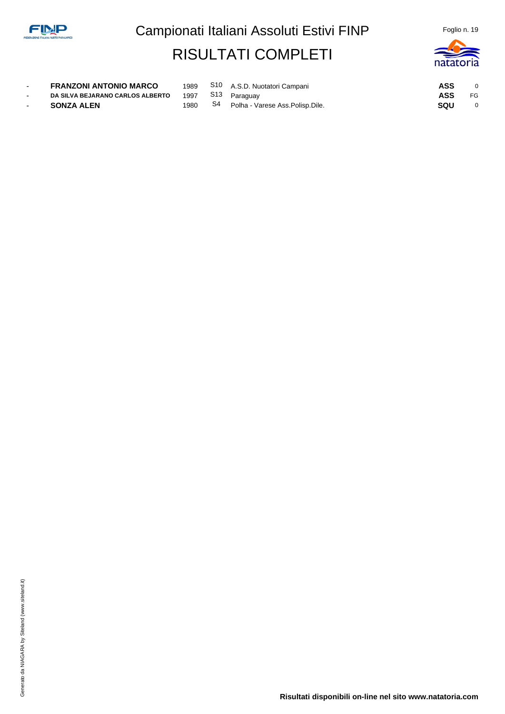

| <b>FRANZONI ANTONIO MARCO</b>           |      |    | 1989 S10 A.S.D. Nuotatori Campani | ASS |              |
|-----------------------------------------|------|----|-----------------------------------|-----|--------------|
| <b>DA SILVA BEJARANO CARLOS ALBERTO</b> |      |    | 1997 S13 Paraguay                 | ASS | FG           |
| SONZA ALEN                              | 1980 | S4 | Polha - Varese Ass.Polisp.Dile.   | sou | $\mathbf{0}$ |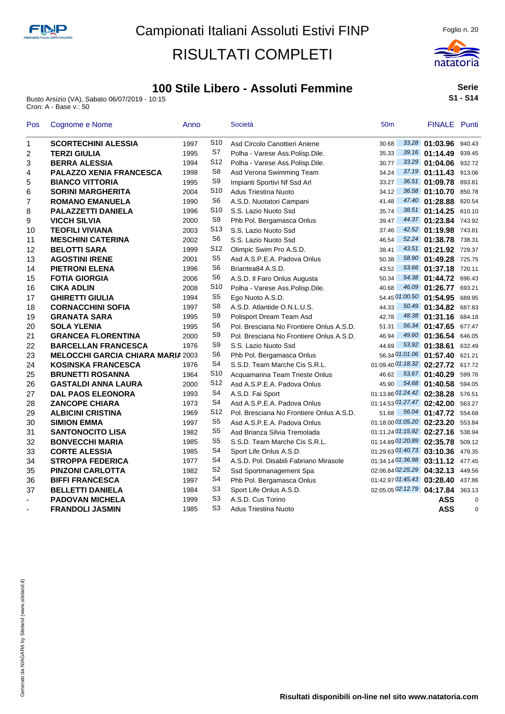

Busto Arsizio (VA), Sabato 06/07/2019 - 10:15 Cron: A - Base v.: 50



**Serie S1 - S14**

| Pos            | Cognome e Nome                           | Anno |                 | Società                                  | 50 <sub>m</sub>                   | FINALE Punti          |          |
|----------------|------------------------------------------|------|-----------------|------------------------------------------|-----------------------------------|-----------------------|----------|
| 1              | <b>SCORTECHINI ALESSIA</b>               | 1997 | S <sub>10</sub> | Asd Circolo Canottieri Aniene            | 30.68                             | 33.28 01:03.96 940.43 |          |
| 2              | <b>TERZI GIULIA</b>                      | 1995 | S7              | Polha - Varese Ass.Polisp.Dile.          | 35.33                             | 39.16 01:14.49 939.45 |          |
| 3              | <b>BERRA ALESSIA</b>                     | 1994 | S12             | Polha - Varese Ass.Polisp.Dile.          | 30.77                             | 33.29 01:04.06 932.72 |          |
| 4              | <b>PALAZZO XENIA FRANCESCA</b>           | 1998 | S <sub>8</sub>  | Asd Verona Swimming Team                 | 34.24                             | 37.19 01:11.43 913.06 |          |
| 5              | <b>BIANCO VITTORIA</b>                   | 1995 | S9              | Impianti Sportivi Nf Ssd Arl             | 33.27                             | 36.51 01:09.78 893.81 |          |
| 6              | <b>SORINI MARGHERITA</b>                 | 2004 | S <sub>10</sub> | <b>Adus Triestina Nuoto</b>              | 34.12                             | 36.58 01:10.70 850.78 |          |
| 7              | <b>ROMANO EMANUELA</b>                   | 1990 | S <sub>6</sub>  | A.S.D. Nuotatori Campani                 | 41.48                             | 47.40 01:28.88 820.54 |          |
| 8              | <b>PALAZZETTI DANIELA</b>                | 1996 | S <sub>10</sub> | S.S. Lazio Nuoto Ssd                     | 35.74                             | 38.51 01:14.25 810.10 |          |
| 9              | <b>VICCH SILVIA</b>                      | 2000 | S <sub>9</sub>  | Phb Pol. Bergamasca Onlus                | 39.47                             | 44.37 01:23.84 743.92 |          |
| 10             | <b>TEOFILI VIVIANA</b>                   | 2003 | S13             | S.S. Lazio Nuoto Ssd                     | 37.46                             | 42.52 01:19.98 743.81 |          |
| 11             | <b>MESCHINI CATERINA</b>                 | 2002 | S <sub>6</sub>  | S.S. Lazio Nuoto Ssd                     | 46.54                             | 52.24 01:38.78 738.31 |          |
| 12             | <b>BELOTTI SARA</b>                      | 1999 | S12             | Olimpic Swim Pro A.S.D.                  | 38.41                             | 43.51 01:21.92 729.37 |          |
| 13             | <b>AGOSTINI IRENE</b>                    | 2001 | S <sub>5</sub>  | Asd A.S.P.E.A. Padova Onlus              | 50.38                             | 58.90 01:49.28 725.75 |          |
| 14             | <b>PIETRONI ELENA</b>                    | 1996 | S <sub>6</sub>  | Briantea84 A.S.D.                        | 43.52                             | 53.66 01:37.18 720.11 |          |
| 15             | <b>FOTIA GIORGIA</b>                     | 2006 | S <sub>6</sub>  | A.S.D. Il Faro Onlus Augusta             | 50.34                             | 54.38 01:44.72 696.43 |          |
| 16             | <b>CIKA ADLIN</b>                        | 2008 | S10             | Polha - Varese Ass.Polisp.Dile.          | 40.68                             | 46.09 01:26.77        | 693.21   |
| 17             | <b>GHIRETTI GIULIA</b>                   | 1994 | S <sub>5</sub>  | Ego Nuoto A.S.D.                         | 54.45 01:00.50 01:54.95           |                       | 689.95   |
| 18             | <b>CORNACCHINI SOFIA</b>                 | 1997 | S <sub>8</sub>  | A.S.D. Atlantide O.N.L.U.S.              | 44.33                             | 50.49 01:34.82 687.83 |          |
| 19             | <b>GRANATA SARA</b>                      | 1995 | S9              | Polisport Dream Team Asd                 | 42.78                             | 48.38 01:31.16 684.18 |          |
| 20             | <b>SOLA YLENIA</b>                       | 1995 | S6              | Pol. Bresciana No Frontiere Onlus A.S.D. | 51.31                             | 56.34 01:47.65 677.47 |          |
| 21             | <b>GRANCEA FLORENTINA</b>                | 2000 | S <sub>9</sub>  | Pol. Bresciana No Frontiere Onlus A.S.D. | 46.94                             | 49.60 01:36.54 646.05 |          |
| 22             | <b>BARCELLAN FRANCESCA</b>               | 1976 | S <sub>9</sub>  | S.S. Lazio Nuoto Ssd                     | 44.69                             | $53.92$ 01:38.61      | 632.49   |
| 23             | <b>MELOCCHI GARCIA CHIARA MARIA 2003</b> |      | S6              | Phb Pol. Bergamasca Onlus                | 56.34 01:01.06 01:57.40 621.21    |                       |          |
| 24             | <b>KOSINSKA FRANCESCA</b>                | 1976 | S4              | S.S.D. Team Marche Cis S.R.L.            | 01:09.40 01:18.32 02:27.72 617.72 |                       |          |
| 25             | <b>BRUNETTI ROSANNA</b>                  | 1964 | S <sub>10</sub> | Acquamarina Team Trieste Onlus           | 46.62                             | 53.67 01:40.29        | 599.76   |
| 26             | <b>GASTALDI ANNA LAURA</b>               | 2000 | S <sub>12</sub> | Asd A.S.P.E.A. Padova Onlus              | 45.90                             | 54.68 01:40.58 594.05 |          |
| 27             | <b>DAL PAOS ELEONORA</b>                 | 1993 | S <sub>4</sub>  | A.S.D. Fai Sport                         | 01:13.86 01:24.42 02:38.28 576.51 |                       |          |
| 28             | <b>ZANCOPE CHIARA</b>                    | 1973 | S <sub>4</sub>  | Asd A.S.P.E.A. Padova Onlus              | 01:14.53 01:27.47 02:42.00 563.27 |                       |          |
| 29             | <b>ALBICINI CRISTINA</b>                 | 1969 | S12             | Pol. Bresciana No Frontiere Onlus A.S.D. | 51.68                             | 56.04 01:47.72 554.68 |          |
| 30             | <b>SIMION EMMA</b>                       | 1997 | S <sub>5</sub>  | Asd A.S.P.E.A. Padova Onlus              | 01:18.00 01:05.20 02:23.20        |                       | 553.84   |
| 31             | <b>SANTONOCITO LISA</b>                  | 1982 | S5              | Asd Brianza Silvia Tremolada             | 01:11.24 01:15.92 02:27.16 538.94 |                       |          |
| 32             | <b>BONVECCHI MARIA</b>                   | 1985 | S5              | S.S.D. Team Marche Cis S.R.L.            | $01:14.89\,01:20.89$ 02:35.78     |                       | 509.12   |
| 33             | <b>CORTE ALESSIA</b>                     | 1985 | S4              | Sport Life Onlus A.S.D.                  | 01:29.63 01:40.73 03:10.36 479.35 |                       |          |
| 34             | <b>STROPPA FEDERICA</b>                  | 1977 | S <sub>4</sub>  | A.S.D. Pol. Disabili Fabriano Mirasole   | 01:34.14 01:36.98 03:11.12        |                       | 477.45   |
| 35             | <b>PINZONI CARLOTTA</b>                  | 1982 | S2              | Ssd Sportmanagement Spa                  | 02:06.84 02:25.29 04:32.13        |                       | 449.56   |
| 36             | <b>BIFFI FRANCESCA</b>                   | 1997 | S4              | Phb Pol. Bergamasca Onlus                | 01:42.97 01:45.43 03:28.40        |                       | 437.86   |
| 37             | <b>BELLETTI DANIELA</b>                  | 1984 | S3              | Sport Life Onlus A.S.D.                  | 02:05.05 02:12.79 04:17.84 363.13 |                       |          |
| $\blacksquare$ | <b>PADOVAN MICHELA</b>                   | 1999 | S3              | A.S.D. Cus Torino                        |                                   | ASS                   | $\Omega$ |
|                | <b>FRANDOLI JASMIN</b>                   | 1985 | S <sub>3</sub>  | Adus Triestina Nuoto                     |                                   | <b>ASS</b>            | $\Omega$ |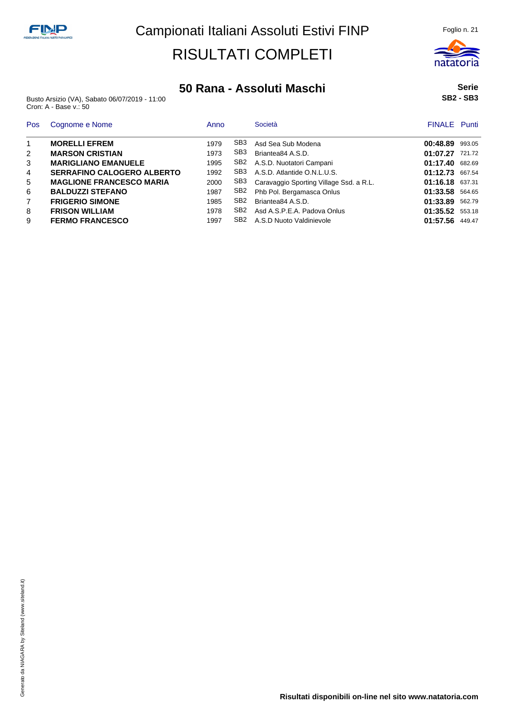

Busto Arsizio (VA), Sabato 06/07/2019 - 11:00 Cron: A - Base v.: 50

| <b>Pos</b>     | Cognome e Nome                    | Anno |                 | Società                                 | <b>FINALE</b> Punti |        |
|----------------|-----------------------------------|------|-----------------|-----------------------------------------|---------------------|--------|
| $\mathbf{1}$   | <b>MORELLI EFREM</b>              | 1979 | SB <sub>3</sub> | Asd Sea Sub Modena                      | 00:48.89            | 993.05 |
| 2              | <b>MARSON CRISTIAN</b>            | 1973 | SB <sub>3</sub> | Briantea84 A.S.D.                       | 01:07.27            | 721.72 |
| 3              | <b>MARIGLIANO EMANUELE</b>        | 1995 | SB2             | A.S.D. Nuotatori Campani                | 01:17.40            | 682.69 |
| 4              | <b>SERRAFINO CALOGERO ALBERTO</b> | 1992 | SB <sub>3</sub> | A.S.D. Atlantide O.N.L.U.S.             | 01:12.73            | 667.54 |
| 5              | <b>MAGLIONE FRANCESCO MARIA</b>   | 2000 | SB3             | Caravaggio Sporting Village Ssd. a R.L. | 01:16.18 637.31     |        |
| 6              | <b>BALDUZZI STEFANO</b>           | 1987 | SB <sub>2</sub> | Phb Pol. Bergamasca Onlus               | 01:33.58            | 564.65 |
| $\overline{7}$ | <b>FRIGERIO SIMONE</b>            | 1985 | SB <sub>2</sub> | Briantea84 A.S.D.                       | 01:33.89            | 562.79 |
| 8              | <b>FRISON WILLIAM</b>             | 1978 | SB <sub>2</sub> | Asd A.S.P.E.A. Padova Onlus             | 01:35.52            | 553.18 |
| 9              | <b>FERMO FRANCESCO</b>            | 1997 | SB <sub>2</sub> | A.S.D Nuoto Valdinievole                | 01:57.56 449.47     |        |

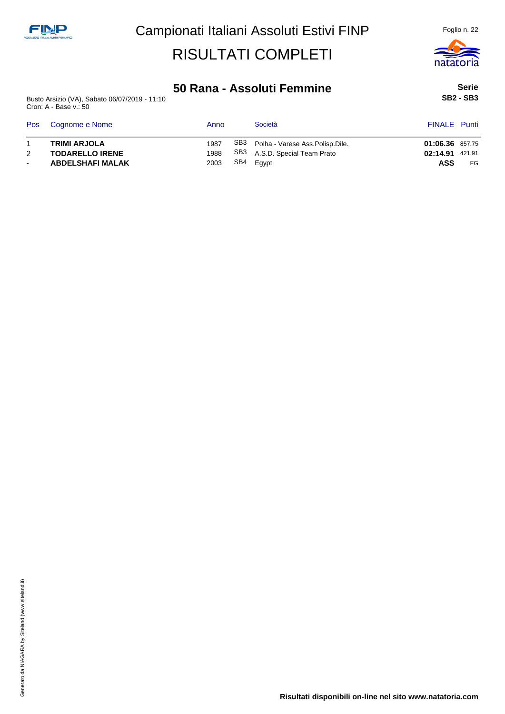

### **50 Rana - Assoluti Femmine**

Busto Arsizio (VA), Sabato 06/07/2019 - 11:10 Cron: A - Base v.: 50

**Serie SB2 - SB3**

|        | Pos Cognome e Nome      | Anno | Società                             | <b>FINALE</b> Punti |     |
|--------|-------------------------|------|-------------------------------------|---------------------|-----|
|        | <b>TRIMI ARJOLA</b>     | 1987 | SB3 Polha - Varese Ass.Polisp.Dile. | 01:06.36 857.75     |     |
| 2      | <b>TODARELLO IRENE</b>  | 1988 | SB3 A.S.D. Special Team Prato       | 02:14.91 421.91     |     |
| $\sim$ | <b>ABDELSHAFI MALAK</b> | 2003 | SB4 Egypt                           | ASS                 | FG. |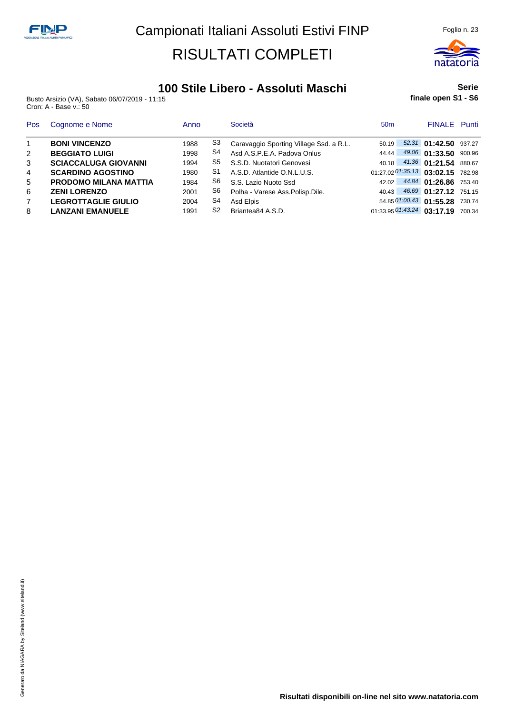

#### **100 Stile Libero - Assoluti Maschi**

Busto Arsizio (VA), Sabato 06/07/2019 - 11:15 Cron: A - Base v.: 50

#### **Serie finale open S1 - S6**

| <b>Pos</b>     | Cognome e Nome               | Anno |    | Società                                 | 50 <sub>m</sub> | <b>FINALE</b> Punti                   |  |
|----------------|------------------------------|------|----|-----------------------------------------|-----------------|---------------------------------------|--|
| $\overline{1}$ | <b>BONI VINCENZO</b>         | 1988 | S3 | Caravaggio Sporting Village Ssd. a R.L. | 50.19           | 52.31 01:42.50 937.27                 |  |
| 2              | <b>BEGGIATO LUIGI</b>        | 1998 | S4 | Asd A.S.P.E.A. Padova Onlus             | 44.44           | 49.06 01:33.50 900.96                 |  |
| 3              | <b>SCIACCALUGA GIOVANNI</b>  | 1994 | S5 | S.S.D. Nuotatori Genovesi               |                 | 40.18 41.36 01:21.54 880.67           |  |
| $\overline{4}$ | <b>SCARDINO AGOSTINO</b>     | 1980 | S1 | A.S.D. Atlantide O.N.L.U.S.             |                 | 01:27.02 01:35.13 03:02.15 782.98     |  |
| 5              | <b>PRODOMO MILANA MATTIA</b> | 1984 | S6 | S.S. Lazio Nuoto Ssd                    | 42.02           | 44.84 01:26.86 753.40                 |  |
| 6              | <b>ZENI LORENZO</b>          | 2001 | S6 | Polha - Varese Ass.Polisp.Dile.         | 40.43           | 46.69 01:27.12 751.15                 |  |
| $\overline{7}$ | <b>LEGROTTAGLIE GIULIO</b>   | 2004 | S4 | Asd Elpis                               |                 | 54.85 01:00.43 01:55.28 730.74        |  |
| 8              | <b>LANZANI EMANUELE</b>      | 1991 | S2 | Briantea84 A.S.D.                       |                 | $01:33.95$ $01:43.24$ 03:17.19 700.34 |  |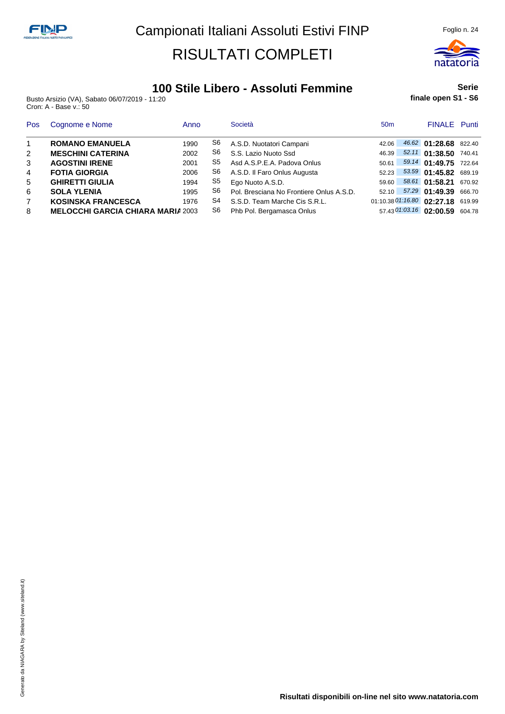

### **100 Stile Libero - Assoluti Femmine**

Busto Arsizio (VA), Sabato 06/07/2019 - 11:20 Cron: A - Base v.: 50

#### **Serie finale open S1 - S6**

| <b>Pos</b>     | Cognome e Nome                           | Anno |    | Società                                  | 50 <sub>m</sub> | <b>FINALE</b> Punti               |  |
|----------------|------------------------------------------|------|----|------------------------------------------|-----------------|-----------------------------------|--|
| $\overline{1}$ | <b>ROMANO EMANUELA</b>                   | 1990 | S6 | A.S.D. Nuotatori Campani                 | 42.06           | 46.62 01:28.68 822.40             |  |
| 2              | <b>MESCHINI CATERINA</b>                 | 2002 | S6 | S.S. Lazio Nuoto Ssd                     | 46.39           | 52.11 01:38.50 740.41             |  |
| 3              | <b>AGOSTINI IRENE</b>                    | 2001 | S5 | Asd A.S.P.E.A. Padova Onlus              | 50.61           | 59.14 01:49.75 722.64             |  |
| $\overline{4}$ | <b>FOTIA GIORGIA</b>                     | 2006 | S6 | A.S.D. Il Faro Onlus Augusta             | 52.23           | 53.59 01:45.82 689.19             |  |
| 5              | <b>GHIRETTI GIULIA</b>                   | 1994 | S5 | Ego Nuoto A.S.D.                         | 59.60           | 58.61 01:58.21 670.92             |  |
| 6              | <b>SOLA YLENIA</b>                       | 1995 | S6 | Pol. Bresciana No Frontiere Onlus A.S.D. | 52.10           | 57.29 01:49.39 666.70             |  |
| $\overline{7}$ | <b>KOSINSKA FRANCESCA</b>                | 1976 | S4 | S.S.D. Team Marche Cis S.R.L.            |                 | 01:10.38 01:16.80 02:27.18 619.99 |  |
| 8              | <b>MELOCCHI GARCIA CHIARA MARIA 2003</b> |      | S6 | Phb Pol. Bergamasca Onlus                |                 | 57.43 01:03.16 02:00.59 604.78    |  |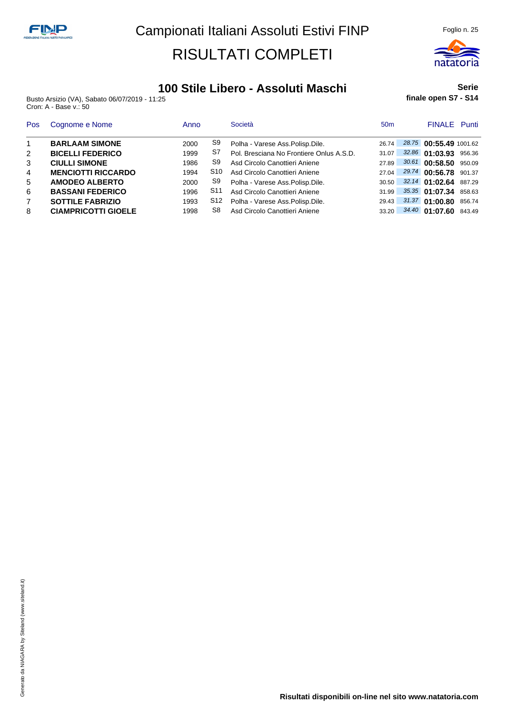

#### **100 Stile Libero - Assoluti Maschi**

Busto Arsizio (VA), Sabato 06/07/2019 - 11:25 Cron: A - Base v.: 50

#### **Serie finale open S7 - S14**

| Pos            | Cognome e Nome             | Anno |                 | Società                                  | 50 <sub>m</sub> | <b>FINALE</b> Punti    |        |
|----------------|----------------------------|------|-----------------|------------------------------------------|-----------------|------------------------|--------|
| $\overline{1}$ | <b>BARLAAM SIMONE</b>      | 2000 | S9              | Polha - Varese Ass.Polisp.Dile.          | 26.74           | 28.75 00:55.49 1001.62 |        |
| 2              | <b>BICELLI FEDERICO</b>    | 1999 | S7              | Pol. Bresciana No Frontiere Onlus A.S.D. | 31.07           | 32.86 01:03.93         | 956.36 |
| 3              | <b>CIULLI SIMONE</b>       | 1986 | S9              | Asd Circolo Canottieri Aniene            | 2789            | 30.61 00:58.50         | 950.09 |
| 4              | <b>MENCIOTTI RICCARDO</b>  | 1994 | S10             | Asd Circolo Canottieri Aniene            | 27.04           | 29.74 00:56.78         | 901.37 |
| 5              | <b>AMODEO ALBERTO</b>      | 2000 | S9              | Polha - Varese Ass.Polisp.Dile.          | 30.50           | 32.14 01:02.64         | 887.29 |
| 6              | <b>BASSANI FEDERICO</b>    | 1996 | S <sub>11</sub> | Asd Circolo Canottieri Aniene            | 31.99           | 35.35 01:07.34         | 858.63 |
| $\overline{7}$ | <b>SOTTILE FABRIZIO</b>    | 1993 | S12             | Polha - Varese Ass.Polisp.Dile.          | 29.43           | 31.37 01:00.80         | 856.74 |
| 8              | <b>CIAMPRICOTTI GIOELE</b> | 1998 | S8              | Asd Circolo Canottieri Aniene            | 33.20           | 34.40 01:07.60         | 843.49 |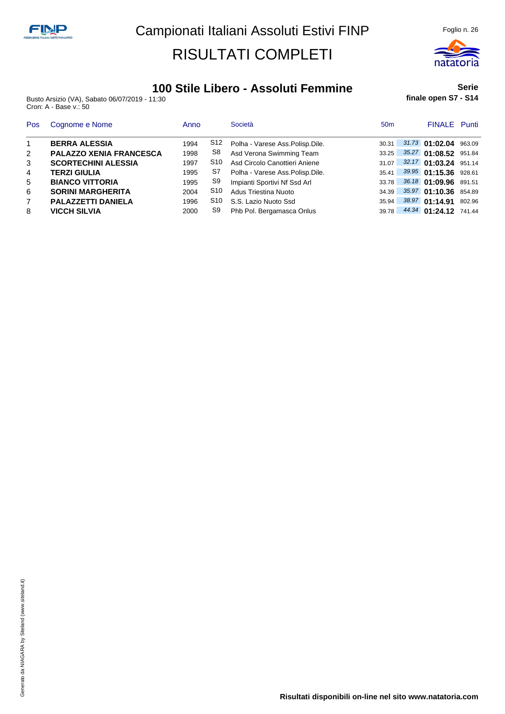

### **100 Stile Libero - Assoluti Femmine**

Busto Arsizio (VA), Sabato 06/07/2019 - 11:30 Cron: A - Base v.: 50

**Serie finale open S7 - S14**

| Pos            | Cognome e Nome                 | Anno |     | Società                              | 50 <sub>m</sub> | <b>FINALE</b> Punti   |        |
|----------------|--------------------------------|------|-----|--------------------------------------|-----------------|-----------------------|--------|
| $\overline{1}$ | <b>BERRA ALESSIA</b>           | 1994 | S12 | Polha - Varese Ass.Polisp.Dile.      | 30.31           | 31.73 01:02.04 963.09 |        |
| 2              | <b>PALAZZO XENIA FRANCESCA</b> | 1998 | S8  | Asd Verona Swimming Team             | 33.25           | 35.27 01:08.52 951.84 |        |
| 3              | <b>SCORTECHINI ALESSIA</b>     | 1997 | S10 | Asd Circolo Canottieri Aniene        | 31.07           | 32.17 01:03.24 951.14 |        |
| 4              | <b>TERZI GIULIA</b>            | 1995 | S7  | Polha - Varese Ass.Polisp.Dile.      | 35.41           | 39.95 01:15.36 928.61 |        |
| 5              | <b>BIANCO VITTORIA</b>         | 1995 | S9  | Impianti Sportivi Nf Ssd Arl         | 33.78           | 36.18 01:09.96 891.51 |        |
| 6              | <b>SORINI MARGHERITA</b>       | 2004 | S10 | Adus Triestina Nuoto                 | 34.39           | 35.97 01:10.36 854.89 |        |
| $\overline{7}$ | <b>PALAZZETTI DANIELA</b>      | 1996 |     | S <sub>10</sub> S.S. Lazio Nuoto Ssd | 35.94           | 38.97 01:14.91        | 802.96 |
| 8              | <b>VICCH SILVIA</b>            | 2000 | S9  | Phb Pol. Bergamasca Onlus            | 39.78           | 44.34 01:24.12 741.44 |        |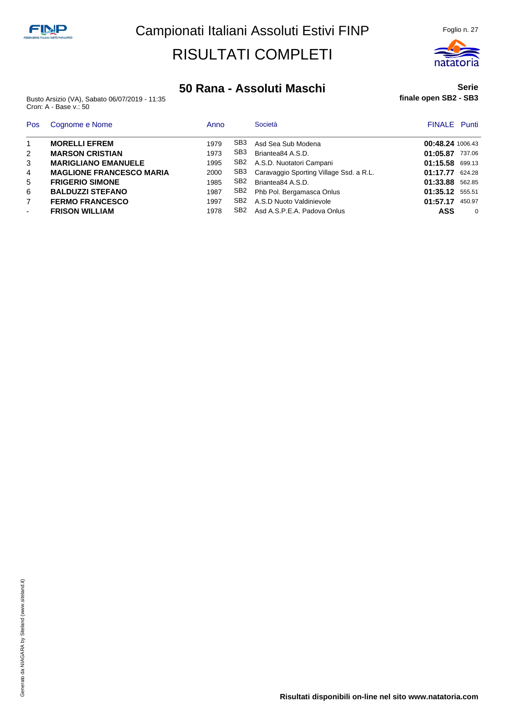

#### **50 Rana - Assoluti Maschi**

Busto Arsizio (VA), Sabato 06/07/2019 - 11:35 Cron: A - Base v.: 50

#### **Serie finale open SB2 - SB3**

| Pos            | Cognome e Nome                  | Anno |                 | Società                                 | <b>FINALE</b> Punti |          |
|----------------|---------------------------------|------|-----------------|-----------------------------------------|---------------------|----------|
|                | <b>MORELLI EFREM</b>            | 1979 | SB3             | Asd Sea Sub Modena                      | 00:48.24 1006.43    |          |
| $\overline{2}$ | <b>MARSON CRISTIAN</b>          | 1973 | SB <sub>3</sub> | Briantea84 A.S.D.                       | 01:05.87 737.06     |          |
| 3              | <b>MARIGLIANO EMANUELE</b>      | 1995 | SB2             | A.S.D. Nuotatori Campani                | 01:15.58 699.13     |          |
| 4              | <b>MAGLIONE FRANCESCO MARIA</b> | 2000 | SB3             | Caravaggio Sporting Village Ssd. a R.L. | 01:17.77 624.28     |          |
| 5              | <b>FRIGERIO SIMONE</b>          | 1985 | SB <sub>2</sub> | Briantea84 A.S.D.                       | 01:33.88 562.85     |          |
| 6              | <b>BALDUZZI STEFANO</b>         | 1987 | SB2             | Phb Pol. Bergamasca Onlus               | 01:35.12 555.51     |          |
| $\overline{7}$ | <b>FERMO FRANCESCO</b>          | 1997 | SB <sub>2</sub> | A.S.D Nuoto Valdinievole                | 01:57.17            | 450.97   |
|                | <b>FRISON WILLIAM</b>           | 1978 | SB2             | Asd A.S.P.E.A. Padova Onlus             | ASS                 | $\Omega$ |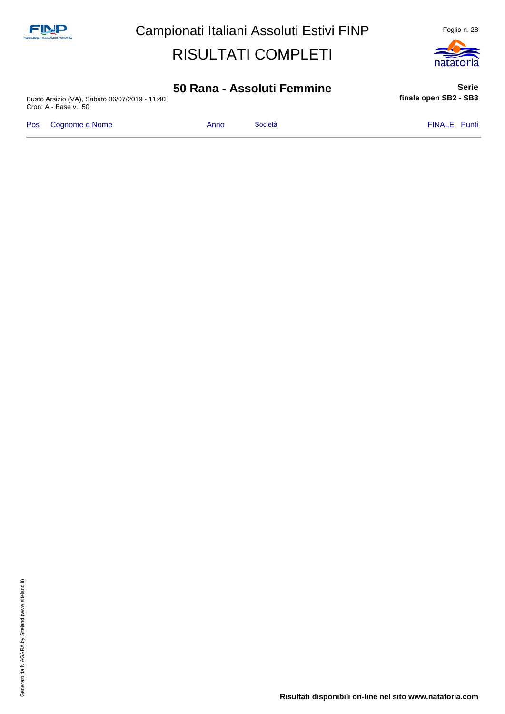

**Serie**

### **50 Rana - Assoluti Femmine**

Busto Arsizio (VA), Sabato 06/07/2019 - 11:40 Cron: A - Base v.: 50

Pos Cognome e Nome **Anno** Società **Anno Società** FINALE Punti

**finale open SB2 - SB3**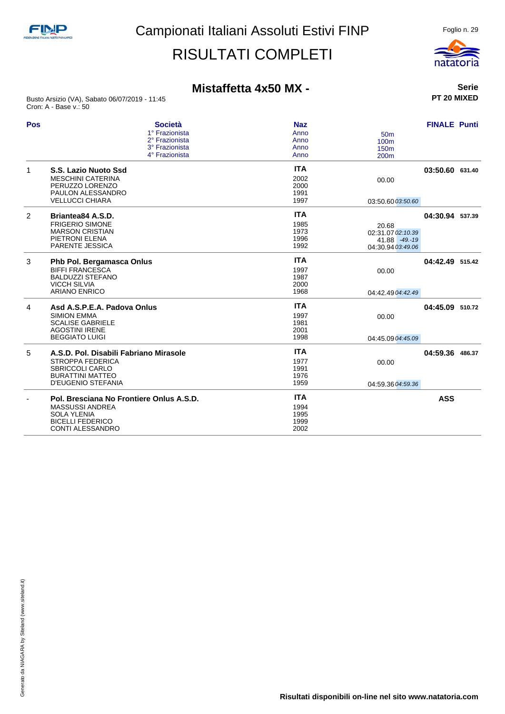

### **Mistaffetta 4x50 MX -**

Busto Arsizio (VA), Sabato 06/07/2019 - 11:45 Cron: A - Base v.: 50

| Pos | <b>Società</b>                           | <b>Naz</b> |                   | <b>FINALE Punti</b> |  |
|-----|------------------------------------------|------------|-------------------|---------------------|--|
|     | 1° Frazionista                           | Anno       | 50 <sub>m</sub>   |                     |  |
|     | 2° Frazionista                           | Anno       | 100m              |                     |  |
|     | 3° Frazionista                           | Anno       | 150 <sub>m</sub>  |                     |  |
|     | 4° Frazionista                           | Anno       | 200 <sub>m</sub>  |                     |  |
| 1   | S.S. Lazio Nuoto Ssd                     | <b>ITA</b> |                   | 03:50.60 631.40     |  |
|     | <b>MESCHINI CATERINA</b>                 | 2002       | 00.00             |                     |  |
|     | PERUZZO LORENZO                          | 2000       |                   |                     |  |
|     | PAULON ALESSANDRO                        | 1991       |                   |                     |  |
|     | <b>VELLUCCI CHIARA</b>                   | 1997       | 03:50.60 03:50.60 |                     |  |
| 2   | Briantea84 A.S.D.                        | <b>ITA</b> |                   | 04:30.94 537.39     |  |
|     | <b>FRIGERIO SIMONE</b>                   | 1985       | 20.68             |                     |  |
|     | <b>MARSON CRISTIAN</b>                   | 1973       | 02:31.07 02:10.39 |                     |  |
|     | PIETRONI ELENA                           | 1996       | 41.88 -49.-19     |                     |  |
|     | <b>PARENTE JESSICA</b>                   | 1992       | 04:30.94 03:49.06 |                     |  |
| 3   | Phb Pol. Bergamasca Onlus                | <b>ITA</b> |                   | 04:42.49 515.42     |  |
|     | <b>BIFFI FRANCESCA</b>                   | 1997       | 00.00             |                     |  |
|     | <b>BALDUZZI STEFANO</b>                  | 1987       |                   |                     |  |
|     | <b>VICCH SILVIA</b>                      | 2000       |                   |                     |  |
|     | <b>ARIANO ENRICO</b>                     | 1968       | 04:42.49 04:42.49 |                     |  |
| 4   | Asd A.S.P.E.A. Padova Onlus              | <b>ITA</b> |                   | 04:45.09 510.72     |  |
|     | <b>SIMION EMMA</b>                       | 1997       | 00.00             |                     |  |
|     | <b>SCALISE GABRIELE</b>                  | 1981       |                   |                     |  |
|     | <b>AGOSTINI IRENE</b>                    | 2001       |                   |                     |  |
|     | <b>BEGGIATO LUIGI</b>                    | 1998       | 04:45.09 04:45.09 |                     |  |
| 5   | A.S.D. Pol. Disabili Fabriano Mirasole   | <b>ITA</b> |                   | 04:59.36 486.37     |  |
|     | <b>STROPPA FEDERICA</b>                  | 1977       | 00.00             |                     |  |
|     | <b>SBRICCOLI CARLO</b>                   | 1991       |                   |                     |  |
|     | <b>BURATTINI MATTEO</b>                  | 1976       |                   |                     |  |
|     | <b>D'EUGENIO STEFANIA</b>                | 1959       | 04:59.36 04:59.36 |                     |  |
|     | Pol. Bresciana No Frontiere Onlus A.S.D. | <b>ITA</b> |                   | <b>ASS</b>          |  |
|     | <b>MASSUSSI ANDREA</b>                   | 1994       |                   |                     |  |
|     | <b>SOLA YLENIA</b>                       | 1995       |                   |                     |  |
|     | <b>BICELLI FEDERICO</b>                  | 1999       |                   |                     |  |
|     | <b>CONTI ALESSANDRO</b>                  | 2002       |                   |                     |  |
|     |                                          |            |                   |                     |  |

**Serie PT 20 MIXED**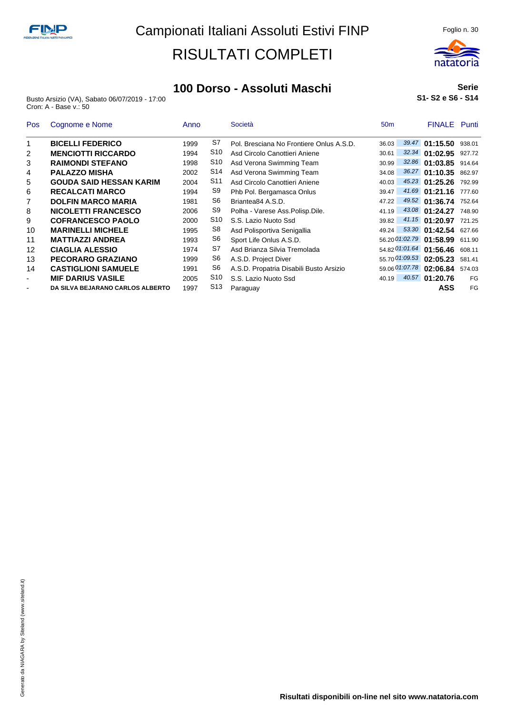

#### **100 Dorso - Assoluti Maschi**

Busto Arsizio (VA), Sabato 06/07/2019 - 17:00 Cron: A - Base v.: 50

#### **Serie S1- S2 e S6 - S14**

| <b>Pos</b>               | Cognome e Nome                   | Anno |                 | Società                                  | 50 <sub>m</sub> |                | <b>FINALE</b> Punti     |        |
|--------------------------|----------------------------------|------|-----------------|------------------------------------------|-----------------|----------------|-------------------------|--------|
|                          | <b>BICELLI FEDERICO</b>          | 1999 | S7              | Pol. Bresciana No Frontiere Onlus A.S.D. | 36.03           |                | 39.47 01:15.50          | 938.01 |
| 2                        | <b>MENCIOTTI RICCARDO</b>        | 1994 | S10             | Asd Circolo Canottieri Aniene            | 30.61           | 32.34          | 01:02.95                | 927.72 |
| 3                        | <b>RAIMONDI STEFANO</b>          | 1998 | S10             | Asd Verona Swimming Team                 | 30.99           | 32.86          | 01:03.85                | 914.64 |
| 4                        | <b>PALAZZO MISHA</b>             | 2002 | S14             | Asd Verona Swimming Team                 | 34.08           |                | 36.27 01:10.35          | 862.97 |
| 5                        | <b>GOUDA SAID HESSAN KARIM</b>   | 2004 | S11             | Asd Circolo Canottieri Aniene            | 40.03           |                | 45.23 01:25.26          | 792.99 |
| 6                        | <b>RECALCATI MARCO</b>           | 1994 | S9              | Phb Pol. Bergamasca Onlus                | 39.47           |                | 41.69 01:21.16          | 777.60 |
|                          | <b>DOLFIN MARCO MARIA</b>        | 1981 | S6              | Briantea84 A.S.D.                        | 47.22           |                | 49.52 01:36.74          | 752.64 |
| 8                        | <b>NICOLETTI FRANCESCO</b>       | 2006 | S <sub>9</sub>  | Polha - Varese Ass. Polisp. Dile.        | 41.19           |                | 43.08 01:24.27          | 748.90 |
| 9                        | <b>COFRANCESCO PAOLO</b>         | 2000 | S <sub>10</sub> | S.S. Lazio Nuoto Ssd                     | 39.82           |                | 41.15 01:20.97          | 721.25 |
| 10                       | <b>MARINELLI MICHELE</b>         | 1995 | S8              | Asd Polisportiva Senigallia              | 49.24           |                | 53.30 01:42.54          | 627.66 |
| 11                       | <b>MATTIAZZI ANDREA</b>          | 1993 | S6              | Sport Life Onlus A.S.D.                  |                 |                | 56.20 01:02.79 01:58.99 | 611.90 |
| 12                       | <b>CIAGLIA ALESSIO</b>           | 1974 | S7              | Asd Brianza Silvia Tremolada             |                 |                | 54.82 01:01.64 01:56.46 | 608.11 |
| 13                       | PECORARO GRAZIANO                | 1999 | S6              | A.S.D. Project Diver                     |                 | 55.70 01:09.53 | 02:05.23                | 581.41 |
| 14                       | <b>CASTIGLIONI SAMUELE</b>       | 1991 | S6              | A.S.D. Propatria Disabili Busto Arsizio  |                 | 59.06 01:07.78 | 02:06.84                | 574.03 |
| $\overline{\phantom{a}}$ | <b>MIF DARIUS VASILE</b>         | 2005 | S10             | S.S. Lazio Nuoto Ssd                     | 40.19           |                | 40.57 01:20.76          | FG     |
| ٠                        | DA SILVA BEJARANO CARLOS ALBERTO | 1997 | S <sub>13</sub> | Paraguay                                 |                 |                | ASS                     | FG     |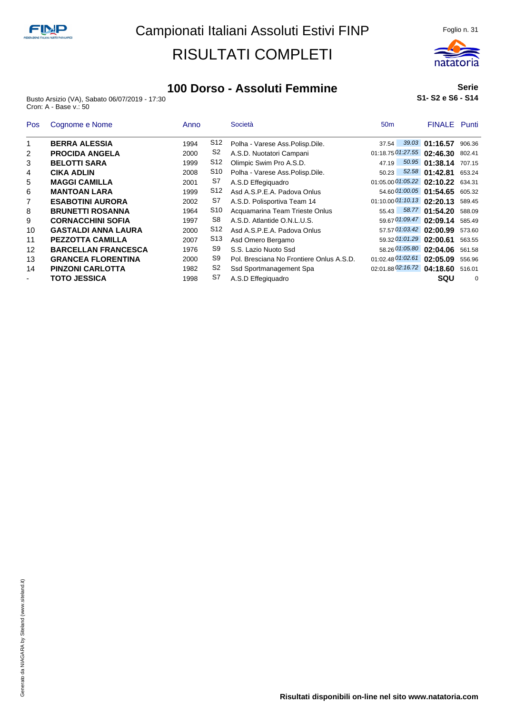

### **100 Dorso - Assoluti Femmine**

Busto Arsizio (VA), Sabato 06/07/2019 - 17:30 Cron: A - Base v.: 50

#### **Serie S1- S2 e S6 - S14**

| <b>Pos</b>               | Cognome e Nome             | Anno |                 | Società                                  | 50 <sub>m</sub>                   | <b>FINALE</b> Punti   |          |
|--------------------------|----------------------------|------|-----------------|------------------------------------------|-----------------------------------|-----------------------|----------|
|                          | <b>BERRA ALESSIA</b>       | 1994 | S12             | Polha - Varese Ass.Polisp.Dile.          | 37.54                             | 39.03 01:16.57        | 906.36   |
| 2                        | <b>PROCIDA ANGELA</b>      | 2000 | S2              | A.S.D. Nuotatori Campani                 | $01:18.75\,01:27.55$ 02:46.30     |                       | 802.41   |
| 3                        | <b>BELOTTI SARA</b>        | 1999 | S <sub>12</sub> | Olimpic Swim Pro A.S.D.                  | 47.19                             | 50.95 01:38.14 707.15 |          |
| 4                        | <b>CIKA ADLIN</b>          | 2008 | S10             | Polha - Varese Ass.Polisp.Dile.          | 50.23                             | 52.58 01:42.81        | 653.24   |
| 5                        | <b>MAGGI CAMILLA</b>       | 2001 | S7              | A.S.D Effegiguadro                       | 01:05.00 01:05.22 02:10.22 634.31 |                       |          |
| 6                        | <b>MANTOAN LARA</b>        | 1999 | S <sub>12</sub> | Asd A.S.P.E.A. Padova Onlus              | 54.60 01:00.05 01:54.65 605.32    |                       |          |
|                          | <b>ESABOTINI AURORA</b>    | 2002 | S7              | A.S.D. Polisportiva Team 14              | $01:10.00$ $01:10.13$ 02:20.13    |                       | 589.45   |
| 8                        | <b>BRUNETTI ROSANNA</b>    | 1964 | S10             | Acquamarina Team Trieste Onlus           | 55.43                             | 58.77 01:54.20        | 588.09   |
| 9                        | <b>CORNACCHINI SOFIA</b>   | 1997 | S8              | A.S.D. Atlantide O.N.L.U.S.              | 59.67 01:09.47 02:09.14           |                       | 585.49   |
| 10                       | <b>GASTALDI ANNA LAURA</b> | 2000 | S12             | Asd A.S.P.E.A. Padova Onlus              | 57.57 01:03.42 02:00.99           |                       | 573.60   |
| 11                       | <b>PEZZOTTA CAMILLA</b>    | 2007 | S <sub>13</sub> | Asd Omero Bergamo                        | 59.32 01:01.29 02:00.61           |                       | 563.55   |
| 12                       | <b>BARCELLAN FRANCESCA</b> | 1976 | S9              | S.S. Lazio Nuoto Ssd                     | 58.26 01:05.80 02:04.06           |                       | 561.58   |
| 13                       | <b>GRANCEA FLORENTINA</b>  | 2000 | S9              | Pol. Bresciana No Frontiere Onlus A.S.D. | 01:02.48 01:02.61 02:05.09        |                       | 556.96   |
| 14                       | <b>PINZONI CARLOTTA</b>    | 1982 | S <sub>2</sub>  | Ssd Sportmanagement Spa                  | 02:01.88 02:16.72 04:18.60        |                       | 516.01   |
| $\overline{\phantom{a}}$ | <b>TOTO JESSICA</b>        | 1998 | S7              | A.S.D Effegiguadro                       |                                   | SQU                   | $\Omega$ |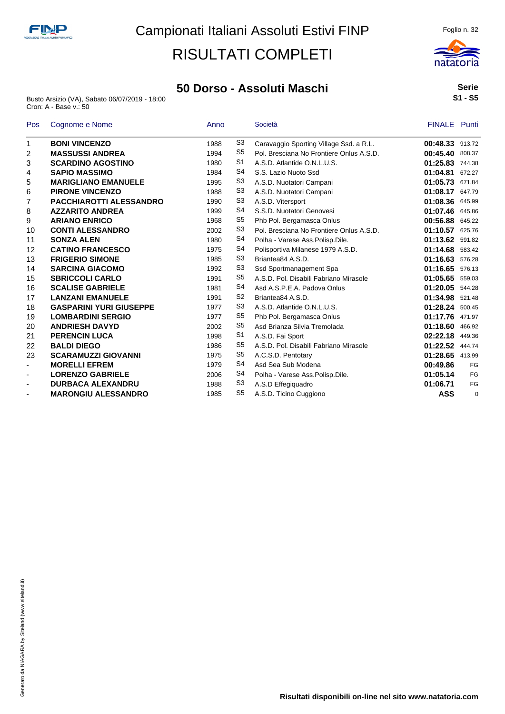#### **50 Dorso - Assoluti Maschi**

Busto Arsizio (VA), Sabato 06/07/2019 - 18:00 Cron: A - Base v.: 50



| Pos                      | Cognome e Nome                 | Anno |                | Società                                  | <b>FINALE</b> Punti |        |
|--------------------------|--------------------------------|------|----------------|------------------------------------------|---------------------|--------|
| 1                        | <b>BONI VINCENZO</b>           | 1988 | S <sub>3</sub> | Caravaggio Sporting Village Ssd. a R.L.  | 00:48.33 913.72     |        |
| 2                        | <b>MASSUSSI ANDREA</b>         | 1994 | S <sub>5</sub> | Pol. Bresciana No Frontiere Onlus A.S.D. | 00:45.40            | 808.37 |
| 3                        | <b>SCARDINO AGOSTINO</b>       | 1980 | S1             | A.S.D. Atlantide O.N.L.U.S.              | 01:25.83            | 744.38 |
| 4                        | <b>SAPIO MASSIMO</b>           | 1984 | S4             | S.S. Lazio Nuoto Ssd                     | 01:04.81            | 672.27 |
| 5                        | <b>MARIGLIANO EMANUELE</b>     | 1995 | S3             | A.S.D. Nuotatori Campani                 | 01:05.73            | 671.84 |
| 6                        | <b>PIRONE VINCENZO</b>         | 1988 | S <sub>3</sub> | A.S.D. Nuotatori Campani                 | 01:08.17            | 647.79 |
| 7                        | <b>PACCHIAROTTI ALESSANDRO</b> | 1990 | S <sub>3</sub> | A.S.D. Vitersport                        | 01:08.36            | 645.99 |
| 8                        | <b>AZZARITO ANDREA</b>         | 1999 | S4             | S.S.D. Nuotatori Genovesi                | 01:07.46            | 645.86 |
| 9                        | <b>ARIANO ENRICO</b>           | 1968 | S <sub>5</sub> | Phb Pol. Bergamasca Onlus                | 00:56.88            | 645.22 |
| 10                       | <b>CONTI ALESSANDRO</b>        | 2002 | S <sub>3</sub> | Pol. Bresciana No Frontiere Onlus A.S.D. | 01:10.57            | 625.76 |
| 11                       | <b>SONZA ALEN</b>              | 1980 | S4             | Polha - Varese Ass.Polisp.Dile.          | 01:13.62            | 591.82 |
| 12                       | <b>CATINO FRANCESCO</b>        | 1975 | S4             | Polisportiva Milanese 1979 A.S.D.        | 01:14.68            | 583.42 |
| 13                       | <b>FRIGERIO SIMONE</b>         | 1985 | S <sub>3</sub> | Briantea84 A.S.D.                        | 01:16.63            | 576.28 |
| 14                       | <b>SARCINA GIACOMO</b>         | 1992 | S <sub>3</sub> | Ssd Sportmanagement Spa                  | 01:16.65            | 576.13 |
| 15                       | <b>SBRICCOLI CARLO</b>         | 1991 | S <sub>5</sub> | A.S.D. Pol. Disabili Fabriano Mirasole   | 01:05.65            | 559.03 |
| 16                       | <b>SCALISE GABRIELE</b>        | 1981 | S <sub>4</sub> | Asd A.S.P.E.A. Padova Onlus              | 01:20.05            | 544.28 |
| 17                       | <b>LANZANI EMANUELE</b>        | 1991 | S <sub>2</sub> | Briantea84 A.S.D.                        | 01:34.98            | 521.48 |
| 18                       | <b>GASPARINI YURI GIUSEPPE</b> | 1977 | S3             | A.S.D. Atlantide O.N.L.U.S.              | 01:28.24 500.45     |        |
| 19                       | <b>LOMBARDINI SERGIO</b>       | 1977 | S <sub>5</sub> | Phb Pol. Bergamasca Onlus                | 01:17.76 471.97     |        |
| 20                       | <b>ANDRIESH DAVYD</b>          | 2002 | S <sub>5</sub> | Asd Brianza Silvia Tremolada             | 01:18.60            | 466.92 |
| 21                       | <b>PERENCIN LUCA</b>           | 1998 | S <sub>1</sub> | A.S.D. Fai Sport                         | 02:22.18            | 449.36 |
| 22                       | <b>BALDI DIEGO</b>             | 1986 | S <sub>5</sub> | A.S.D. Pol. Disabili Fabriano Mirasole   | 01:22.52            | 444.74 |
| 23                       | <b>SCARAMUZZI GIOVANNI</b>     | 1975 | S <sub>5</sub> | A.C.S.D. Pentotary                       | 01:28.65 413.99     |        |
| ٠                        | <b>MORELLI EFREM</b>           | 1979 | S4             | Asd Sea Sub Modena                       | 00:49.86            | FG     |
| $\overline{\phantom{a}}$ | <b>LORENZO GABRIELE</b>        | 2006 | S4             | Polha - Varese Ass.Polisp.Dile.          | 01:05.14            | FG     |
| $\overline{\phantom{a}}$ | <b>DURBACA ALEXANDRU</b>       | 1988 | S <sub>3</sub> | A.S.D Effegiguadro                       | 01:06.71            | FG     |
| $\overline{a}$           | <b>MARONGIU ALESSANDRO</b>     | 1985 | S <sub>5</sub> | A.S.D. Ticino Cuggiono                   | <b>ASS</b>          | O      |

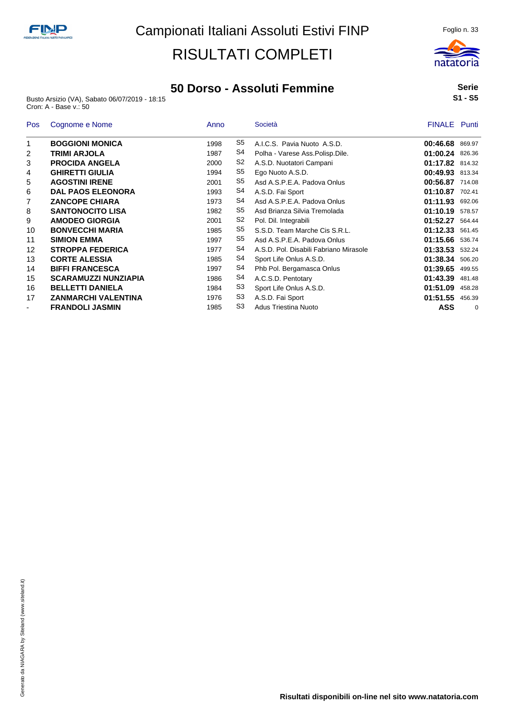### **50 Dorso - Assoluti Femmine**

Busto Arsizio (VA), Sabato 06/07/2019 - 18:15 Cron: A - Base v.: 50

#### **Serie S1 - S5**

| <b>Pos</b>               | Cognome e Nome              | Anno |                | Società                                | <b>FINALE</b> Punti |             |
|--------------------------|-----------------------------|------|----------------|----------------------------------------|---------------------|-------------|
| 1                        | <b>BOGGIONI MONICA</b>      | 1998 | S5             | A.I.C.S. Pavia Nuoto A.S.D.            | 00:46.68 869.97     |             |
| 2                        | <b>TRIMI ARJOLA</b>         | 1987 | S4             | Polha - Varese Ass.Polisp.Dile.        | 01:00.24 826.36     |             |
| 3                        | <b>PROCIDA ANGELA</b>       | 2000 | S <sub>2</sub> | A.S.D. Nuotatori Campani               | 01:17.82 814.32     |             |
| 4                        | <b>GHIRETTI GIULIA</b>      | 1994 | S5             | Ego Nuoto A.S.D.                       | 00:49.93 813.34     |             |
| 5                        | <b>AGOSTINI IRENE</b>       | 2001 | S5             | Asd A.S.P.E.A. Padova Onlus            | 00:56.87 714.08     |             |
| 6                        | <b>DAL PAOS ELEONORA</b>    | 1993 | S4             | A.S.D. Fai Sport                       | 01:10.87            | 702.41      |
| 7                        | <b>ZANCOPE CHIARA</b>       | 1973 | S4             | Asd A.S.P.E.A. Padova Onlus            | 01:11.93 692.06     |             |
| 8                        | <b>SANTONOCITO LISA</b>     | 1982 | S5             | Asd Brianza Silvia Tremolada           | 01:10.19            | 578.57      |
| 9                        | <b>AMODEO GIORGIA</b>       | 2001 | S <sub>2</sub> | Pol. Dil. Integrabili                  | 01:52.27            | 564.44      |
| 10                       | <b>BONVECCHI MARIA</b>      | 1985 | S5             | S.S.D. Team Marche Cis S.R.L.          | 01:12.33            | 561.45      |
| 11                       | <b>SIMION EMMA</b>          | 1997 | S5             | Asd A.S.P.E.A. Padova Onlus            | 01:15.66 536.74     |             |
| 12                       | <b>STROPPA FEDERICA</b>     | 1977 | S <sub>4</sub> | A.S.D. Pol. Disabili Fabriano Mirasole | 01:33.53 532.24     |             |
| 13                       | <b>CORTE ALESSIA</b>        | 1985 | S <sub>4</sub> | Sport Life Onlus A.S.D.                | 01:38.34 506.20     |             |
| 14                       | <b>BIFFI FRANCESCA</b>      | 1997 | S <sub>4</sub> | Phb Pol. Bergamasca Onlus              | 01:39.65            | 499.55      |
| 15                       | <b>SCARAMUZZI NUNZIAPIA</b> | 1986 | S4             | A.C.S.D. Pentotary                     | 01:43.39            | 481.48      |
| 16                       | <b>BELLETTI DANIELA</b>     | 1984 | S3             | Sport Life Onlus A.S.D.                | 01:51.09            | 458.28      |
| 17                       | ZANMARCHI VALENTINA         | 1976 | S <sub>3</sub> | A.S.D. Fai Sport                       | 01:51.55            | 456.39      |
| $\overline{\phantom{a}}$ | <b>FRANDOLI JASMIN</b>      | 1985 | S <sub>3</sub> | Adus Triestina Nuoto                   | ASS                 | $\mathbf 0$ |

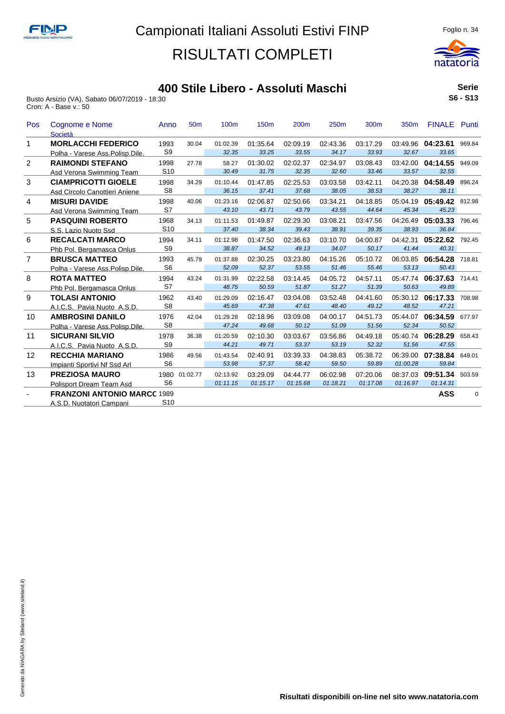

#### **400 Stile Libero - Assoluti Maschi**

Busto Arsizio (VA), Sabato 06/07/2019 - 18:30 Cron: A - Base v.: 50

|          | <b>Serie</b> |  |
|----------|--------------|--|
| S6 - S13 |              |  |

| Pos            | Cognome e Nome<br>Società          | Anno            | 50 <sub>m</sub> | 100m     | 150 <sub>m</sub> | 200m     | 250m     | 300m     | 350m     | <b>FINALE</b> Punti |             |
|----------------|------------------------------------|-----------------|-----------------|----------|------------------|----------|----------|----------|----------|---------------------|-------------|
| 1.             | <b>MORLACCHI FEDERICO</b>          | 1993            | 30.04           | 01:02.39 | 01:35.64         | 02:09.19 | 02:43.36 | 03:17.29 |          | 03:49.96 04:23.61   | 969.84      |
|                | Polha - Varese Ass. Polisp. Dile   | S <sub>9</sub>  |                 | 32.35    | 33.25            | 33.55    | 34.17    | 33.93    | 32.67    | 33.65               |             |
| $\overline{2}$ | <b>RAIMONDI STEFANO</b>            | 1998            | 27.78           | 58.27    | 01:30.02         | 02:02.37 | 02:34.97 | 03:08.43 |          | 03:42.00 04:14.55   | 949.09      |
|                | Asd Verona Swimming Team           | S <sub>10</sub> |                 | 30.49    | 31.75            | 32.35    | 32.60    | 33.46    | 33.57    | 32.55               |             |
| 3              | <b>CIAMPRICOTTI GIOELE</b>         | 1998            | 34.29           | 01:10.44 | 01:47.85         | 02:25.53 | 03:03.58 | 03:42.11 | 04:20.38 | 04:58.49            | 896.24      |
|                | Asd Circolo Canottieri Aniene      | S <sub>8</sub>  |                 | 36.15    | 37.41            | 37.68    | 38.05    | 38.53    | 38.27    | 38.11               |             |
| $\overline{4}$ | <b>MISURI DAVIDE</b>               | 1998            | 40.06           | 01:23.16 | 02:06.87         | 02:50.66 | 03:34.21 | 04:18.85 | 05:04.19 | 05:49.42            | 812.98      |
|                | Asd Verona Swimming Team           | S7              |                 | 43.10    | 43.71            | 43.79    | 43.55    | 44.64    | 45.34    | 45.23               |             |
| 5              | <b>PASQUINI ROBERTO</b>            | 1968            | 34.13           | 01:11.53 | 01:49.87         | 02:29.30 | 03:08.21 | 03:47.56 | 04:26.49 | 05:03.33            | 796.46      |
|                | S.S. Lazio Nuoto Ssd               | S <sub>10</sub> |                 | 37.40    | 38.34            | 39.43    | 38.91    | 39.35    | 38.93    | 36.84               |             |
| 6              | <b>RECALCATI MARCO</b>             | 1994            | 34.11           | 01:12.98 | 01:47.50         | 02:36.63 | 03:10.70 | 04:00.87 | 04:42.31 | 05:22.62            | 792.45      |
|                | Phb Pol. Bergamasca Onlus          | S <sub>9</sub>  |                 | 38.87    | 34.52            | 49.13    | 34.07    | 50.17    | 41.44    | 40.31               |             |
| $\overline{7}$ | <b>BRUSCA MATTEO</b>               | 1993            | 45.79           | 01:37.88 | 02:30.25         | 03:23.80 | 04:15.26 | 05:10.72 |          | 06:03.85 06:54.28   | 718.81      |
|                | Polha - Varese Ass.Polisp.Dile.    | S <sub>6</sub>  |                 | 52.09    | 52.37            | 53.55    | 51.46    | 55.46    | 53.13    | 50.43               |             |
| 8              | <b>ROTA MATTEO</b>                 | 1994            | 43.24           | 01:31.99 | 02:22.58         | 03:14.45 | 04:05.72 | 04:57.11 | 05:47.74 | 06:37.63            | 714.41      |
|                | Phb Pol. Bergamasca Onlus          | S7              |                 | 48.75    | 50.59            | 51.87    | 51.27    | 51.39    | 50.63    | 49.89               |             |
| 9              | <b>TOLASI ANTONIO</b>              | 1962            | 43.40           | 01:29.09 | 02:16.47         | 03:04.08 | 03:52.48 | 04:41.60 |          | 05:30.12 06:17.33   | 708.98      |
|                | A.I.C.S. Pavia Nuoto A.S.D.        | S <sub>8</sub>  |                 | 45.69    | 47.38            | 47.61    | 48.40    | 49.12    | 48.52    | 47.21               |             |
| 10             | <b>AMBROSINI DANILO</b>            | 1976            | 42.04           | 01:29.28 | 02:18.96         | 03:09.08 | 04:00.17 | 04:51.73 |          | 05:44.07 06:34.59   | 677.97      |
|                | Polha - Varese Ass.Polisp.Dile.    | S <sub>8</sub>  |                 | 47.24    | 49.68            | 50.12    | 51.09    | 51.56    | 52.34    | 50.52               |             |
| 11             | <b>SICURANI SILVIO</b>             | 1978            | 36.38           | 01:20.59 | 02:10.30         | 03:03.67 | 03:56.86 | 04:49.18 |          | 05:40.74 06:28.29   | 658.43      |
|                | A.I.C.S. Pavia Nuoto A.S.D.        | S <sub>9</sub>  |                 | 44.21    | 49.71            | 53.37    | 53.19    | 52.32    | 51.56    | 47.55               |             |
| 12             | <b>RECCHIA MARIANO</b>             | 1986            | 49.56           | 01:43.54 | 02:40.91         | 03:39.33 | 04:38.83 | 05:38.72 |          | 06:39.00 07:38.84   | 649.01      |
|                | Impianti Sportivi Nf Ssd Arl       | S <sub>6</sub>  |                 | 53.98    | 57.37            | 58.42    | 59.50    | 59.89    | 01:00.28 | 59.84               |             |
| 13             | <b>PREZIOSA MAURO</b>              | 1980            | 01:02.77        | 02:13.92 | 03:29.09         | 04:44.77 | 06:02.98 | 07:20.06 | 08:37.03 | 09:51.34            | 503.59      |
|                | <b>Polisport Dream Team Asd</b>    | S <sub>6</sub>  |                 | 01:11.15 | 01:15.17         | 01:15.68 | 01:18.21 | 01:17.08 | 01:16.97 | 01:14.31            |             |
|                | <b>FRANZONI ANTONIO MARCC 1989</b> |                 |                 |          |                  |          |          |          |          | ASS                 | $\mathbf 0$ |
|                | A.S.D. Nuotatori Campani           | S <sub>10</sub> |                 |          |                  |          |          |          |          |                     |             |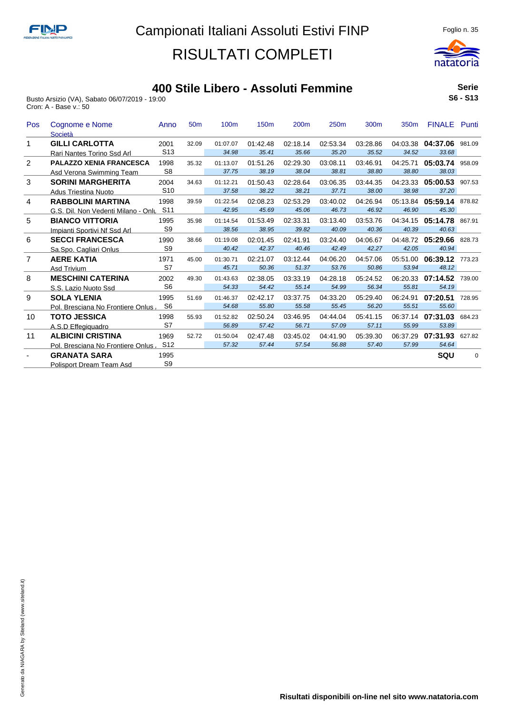

### **400 Stile Libero - Assoluti Femmine**

Busto Arsizio (VA), Sabato 06/07/2019 - 19:00 Cron: A - Base v.: 50

**Serie S6 - S13**

| Pos            | Cognome e Nome<br>Società           | Anno            | 50 <sub>m</sub> | 100 <sub>m</sub> | 150 <sub>m</sub> | 200 <sub>m</sub> | 250 <sub>m</sub> | 300 <sub>m</sub> | 350 <sub>m</sub> | <b>FINALE</b>     | Punti    |
|----------------|-------------------------------------|-----------------|-----------------|------------------|------------------|------------------|------------------|------------------|------------------|-------------------|----------|
|                | <b>GILLI CARLOTTA</b>               | 2001            | 32.09           | 01:07.07         | 01:42.48         | 02:18.14         | 02:53.34         | 03:28.86         |                  | 04:03.38 04:37.06 | 981.09   |
|                | Rari Nantes Torino Ssd Arl          | S <sub>13</sub> |                 | 34.98            | 35.41            | 35.66            | 35.20            | 35.52            | 34.52            | 33.68             |          |
| $\overline{2}$ | <b>PALAZZO XENIA FRANCESCA</b>      | 1998            | 35.32           | 01:13.07         | 01:51.26         | 02:29.30         | 03:08.11         | 03:46.91         | 04:25.71         | 05:03.74          | 958.09   |
|                | Asd Verona Swimming Team            | S <sub>8</sub>  |                 | 37.75            | 38.19            | 38.04            | 38.81            | 38.80            | 38.80            | 38.03             |          |
| 3              | <b>SORINI MARGHERITA</b>            | 2004            | 34.63           | 01:12.21         | 01:50.43         | 02:28.64         | 03:06.35         | 03:44.35         |                  | 04:23.33 05:00.53 | 907.53   |
|                | <b>Adus Triestina Nuoto</b>         | S <sub>10</sub> |                 | 37.58            | 38.22            | 38.21            | 37.71            | 38.00            | 38.98            | 37.20             |          |
| 4              | <b>RABBOLINI MARTINA</b>            | 1998            | 39.59           | 01:22.54         | 02:08.23         | 02:53.29         | 03:40.02         | 04:26.94         | 05:13.84         | 05:59.14 878.82   |          |
|                | G.S. Dil. Non Vedenti Milano - Onlu | S <sub>11</sub> |                 | 42.95            | 45.69            | 45.06            | 46.73            | 46.92            | 46.90            | 45.30             |          |
| 5              | <b>BIANCO VITTORIA</b>              | 1995            | 35.98           | 01:14.54         | 01:53.49         | 02:33.31         | 03:13.40         | 03:53.76         | 04:34.15         | 05:14.78          | 867.91   |
|                | Impianti Sportivi Nf Ssd Arl        | S <sub>9</sub>  |                 | 38.56            | 38.95            | 39.82            | 40.09            | 40.36            | 40.39            | 40.63             |          |
| 6              | <b>SECCI FRANCESCA</b>              | 1990            | 38.66           | 01:19.08         | 02:01.45         | 02:41.91         | 03:24.40         | 04:06.67         |                  | 04:48.72 05:29.66 | 828.73   |
|                | Sa.Spo. Cagliari Onlus              | S <sub>9</sub>  |                 | 40.42            | 42.37            | 40.46            | 42.49            | 42.27            | 42.05            | 40.94             |          |
| $\overline{7}$ | <b>AERE KATIA</b>                   | 1971            | 45.00           | 01:30.71         | 02:21.07         | 03:12.44         | 04:06.20         | 04:57.06         | 05:51.00         | 06:39.12          | 773.23   |
|                | Asd Trivium                         | S7              |                 | 45.71            | 50.36            | 51.37            | 53.76            | 50.86            | 53.94            | 48.12             |          |
| 8              | <b>MESCHINI CATERINA</b>            | 2002            | 49.30           | 01:43.63         | 02:38.05         | 03:33.19         | 04:28.18         | 05:24.52         | 06:20.33         | 07:14.52          | 739.00   |
|                | S.S. Lazio Nuoto Ssd                | S <sub>6</sub>  |                 | 54.33            | 54.42            | 55.14            | 54.99            | 56.34            | 55.81            | 54.19             |          |
| 9              | <b>SOLA YLENIA</b>                  | 1995            | 51.69           | 01:46.37         | 02:42.17         | 03:37.75         | 04:33.20         | 05:29.40         | 06:24.91         | 07:20.51          | 728.95   |
|                | Pol. Bresciana No Frontiere Onlus   | S <sub>6</sub>  |                 | 54.68            | 55.80            | 55.58            | 55.45            | 56.20            | 55.51            | 55.60             |          |
| 10             | <b>TOTO JESSICA</b>                 | 1998            | 55.93           | 01:52.82         | 02:50.24         | 03:46.95         | 04:44.04         | 05:41.15         |                  | 06:37.14 07:31.03 | 684.23   |
|                | A.S.D Effegiguadro                  | S7              |                 | 56.89            | 57.42            | 56.71            | 57.09            | 57.11            | 55.99            | 53.89             |          |
| 11             | <b>ALBICINI CRISTINA</b>            | 1969            | 52.72           | 01:50.04         | 02:47.48         | 03:45.02         | 04:41.90         | 05:39.30         | 06:37.29         | 07:31.93          | 627.82   |
|                | Pol. Bresciana No Frontiere Onlus   | S <sub>12</sub> |                 | 57.32            | 57.44            | 57.54            | 56.88            | 57.40            | 57.99            | 54.64             |          |
|                | <b>GRANATA SARA</b>                 | 1995            |                 |                  |                  |                  |                  |                  |                  | SQU               | $\Omega$ |
|                | <b>Polisport Dream Team Asd</b>     | S <sub>9</sub>  |                 |                  |                  |                  |                  |                  |                  |                   |          |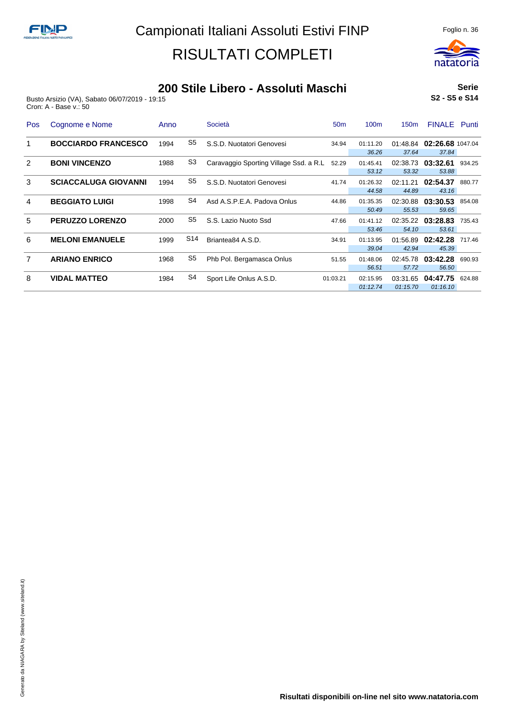

#### **200 Stile Libero - Assoluti Maschi**

Busto Arsizio (VA), Sabato 06/07/2019 - 19:15 Cron: A - Base v.: 50

**Serie S2 - S5 e S14**

| <b>Pos</b> | Cognome e Nome              | Anno |                 | Società                                | 50 <sub>m</sub> | 100 <sub>m</sub>     | 150 <sub>m</sub>     | <b>FINALE</b> Punti                |        |
|------------|-----------------------------|------|-----------------|----------------------------------------|-----------------|----------------------|----------------------|------------------------------------|--------|
|            | <b>BOCCIARDO FRANCESCO</b>  | 1994 | S5              | S.S.D. Nuotatori Genovesi              | 34.94           | 01:11.20<br>36.26    | 37.64                | 01:48.84 02:26.68 1047.04<br>37.84 |        |
| 2          | <b>BONI VINCENZO</b>        | 1988 | S <sub>3</sub>  | Caravaggio Sporting Village Ssd. a R.L | 52.29           | 01:45.41<br>53.12    | 53.32                | 02:38.73 03:32.61<br>53.88         | 934.25 |
| 3          | <b>SCIACCALUGA GIOVANNI</b> | 1994 | S <sub>5</sub>  | S.S.D. Nuotatori Genovesi              | 41.74           | 01:26.32<br>44.58    | 02:11.21<br>44.89    | 02:54.37<br>43.16                  | 880.77 |
| 4          | <b>BEGGIATO LUIGI</b>       | 1998 | S4              | Asd A.S.P.E.A. Padova Onlus            | 44.86           | 01:35.35<br>50.49    | 55.53                | 02:30.88 03:30.53<br>59.65         | 854.08 |
| 5          | <b>PERUZZO LORENZO</b>      | 2000 | S5              | S.S. Lazio Nuoto Ssd                   | 47.66           | 01:41.12<br>53.46    | 54.10                | 02:35.22 03:28.83<br>53.61         | 735.43 |
| 6          | <b>MELONI EMANUELE</b>      | 1999 | S <sub>14</sub> | Briantea84 A.S.D.                      | 34.91           | 01:13.95<br>39.04    | 01:56.89<br>42.94    | 02:42.28<br>45.39                  | 717.46 |
| 7          | <b>ARIANO ENRICO</b>        | 1968 | S <sub>5</sub>  | Phb Pol. Bergamasca Onlus              | 51.55           | 01:48.06<br>56.51    | 02:45.78<br>57.72    | 03:42.28<br>56.50                  | 690.93 |
| 8          | <b>VIDAL MATTEO</b>         | 1984 | S4              | Sport Life Onlus A.S.D.                | 01:03.21        | 02:15.95<br>01:12.74 | 03:31.65<br>01:15.70 | 04:47.75<br>01:16.10               | 624.88 |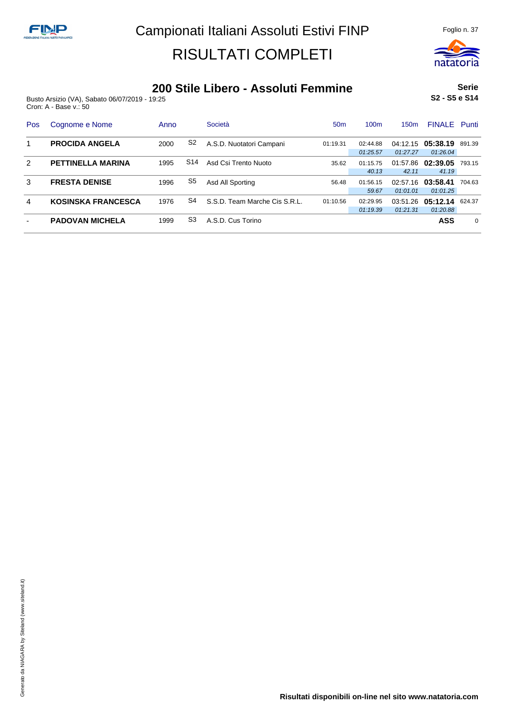

### **200 Stile Libero - Assoluti Femmine**

Busto Arsizio (VA), Sabato 06/07/2019 - 19:25 Cron: A - Base v.: 50

**Serie S2 - S5 e S14**

| Pos           | Cognome e Nome            | Anno |                | Società                       | 50 <sub>m</sub> | 100 <sub>m</sub> | 150m     | <b>FINALE</b> Punti |        |
|---------------|---------------------------|------|----------------|-------------------------------|-----------------|------------------|----------|---------------------|--------|
|               | <b>PROCIDA ANGELA</b>     | 2000 | S2             | A.S.D. Nuotatori Campani      | 01:19.31        | 02:44.88         | 04:12.15 | 05:38.19            | 891.39 |
|               |                           |      |                |                               |                 | 01:25.57         | 01:27.27 | 01:26.04            |        |
| $\mathcal{P}$ | <b>PETTINELLA MARINA</b>  | 1995 | S14            | Asd Csi Trento Nuoto          | 35.62           | 01:15.75         | 01:57.86 | 02:39.05            | 793.15 |
|               |                           |      |                |                               |                 | 40.13            | 42.11    | 41.19               |        |
| 3             | <b>FRESTA DENISE</b>      | 1996 | S <sub>5</sub> | Asd All Sporting              | 56.48           | 01:56.15         | 02:57.16 | 03:58.41            | 704.63 |
|               |                           |      |                |                               |                 | 59.67            | 01:01.01 | 01:01.25            |        |
| 4             | <b>KOSINSKA FRANCESCA</b> | 1976 | S4             | S.S.D. Team Marche Cis S.R.L. | 01:10.56        | 02:29.95         | 03:51.26 | 05:12.14            | 624.37 |
|               |                           |      |                |                               |                 | 01:19.39         | 01:21.31 | 01:20.88            |        |
|               | <b>PADOVAN MICHELA</b>    | 1999 | S3             | A.S.D. Cus Torino             |                 |                  |          | <b>ASS</b>          | 0      |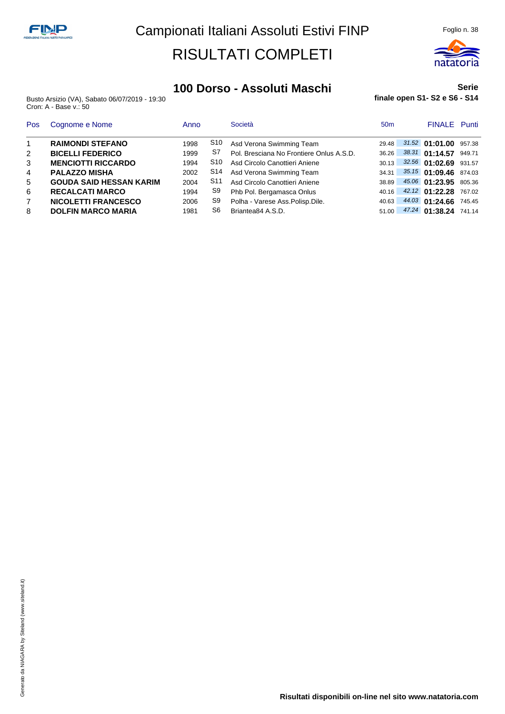

#### **100 Dorso - Assoluti Maschi**

Busto Arsizio (VA), Sabato 06/07/2019 - 19:30 Cron: A - Base v.: 50

#### **Serie finale open S1- S2 e S6 - S14**

| Pos            | Cognome e Nome                 | Anno |                 | Società                                  | 50 <sub>m</sub> | <b>FINALE</b> Punti         |  |
|----------------|--------------------------------|------|-----------------|------------------------------------------|-----------------|-----------------------------|--|
| $\overline{1}$ | <b>RAIMONDI STEFANO</b>        | 1998 | S10             | Asd Verona Swimming Team                 | 29.48           | $31.52$ 01:01.00 957.38     |  |
| $\overline{2}$ | <b>BICELLI FEDERICO</b>        | 1999 | S7              | Pol. Bresciana No Frontiere Onlus A.S.D. | 36.26           | 38.31 01:14.57 949.71       |  |
| 3              | <b>MENCIOTTI RICCARDO</b>      | 1994 | S10             | Asd Circolo Canottieri Aniene            | 30.13           | 32.56 01:02.69 931.57       |  |
| 4              | <b>PALAZZO MISHA</b>           | 2002 | S14             | Asd Verona Swimming Team                 | 34.31           | 35.15 01:09.46 874.03       |  |
| 5              | <b>GOUDA SAID HESSAN KARIM</b> | 2004 | S <sub>11</sub> | Asd Circolo Canottieri Aniene            | 38.89           | 45.06 01:23.95 805.36       |  |
| 6              | <b>RECALCATI MARCO</b>         | 1994 | S9              | Phb Pol. Bergamasca Onlus                |                 | 40.16 42.12 01:22.28 767.02 |  |
| 7              | <b>NICOLETTI FRANCESCO</b>     | 2006 | S9              | Polha - Varese Ass.Polisp.Dile.          | 40.63           | 44.03 01:24.66 745.45       |  |
| 8              | <b>DOLFIN MARCO MARIA</b>      | 1981 | S6              | Briantea84 A.S.D.                        | 51.00           | 47.24 01:38.24 741.14       |  |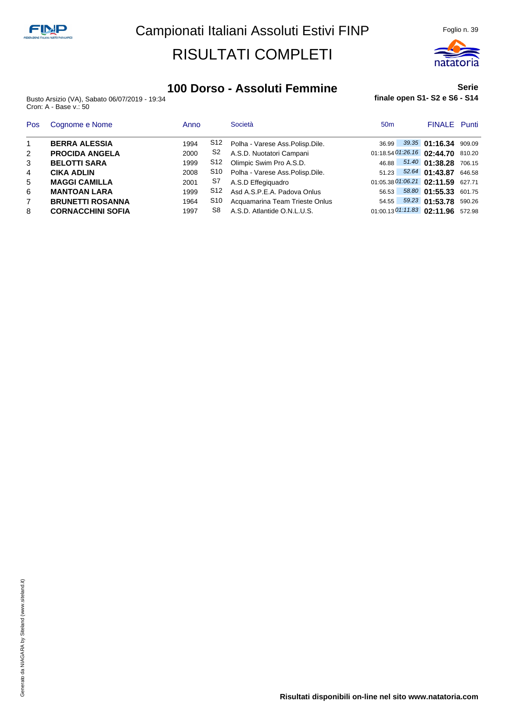

### **100 Dorso - Assoluti Femmine**

Busto Arsizio (VA), Sabato 06/07/2019 - 19:34 Cron: A - Base v.: 50

#### **Serie finale open S1- S2 e S6 - S14**

| Pos            | Cognome e Nome           | Anno |     | Società                           | 50 <sub>m</sub>                      |                             | <b>FINALE</b> Punti |
|----------------|--------------------------|------|-----|-----------------------------------|--------------------------------------|-----------------------------|---------------------|
| $\overline{1}$ | <b>BERRA ALESSIA</b>     | 1994 | S12 | Polha - Varese Ass. Polisp. Dile. | 36.99                                | 39.35 01:16.34 909.09       |                     |
| 2              | <b>PROCIDA ANGELA</b>    | 2000 | S2  | A.S.D. Nuotatori Campani          | 01:18.54 01:26.16 02:44.70 810.20    |                             |                     |
| 3              | <b>BELOTTI SARA</b>      | 1999 | S12 | Olimpic Swim Pro A.S.D.           | 46.88                                | 51.40 01:38.28 706.15       |                     |
| 4              | <b>CIKA ADLIN</b>        | 2008 | S10 | Polha - Varese Ass.Polisp.Dile.   |                                      | 51.23 52.64 01:43.87 646.58 |                     |
| 5              | <b>MAGGI CAMILLA</b>     | 2001 | S7  | A.S.D Effegiguadro                | 01:05.38 01:06.21 02:11.59 627.71    |                             |                     |
| 6              | <b>MANTOAN LARA</b>      | 1999 | S12 | Asd A.S.P.E.A. Padova Onlus       | 56.53                                | 58.80 01:55.33 601.75       |                     |
| $\overline{7}$ | <b>BRUNETTI ROSANNA</b>  | 1964 | S10 | Acquamarina Team Trieste Onlus    | 54.55                                | 59.23 01:53.78 590.26       |                     |
| 8              | <b>CORNACCHINI SOFIA</b> | 1997 | S8  | A.S.D. Atlantide O.N.L.U.S.       | $01:00.13\,01:11.83$ 02:11.96 572.98 |                             |                     |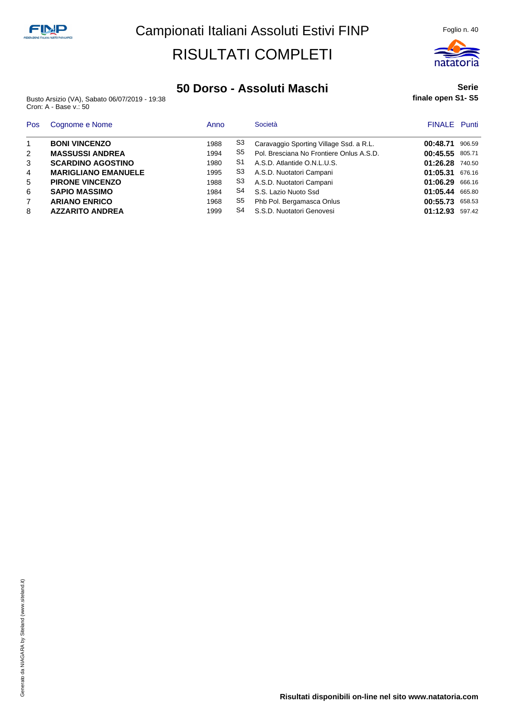

#### **50 Dorso - Assoluti Maschi**

Busto Arsizio (VA), Sabato 06/07/2019 - 19:38 Cron: A - Base v.: 50

#### **Serie finale open S1- S5**

| Pos            | Cognome e Nome             | Anno |                | Società                                  | <b>FINALE</b> Punti |        |
|----------------|----------------------------|------|----------------|------------------------------------------|---------------------|--------|
|                | <b>BONI VINCENZO</b>       | 1988 | S3             | Caravaggio Sporting Village Ssd. a R.L.  | 00:48.71            | 906.59 |
| 2              | <b>MASSUSSI ANDREA</b>     | 1994 | S5             | Pol. Bresciana No Frontiere Onlus A.S.D. | 00:45.55            | 805.71 |
| 3              | <b>SCARDINO AGOSTINO</b>   | 1980 | S <sub>1</sub> | A.S.D. Atlantide O.N.L.U.S.              | 01:26.28            | 740.50 |
| $\overline{4}$ | <b>MARIGLIANO EMANUELE</b> | 1995 | S3             | A.S.D. Nuotatori Campani                 | 01:05.31            | 676.16 |
| 5              | <b>PIRONE VINCENZO</b>     | 1988 | S3             | A.S.D. Nuotatori Campani                 | 01:06.29            | 666.16 |
| 6              | <b>SAPIO MASSIMO</b>       | 1984 | S4             | S.S. Lazio Nuoto Ssd                     | 01:05.44 665.80     |        |
| $\overline{7}$ | <b>ARIANO ENRICO</b>       | 1968 | S5             | Phb Pol. Bergamasca Onlus                | 00:55.73            | 658.53 |
| 8              | <b>AZZARITO ANDREA</b>     | 1999 | S4             | S.S.D. Nuotatori Genovesi                | 01:12.93            | 597.42 |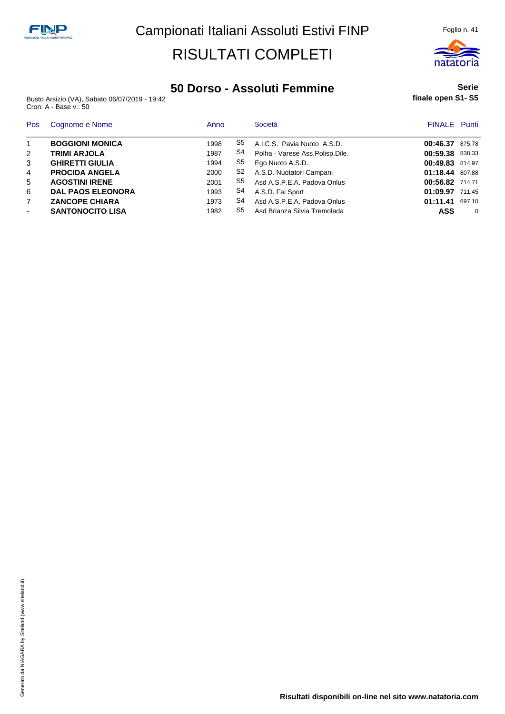

#### **50 Dorso - Assoluti Femmine**

Busto Arsizio (VA), Sabato 06/07/2019 - 19:42 Cron: A - Base v.: 50

#### **Serie finale open S1- S5**

| Pos | Cognome e Nome           | Anno |                | Società                           | <b>FINALE</b> Punti |        |
|-----|--------------------------|------|----------------|-----------------------------------|---------------------|--------|
|     | <b>BOGGIONI MONICA</b>   | 1998 | S5             | A.I.C.S. Pavia Nuoto A.S.D.       | 00:46.37            | 875.78 |
| 2   | <b>TRIMI ARJOLA</b>      | 1987 | S4             | Polha - Varese Ass. Polisp. Dile. | 00:59.38 838.33     |        |
| 3   | <b>GHIRETTI GIULIA</b>   | 1994 | S5             | Ego Nuoto A.S.D.                  | 00:49.83 814.97     |        |
| 4   | <b>PROCIDA ANGELA</b>    | 2000 | S <sub>2</sub> | A.S.D. Nuotatori Campani          | 01:18.44 807.88     |        |
| 5   | <b>AGOSTINI IRENE</b>    | 2001 | S5             | Asd A.S.P.E.A. Padova Onlus       | 00:56.82 714.71     |        |
| 6   | <b>DAL PAOS ELEONORA</b> | 1993 | S4             | A.S.D. Fai Sport                  | 01:09.97 711.45     |        |
|     | <b>ZANCOPE CHIARA</b>    | 1973 | S4             | Asd A.S.P.E.A. Padova Onlus       | 01:11.41            | 697.10 |
| ۰   | <b>SANTONOCITO LISA</b>  | 1982 | S5             | Asd Brianza Silvia Tremolada      | ASS                 | 0      |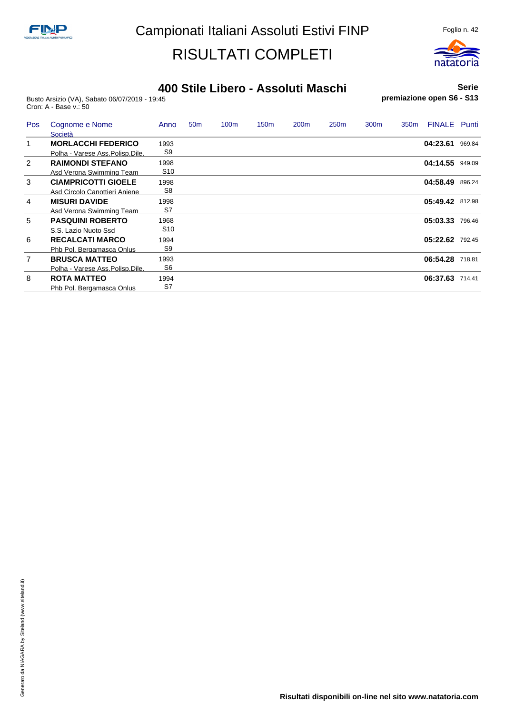

#### **400 Stile Libero - Assoluti Maschi**

Busto Arsizio (VA), Sabato 06/07/2019 - 19:45 Cron: A - Base v.: 50

**Serie premiazione open S6 - S13**

| Pos            | Cognome e Nome<br>Società                                  | Anno                    | 50 <sub>m</sub> | 100 <sub>m</sub> | 150 <sub>m</sub> | 200 <sub>m</sub> | 250 <sub>m</sub> | 300 <sub>m</sub> | 350 <sub>m</sub> | <b>FINALE</b>   | Punti  |
|----------------|------------------------------------------------------------|-------------------------|-----------------|------------------|------------------|------------------|------------------|------------------|------------------|-----------------|--------|
| 1              | <b>MORLACCHI FEDERICO</b>                                  | 1993<br>S <sub>9</sub>  |                 |                  |                  |                  |                  |                  |                  | 04:23.61        | 969.84 |
| 2              | Polha - Varese Ass.Polisp.Dile.<br><b>RAIMONDI STEFANO</b> | 1998                    |                 |                  |                  |                  |                  |                  |                  | 04:14.55 949.09 |        |
| 3              | Asd Verona Swimming Team<br><b>CIAMPRICOTTI GIOELE</b>     | S <sub>10</sub><br>1998 |                 |                  |                  |                  |                  |                  |                  | 04:58.49        | 896.24 |
| $\overline{4}$ | Asd Circolo Canottieri Aniene<br><b>MISURI DAVIDE</b>      | S <sub>8</sub><br>1998  |                 |                  |                  |                  |                  |                  |                  | 05:49.42        | 812.98 |
|                | Asd Verona Swimming Team                                   | S7                      |                 |                  |                  |                  |                  |                  |                  |                 |        |
| 5              | <b>PASQUINI ROBERTO</b><br>S.S. Lazio Nuoto Ssd            | 1968<br>S10             |                 |                  |                  |                  |                  |                  |                  | 05:03.33        | 796.46 |
| 6              | <b>RECALCATI MARCO</b>                                     | 1994<br>S <sub>9</sub>  |                 |                  |                  |                  |                  |                  |                  | 05:22.62        | 792.45 |
| $\overline{7}$ | Phb Pol. Bergamasca Onlus<br><b>BRUSCA MATTEO</b>          | 1993                    |                 |                  |                  |                  |                  |                  |                  | 06:54.28        | 718.81 |
| 8              | Polha - Varese Ass.Polisp.Dile.<br><b>ROTA MATTEO</b>      | S6<br>1994              |                 |                  |                  |                  |                  |                  |                  | 06:37.63        | 714.41 |
|                | Phb Pol. Bergamasca Onlus                                  | S7                      |                 |                  |                  |                  |                  |                  |                  |                 |        |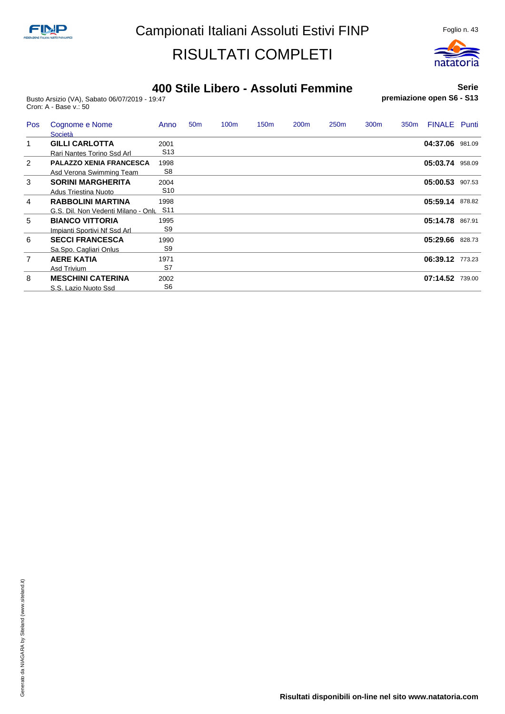

#### **400 Stile Libero - Assoluti Femmine**

Busto Arsizio (VA), Sabato 06/07/2019 - 19:47 Cron: A - Base v.: 50

#### **Serie premiazione open S6 - S13**

| Pos            | Cognome e Nome<br>Società           | Anno            | 50 <sub>m</sub> | 100m | 150 <sub>m</sub> | 200 <sub>m</sub> | 250 <sub>m</sub> | 300 <sub>m</sub> | 350 <sub>m</sub> | <b>FINALE</b> Punti |        |
|----------------|-------------------------------------|-----------------|-----------------|------|------------------|------------------|------------------|------------------|------------------|---------------------|--------|
| 1              | <b>GILLI CARLOTTA</b>               | 2001            |                 |      |                  |                  |                  |                  |                  | 04:37.06            | 981.09 |
|                | Rari Nantes Torino Ssd Arl          | S <sub>13</sub> |                 |      |                  |                  |                  |                  |                  |                     |        |
| 2              | <b>PALAZZO XENIA FRANCESCA</b>      | 1998            |                 |      |                  |                  |                  |                  |                  | 05:03.74 958.09     |        |
|                | Asd Verona Swimming Team            | S <sub>8</sub>  |                 |      |                  |                  |                  |                  |                  |                     |        |
| 3              | <b>SORINI MARGHERITA</b>            | 2004            |                 |      |                  |                  |                  |                  |                  | 05:00.53            | 907.53 |
|                | Adus Triestina Nuoto                | S <sub>10</sub> |                 |      |                  |                  |                  |                  |                  |                     |        |
| $\overline{4}$ | <b>RABBOLINI MARTINA</b>            | 1998            |                 |      |                  |                  |                  |                  |                  | 05:59.14            | 878.82 |
|                | G.S. Dil. Non Vedenti Milano - Onlu | S <sub>11</sub> |                 |      |                  |                  |                  |                  |                  |                     |        |
| 5              | <b>BIANCO VITTORIA</b>              | 1995            |                 |      |                  |                  |                  |                  |                  | 05:14.78            | 867.91 |
|                | Impianti Sportivi Nf Ssd Arl        | S9              |                 |      |                  |                  |                  |                  |                  |                     |        |
| 6              | <b>SECCI FRANCESCA</b>              | 1990            |                 |      |                  |                  |                  |                  |                  | 05:29.66            | 828.73 |
|                | Sa.Spo. Cagliari Onlus              | S <sub>9</sub>  |                 |      |                  |                  |                  |                  |                  |                     |        |
| $\overline{7}$ | <b>AERE KATIA</b>                   | 1971            |                 |      |                  |                  |                  |                  |                  | 06:39.12 773.23     |        |
|                | Asd Trivium                         | S7              |                 |      |                  |                  |                  |                  |                  |                     |        |
| 8              | <b>MESCHINI CATERINA</b>            | 2002            |                 |      |                  |                  |                  |                  |                  | 07:14.52            | 739.00 |
|                | S.S. Lazio Nuoto Ssd                | S <sub>6</sub>  |                 |      |                  |                  |                  |                  |                  |                     |        |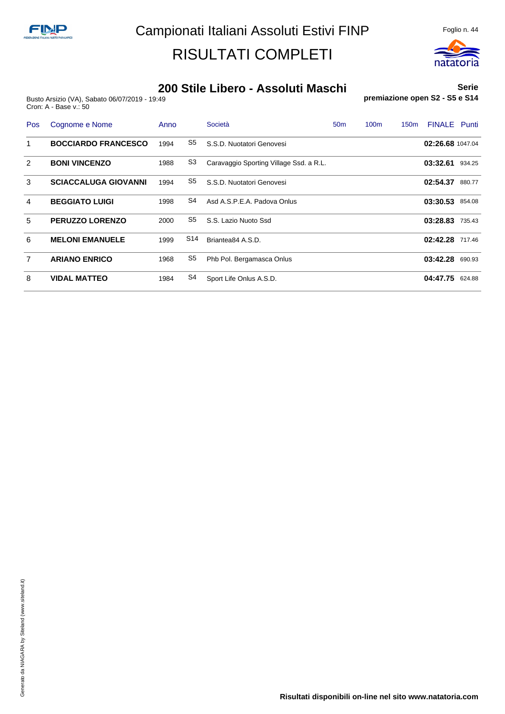

#### **200 Stile Libero - Assoluti Maschi**

Busto Arsizio (VA), Sabato 06/07/2019 - 19:49 Cron: A - Base v.: 50

**Serie premiazione open S2 - S5 e S14**

| Pos            | Cognome e Nome              | Anno |                 | Società                                 | 50 <sub>m</sub> | 100 <sub>m</sub> | 150 <sub>m</sub> | <b>FINALE</b>    | Punti  |
|----------------|-----------------------------|------|-----------------|-----------------------------------------|-----------------|------------------|------------------|------------------|--------|
| 1              | <b>BOCCIARDO FRANCESCO</b>  | 1994 | S5              | S.S.D. Nuotatori Genovesi               |                 |                  |                  | 02:26.68 1047.04 |        |
| 2              | <b>BONI VINCENZO</b>        | 1988 | S <sub>3</sub>  | Caravaggio Sporting Village Ssd. a R.L. |                 |                  |                  | 03:32.61         | 934.25 |
| 3              | <b>SCIACCALUGA GIOVANNI</b> | 1994 | S5              | S.S.D. Nuotatori Genovesi               |                 |                  |                  | 02:54.37         | 880.77 |
| 4              | <b>BEGGIATO LUIGI</b>       | 1998 | S4              | Asd A.S.P.E.A. Padova Onlus             |                 |                  |                  | 03:30.53 854.08  |        |
| 5              | <b>PERUZZO LORENZO</b>      | 2000 | S5              | S.S. Lazio Nuoto Ssd                    |                 |                  |                  | 03:28.83 735.43  |        |
| 6              | <b>MELONI EMANUELE</b>      | 1999 | S <sub>14</sub> | Briantea84 A.S.D.                       |                 |                  |                  | 02:42.28 717.46  |        |
| $\overline{7}$ | <b>ARIANO ENRICO</b>        | 1968 | S5              | Phb Pol. Bergamasca Onlus               |                 |                  |                  | 03:42.28         | 690.93 |
| 8              | <b>VIDAL MATTEO</b>         | 1984 | S4              | Sport Life Onlus A.S.D.                 |                 |                  |                  | 04:47.75         | 624.88 |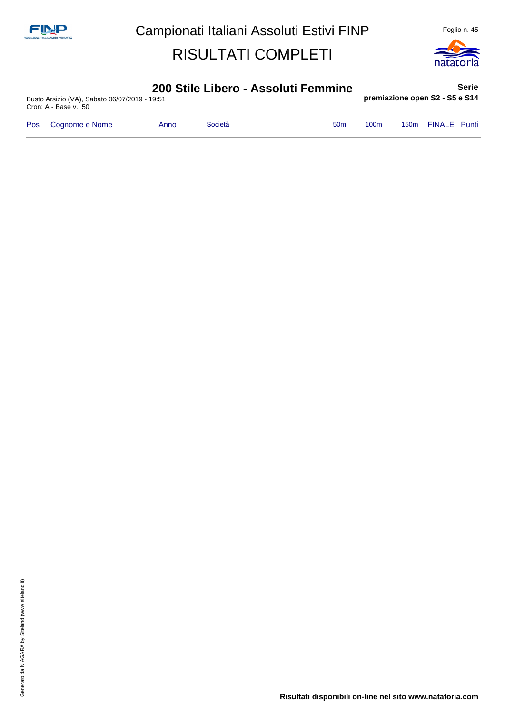

**Serie**

#### **200 Stile Libero - Assoluti Femmine**

Busto Arsizio (VA), Sabato 06/07/2019 - 19:51 Cron: A - Base v.: 50

**premiazione open S2 - S5 e S14**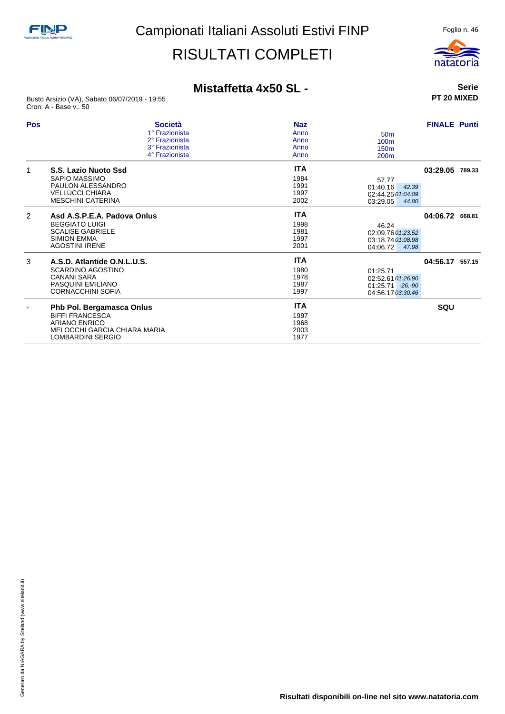

**Serie PT 20 MIXED**

### **Mistaffetta 4x50 SL -**

Busto Arsizio (VA), Sabato 06/07/2019 - 19:55 Cron: A - Base v.: 50

| Pos           | <b>Società</b><br>1° Frazionista<br>2° Frazionista<br>3° Frazionista<br>4° Frazionista                                                  | <b>Naz</b><br>Anno<br>Anno<br>Anno<br>Anno | 50 <sub>m</sub><br>100 <sub>m</sub><br>150 <sub>m</sub><br>200 <sub>m</sub> | <b>FINALE Punti</b> |  |
|---------------|-----------------------------------------------------------------------------------------------------------------------------------------|--------------------------------------------|-----------------------------------------------------------------------------|---------------------|--|
| 1             | S.S. Lazio Nuoto Ssd<br>SAPIO MASSIMO<br>PAULON ALESSANDRO<br><b>VELLUCCI CHIARA</b><br><b>MESCHINI CATERINA</b>                        | <b>ITA</b><br>1984<br>1991<br>1997<br>2002 | 57.77<br>01:40.16<br>42.39<br>02:44.25 01:04.09<br>03:29.05<br>44.80        | 03:29.05 789.33     |  |
| $\mathcal{P}$ | Asd A.S.P.E.A. Padova Onlus<br><b>BEGGIATO LUIGI</b><br><b>SCALISE GABRIELE</b><br><b>SIMION EMMA</b><br><b>AGOSTINI IRENE</b>          | <b>ITA</b><br>1998<br>1981<br>1997<br>2001 | 46.24<br>02:09.76 01:23.52<br>03:18.74 01:08.98<br>04:06.72<br>47.98        | 04:06.72 668.81     |  |
| 3             | A.S.D. Atlantide O.N.L.U.S.<br><b>SCARDINO AGOSTINO</b><br><b>CANANI SARA</b><br>PASQUINI EMILIANO<br><b>CORNACCHINI SOFIA</b>          | <b>ITA</b><br>1980<br>1978<br>1987<br>1997 | 01:25.71<br>02:52.61 01:26.90<br>$01:25.71 - 26.90$<br>04:56.17 03:30.46    | 04:56.17 557.15     |  |
|               | Phb Pol. Bergamasca Onlus<br><b>BIFFI FRANCESCA</b><br><b>ARIANO ENRICO</b><br>MELOCCHI GARCIA CHIARA MARIA<br><b>LOMBARDINI SERGIO</b> | <b>ITA</b><br>1997<br>1968<br>2003<br>1977 |                                                                             | SQU                 |  |

**Risultati disponibili on-line nel sito www.natatoria.com**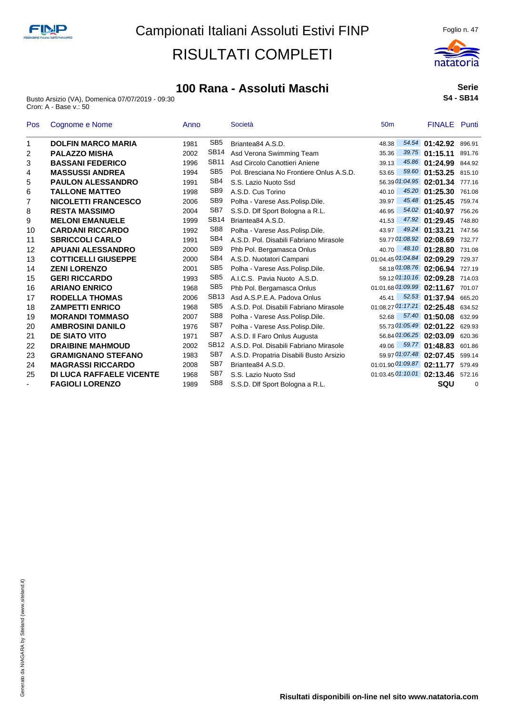

Busto Arsizio (VA), Domenica 07/07/2019 - 09:30 Cron: A - Base v.: 50



**Serie S4 - SB14**

| Pos                      | Cognome e Nome                  | Anno |                  | Società                                  | 50 <sub>m</sub> | <b>FINALE</b> Punti               |        |
|--------------------------|---------------------------------|------|------------------|------------------------------------------|-----------------|-----------------------------------|--------|
| 1                        | <b>DOLFIN MARCO MARIA</b>       | 1981 | SB <sub>5</sub>  | Briantea84 A.S.D.                        | 48.38           | 54.54 01:42.92                    | 896.91 |
| 2                        | <b>PALAZZO MISHA</b>            | 2002 | SB <sub>14</sub> | Asd Verona Swimming Team                 | 35.36           | $39.75$ 01:15.11                  | 891.76 |
| 3                        | <b>BASSANI FEDERICO</b>         | 1996 | <b>SB11</b>      | Asd Circolo Canottieri Aniene            | 39.13           | 45.86 01:24.99                    | 844.92 |
| 4                        | <b>MASSUSSI ANDREA</b>          | 1994 | SB <sub>5</sub>  | Pol. Bresciana No Frontiere Onlus A.S.D. | 53.65           | 59.60 01:53.25 815.10             |        |
| 5                        | <b>PAULON ALESSANDRO</b>        | 1991 | SB4              | S.S. Lazio Nuoto Ssd                     |                 | 56.39 01:04.95 02:01.34           | 777.16 |
| 6                        | <b>TALLONE MATTEO</b>           | 1998 | SB <sub>9</sub>  | A.S.D. Cus Torino                        | 40.10           | 45.20 01:25.30                    | 761.08 |
| 7                        | <b>NICOLETTI FRANCESCO</b>      | 2006 | SB <sub>9</sub>  | Polha - Varese Ass. Polisp. Dile.        | 39.97           | 45.48 01:25.45                    | 759.74 |
| 8                        | <b>RESTA MASSIMO</b>            | 2004 | SB7              | S.S.D. Dlf Sport Bologna a R.L.          | 46.95           | 54.02 01:40.97                    | 756.26 |
| 9                        | <b>MELONI EMANUELE</b>          | 1999 | <b>SB14</b>      | Briantea84 A.S.D.                        | 41.53           | 47.92 01:29.45                    | 748.80 |
| 10                       | <b>CARDANI RICCARDO</b>         | 1992 | SB <sub>8</sub>  | Polha - Varese Ass.Polisp.Dile.          | 43.97           | 49.24 01:33.21                    | 747.56 |
| 11                       | <b>SBRICCOLI CARLO</b>          | 1991 | SB4              | A.S.D. Pol. Disabili Fabriano Mirasole   |                 | 59.77 01:08.92 02:08.69           | 732.77 |
| 12                       | <b>APUANI ALESSANDRO</b>        | 2000 | SB <sub>9</sub>  | Phb Pol. Bergamasca Onlus                | 40.70           | 48.10 01:28.80                    | 731.08 |
| 13                       | <b>COTTICELLI GIUSEPPE</b>      | 2000 | SB4              | A.S.D. Nuotatori Campani                 |                 | 01:04.45 01:04.84 02:09.29        | 729.37 |
| 14                       | <b>ZENI LORENZO</b>             | 2001 | SB <sub>5</sub>  | Polha - Varese Ass.Polisp.Dile.          |                 | 58.18 01:08.76 02:06.94           | 727.19 |
| 15                       | <b>GERI RICCARDO</b>            | 1993 | SB <sub>5</sub>  | A.I.C.S. Pavia Nuoto A.S.D.              |                 | 59.12 01:10.16 02:09.28 714.03    |        |
| 16                       | <b>ARIANO ENRICO</b>            | 1968 | SB <sub>5</sub>  | Phb Pol. Bergamasca Onlus                |                 | 01:01.68 01:09.99 02:11.67 701.07 |        |
| 17                       | <b>RODELLA THOMAS</b>           | 2006 | <b>SB13</b>      | Asd A.S.P.E.A. Padova Onlus              | 45.41           | 52.53 01:37.94                    | 665.20 |
| 18                       | <b>ZAMPETTI ENRICO</b>          | 1968 | SB <sub>5</sub>  | A.S.D. Pol. Disabili Fabriano Mirasole   |                 | 01:08.27 01:17.21 02:25.48        | 634.52 |
| 19                       | <b>MORANDI TOMMASO</b>          | 2007 | SB <sub>8</sub>  | Polha - Varese Ass.Polisp.Dile.          | 52.68           | 57.40 01:50.08                    | 632.99 |
| 20                       | <b>AMBROSINI DANILO</b>         | 1976 | SB7              | Polha - Varese Ass. Polisp. Dile.        |                 | 55.73 01:05.49 02:01.22           | 629.93 |
| 21                       | <b>DE SIATO VITO</b>            | 1971 | SB7              | A.S.D. Il Faro Onlus Augusta             |                 | 56.84 01:06.25 02:03.09           | 620.36 |
| 22                       | <b>DRAIBINE MAHMOUD</b>         | 2002 | SB12             | A.S.D. Pol. Disabili Fabriano Mirasole   | 49.06           | 59.77 01:48.83                    | 601.86 |
| 23                       | <b>GRAMIGNANO STEFANO</b>       | 1983 | SB7              | A.S.D. Propatria Disabili Busto Arsizio  |                 | 59.97 01:07.48 02:07.45           | 599.14 |
| 24                       | <b>MAGRASSI RICCARDO</b>        | 2008 | SB <sub>7</sub>  | Briantea84 A.S.D.                        |                 | 01:01.90 01:09.87 02:11.77        | 579.49 |
| 25                       | <b>DI LUCA RAFFAELE VICENTE</b> | 1968 | SB <sub>7</sub>  | S.S. Lazio Nuoto Ssd                     |                 | 01:03.45 01:10.01 02:13.46 572.16 |        |
| $\overline{\phantom{0}}$ | <b>FAGIOLI LORENZO</b>          | 1989 | SB <sub>8</sub>  | S.S.D. Dlf Sport Bologna a R.L.          |                 | SQU                               | 0      |

**Risultati disponibili on-line nel sito www.natatoria.com**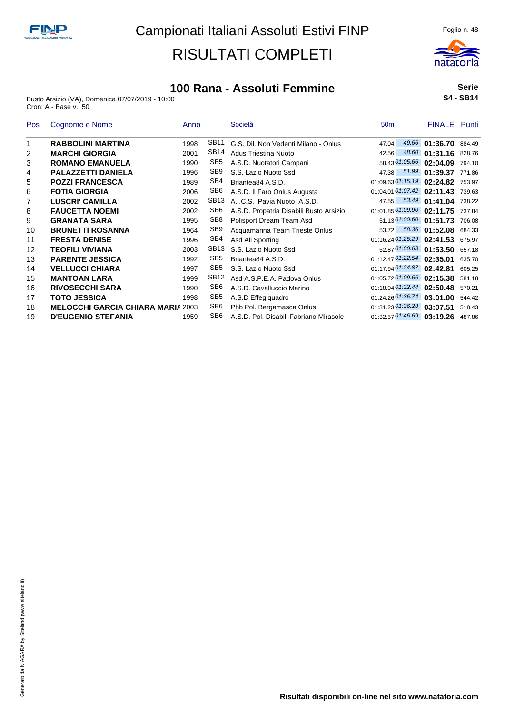

Busto Arsizio (VA), Domenica 07/07/2019 - 10:00 Cron: A - Base v.: 50



natatoria

| <b>Pos</b> | Cognome e Nome                           | Anno |                  | Società                                 | 50 <sub>m</sub>                | <b>FINALE</b> Punti |        |
|------------|------------------------------------------|------|------------------|-----------------------------------------|--------------------------------|---------------------|--------|
| 1          | <b>RABBOLINI MARTINA</b>                 | 1998 | SB <sub>11</sub> | G.S. Dil. Non Vedenti Milano - Onlus    | 49.66<br>47.04                 | 01:36.70            | 884.49 |
| 2          | <b>MARCHI GIORGIA</b>                    | 2001 | <b>SB14</b>      | Adus Triestina Nuoto                    | 48.60<br>42.56                 | 01:31.16            | 828.76 |
| 3          | <b>ROMANO EMANUELA</b>                   | 1990 | SB <sub>5</sub>  | A.S.D. Nuotatori Campani                | 58.43 01:05.66 02:04.09        |                     | 794.10 |
| 4          | <b>PALAZZETTI DANIELA</b>                | 1996 | SB <sub>9</sub>  | S.S. Lazio Nuoto Ssd                    | 47.38                          | 51.99 01:39.37      | 771.86 |
| 5          | <b>POZZI FRANCESCA</b>                   | 1989 | SB4              | Briantea84 A.S.D.                       | 01:09.63 01:15.19 02:24.82     |                     | 753.97 |
| 6          | <b>FOTIA GIORGIA</b>                     | 2006 | SB <sub>6</sub>  | A.S.D. Il Faro Onlus Augusta            | 01:04.01 01:07.42 02:11.43     |                     | 739.63 |
| 7          | <b>LUSCRI' CAMILLA</b>                   | 2002 | SB <sub>13</sub> | A.I.C.S. Pavia Nuoto A.S.D.             | 47.55                          | 53.49 01:41.04      | 738.22 |
| 8          | <b>FAUCETTA NOEMI</b>                    | 2002 | SB <sub>6</sub>  | A.S.D. Propatria Disabili Busto Arsizio | 01:01.85 01:09.90 02:11.75     |                     | 737.84 |
| 9          | <b>GRANATA SARA</b>                      | 1995 | SB <sub>8</sub>  | Polisport Dream Team Asd                | 51.13 01:00.60 01:51.73        |                     | 706.08 |
| 10         | <b>BRUNETTI ROSANNA</b>                  | 1964 | SB <sub>9</sub>  | Acquamarina Team Trieste Onlus          | 58.36<br>53.72                 | 01:52.08            | 684.33 |
| 11         | <b>FRESTA DENISE</b>                     | 1996 | SB4              | Asd All Sporting                        | 01:16.24 01:25.29 02:41.53     |                     | 675.97 |
| 12         | <b>TEOFILI VIVIANA</b>                   | 2003 | <b>SB13</b>      | S.S. Lazio Nuoto Ssd                    | 52.87 01:00.63 01:53.50        |                     | 657.18 |
| 13         | <b>PARENTE JESSICA</b>                   | 1992 | SB <sub>5</sub>  | Briantea84 A.S.D.                       | 01:12.47 01:22.54 02:35.01     |                     | 635.70 |
| 14         | <b>VELLUCCI CHIARA</b>                   | 1997 | SB <sub>5</sub>  | S.S. Lazio Nuoto Ssd                    | 01:17.94 01:24.87              | 02:42.81            | 605.25 |
| 15         | <b>MANTOAN LARA</b>                      | 1999 | SB <sub>12</sub> | Asd A.S.P.E.A. Padova Onlus             | 01:05.72 01:09.66 02:15.38     |                     | 581.18 |
| 16         | <b>RIVOSECCHI SARA</b>                   | 1990 | SB <sub>6</sub>  | A.S.D. Cavalluccio Marino               | 01:18.04 01:32.44 02:50.48     |                     | 570.21 |
| 17         | <b>TOTO JESSICA</b>                      | 1998 | SB <sub>5</sub>  | A.S.D Effegiguadro                      | $01:24.26$ $01:36.74$ 03:01.00 |                     | 544.42 |
| 18         | <b>MELOCCHI GARCIA CHIARA MARIA 2003</b> |      | SB <sub>6</sub>  | Phb Pol. Bergamasca Onlus               | 01:31.23 01:36.28              | 03:07.51            | 518.43 |
| 19         | <b>D'EUGENIO STEFANIA</b>                | 1959 | SB <sub>6</sub>  | A.S.D. Pol. Disabili Fabriano Mirasole  | 01:32.57 01:46.69 03:19.26     |                     | 487.86 |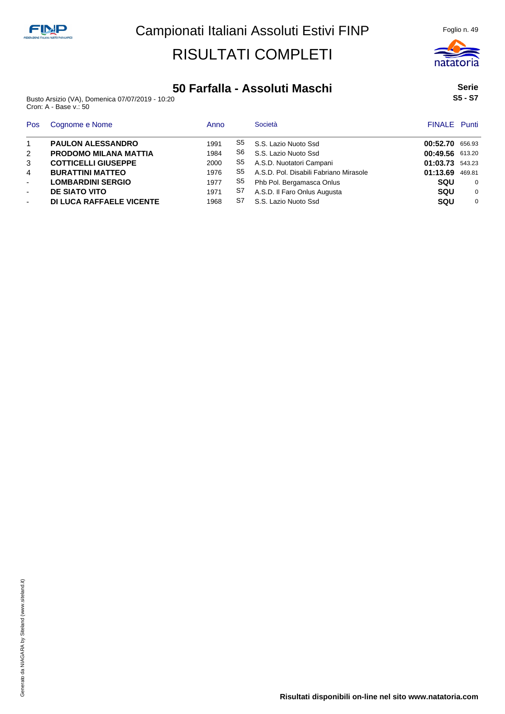

Busto Arsizio (VA), Domenica 07/07/2019 - 10:20 Cron: A - Base v.: 50

|         | Serie |
|---------|-------|
| S5 - S7 |       |

natatoria

| Pos          | Cognome e Nome                  | Anno |    | Società                                | <b>FINALE</b> Punti |          |
|--------------|---------------------------------|------|----|----------------------------------------|---------------------|----------|
| $\mathbf{1}$ | <b>PAULON ALESSANDRO</b>        | 1991 | S5 | S.S. Lazio Nuoto Ssd                   | 00:52.70            | 656.93   |
| 2            | <b>PRODOMO MILANA MATTIA</b>    | 1984 | S6 | S.S. Lazio Nuoto Ssd                   | 00:49.56 613.20     |          |
| 3            | <b>COTTICELLI GIUSEPPE</b>      | 2000 | S5 | A.S.D. Nuotatori Campani               | 01:03.73            | 543.23   |
| 4            | <b>BURATTINI MATTEO</b>         | 1976 | S5 | A.S.D. Pol. Disabili Fabriano Mirasole | 01:13.69            | 469.81   |
| $\sim$       | <b>LOMBARDINI SERGIO</b>        | 1977 | S5 | Phb Pol. Bergamasca Onlus              | <b>SQU</b>          | $\Omega$ |
| $\sim$       | <b>DE SIATO VITO</b>            | 1971 | S7 | A.S.D. Il Faro Onlus Augusta           | <b>SQU</b>          | 0        |
| $\sim$       | <b>DI LUCA RAFFAELE VICENTE</b> | 1968 | S7 | S.S. Lazio Nuoto Ssd                   | <b>SQU</b>          | $\Omega$ |

**Risultati disponibili on-line nel sito www.natatoria.com**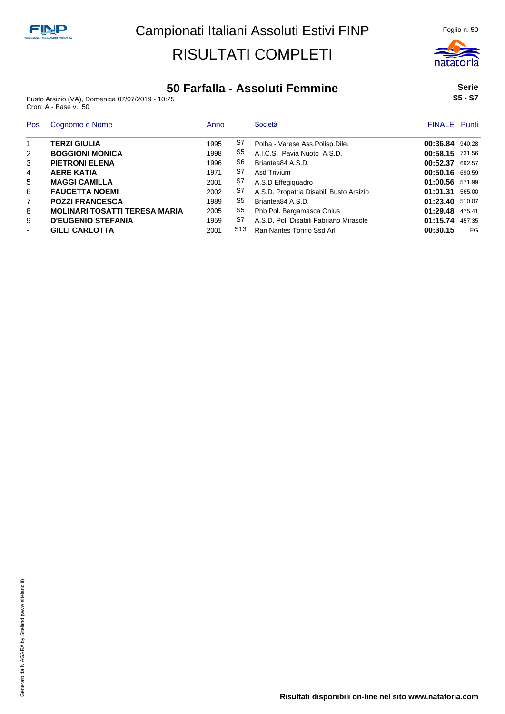

Busto Arsizio (VA), Domenica 07/07/2019 - 10:25 Cron: A - Base v.: 50

| Pos                      | Cognome e Nome                       | Anno |                 | Società                                 | <b>FINALE</b> Punti |        |
|--------------------------|--------------------------------------|------|-----------------|-----------------------------------------|---------------------|--------|
| $\mathbf{1}$             | TERZI GIULIA                         | 1995 | S7              | Polha - Varese Ass. Polisp. Dile.       | 00:36.84 940.28     |        |
| 2                        | <b>BOGGIONI MONICA</b>               | 1998 | S5              | A.I.C.S. Pavia Nuoto A.S.D.             | 00:58.15 731.56     |        |
| 3                        | <b>PIETRONI ELENA</b>                | 1996 | S6              | Briantea84 A.S.D.                       | 00:52.37            | 692.57 |
| 4                        | <b>AERE KATIA</b>                    | 1971 | S7              | Asd Trivium                             | 00:50.16 690.59     |        |
| 5                        | <b>MAGGI CAMILLA</b>                 | 2001 | S7              | A.S.D Effegiquadro                      | 01:00.56            | 571.99 |
| 6                        | <b>FAUCETTA NOEMI</b>                | 2002 | S7              | A.S.D. Propatria Disabili Busto Arsizio | 01:01.31            | 565.00 |
| $\overline{7}$           | <b>POZZI FRANCESCA</b>               | 1989 | S <sub>5</sub>  | Briantea84 A.S.D.                       | 01:23.40            | 510.07 |
| 8                        | <b>MOLINARI TOSATTI TERESA MARIA</b> | 2005 | S <sub>5</sub>  | Phb Pol. Bergamasca Onlus               | 01:29.48            | 475.41 |
| 9                        | <b>D'EUGENIO STEFANIA</b>            | 1959 | S7              | A.S.D. Pol. Disabili Fabriano Mirasole  | 01:15.74            | 457.35 |
| $\overline{\phantom{a}}$ | <b>GILLI CARLOTTA</b>                | 2001 | S <sub>13</sub> | Rari Nantes Torino Ssd Arl              | 00:30.15            | FG     |

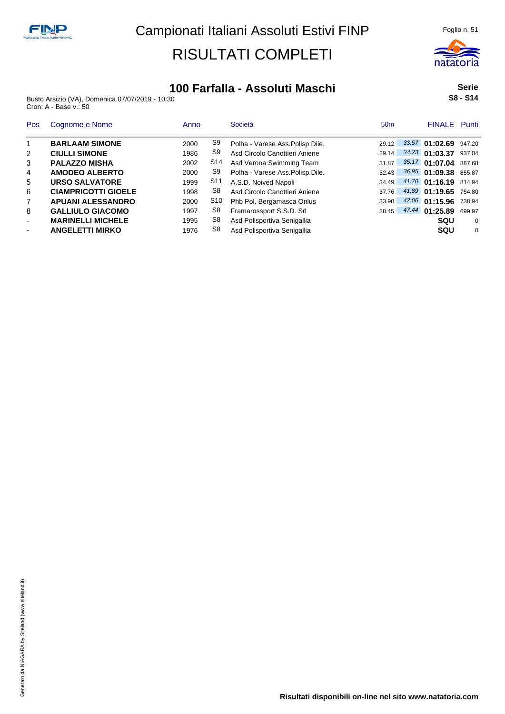

Busto Arsizio (VA), Domenica 07/07/2019 - 10:30 Cron: A - Base v.: 50

**Serie S8 - S14**

| <b>Pos</b> | Cognome e Nome             | Anno |                 | Società                           | 50 <sub>m</sub> | <b>FINALE</b> Punti   |        |
|------------|----------------------------|------|-----------------|-----------------------------------|-----------------|-----------------------|--------|
| 1          | <b>BARLAAM SIMONE</b>      | 2000 | S <sub>9</sub>  | Polha - Varese Ass. Polisp. Dile. | 29.12           | 33.57 01:02.69        | 947.20 |
| 2          | <b>CIULLI SIMONE</b>       | 1986 | S9              | Asd Circolo Canottieri Aniene     | 29.14           | 34.23 01:03.37        | 937.04 |
| 3          | <b>PALAZZO MISHA</b>       | 2002 | S14             | Asd Verona Swimming Team          | 31.87           | 35.17 01:07.04        | 887.68 |
| 4          | <b>AMODEO ALBERTO</b>      | 2000 | S9              | Polha - Varese Ass.Polisp.Dile.   | 32.43           | 36.95 01:09.38 855.87 |        |
| 5          | <b>URSO SALVATORE</b>      | 1999 | S <sub>11</sub> | A.S.D. Noived Napoli              | 34.49           | 41.70 01:16.19 814.94 |        |
| 6          | <b>CIAMPRICOTTI GIOELE</b> | 1998 | S8              | Asd Circolo Canottieri Aniene     | 37.76           | 41.89 01:19.65        | 754.80 |
| 7          | <b>APUANI ALESSANDRO</b>   | 2000 | S10             | Phb Pol. Bergamasca Onlus         | 33.90           | $42.06$ 01:15.96      | 738.94 |
| 8          | <b>GALLIULO GIACOMO</b>    | 1997 | S8              | Framarossport S.S.D. Srl          | 38.45           | 47.44 01:25.89        | 699.97 |
| ٠          | <b>MARINELLI MICHELE</b>   | 1995 | S8              | Asd Polisportiva Senigallia       |                 | squ                   | 0      |
| ۰          | <b>ANGELETTI MIRKO</b>     | 1976 | S8              | Asd Polisportiva Senigallia       |                 | sou                   | 0      |

**Risultati disponibili on-line nel sito www.natatoria.com**

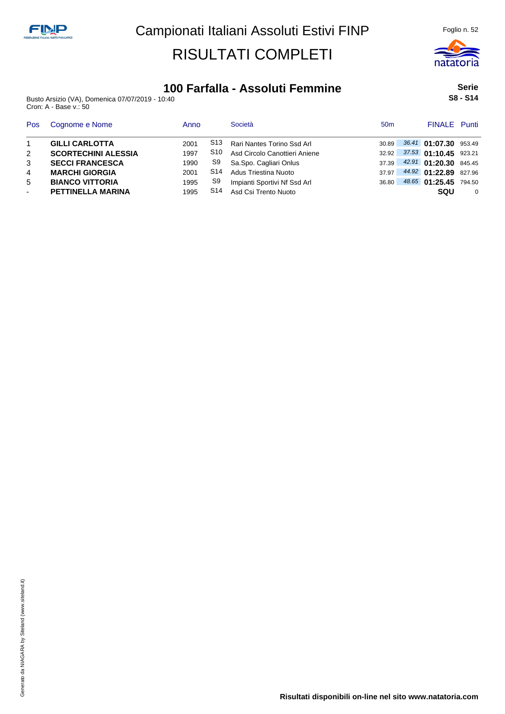

### **100 Farfalla - Assoluti Femmine**

Busto Arsizio (VA), Domenica 07/07/2019 - 10:40 Cron: A - Base v.: 50

**Serie S8 - S14**

| <b>Pos</b> | Cognome e Nome             | Anno |     | Società                              | 50 <sub>m</sub> | <b>FINALE</b> Punti   |   |
|------------|----------------------------|------|-----|--------------------------------------|-----------------|-----------------------|---|
|            | <b>GILLI CARLOTTA</b>      | 2001 | S13 | Rari Nantes Torino Ssd Arl           | 30.89           | 36.41 01:07.30 953.49 |   |
| 2          | <b>SCORTECHINI ALESSIA</b> | 1997 | S10 | Asd Circolo Canottieri Aniene        | 32.92           | 37.53 01:10.45 923.21 |   |
| 3          | <b>SECCI FRANCESCA</b>     | 1990 | S9  | Sa.Spo. Cagliari Onlus               | 37.39           | 42.91 01:20.30 845.45 |   |
| 4          | <b>MARCHI GIORGIA</b>      | 2001 | S14 | Adus Triestina Nuoto                 | 37.97           | 44.92 01:22.89 827.96 |   |
| 5          | <b>BIANCO VITTORIA</b>     | 1995 | S9  | Impianti Sportivi Nf Ssd Arl         | 36.80           | 48.65 01:25.45 794.50 |   |
| ۰.         | <b>PETTINELLA MARINA</b>   | 1995 |     | S <sub>14</sub> Asd Csi Trento Nuoto |                 | <b>SQU</b>            | 0 |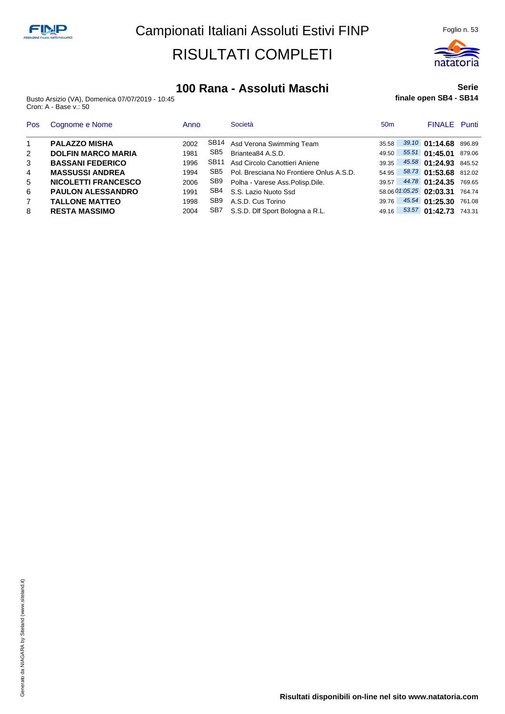

#### **100 Rana - Assoluti Maschi**

Busto Arsizio (VA), Domenica 07/07/2019 - 10:45 Cron: A - Base v.: 50

#### **Serie finale open SB4 - SB14**

| <b>Pos</b>     | Cognome e Nome             | Anno |      | Società                                  | 50 <sub>m</sub> | <b>FINALE</b> Punti            |  |
|----------------|----------------------------|------|------|------------------------------------------|-----------------|--------------------------------|--|
| $\overline{1}$ | <b>PALAZZO MISHA</b>       | 2002 |      | SB14 Asd Verona Swimming Team            | 35.58           | 39.10 01:14.68 896.89          |  |
| 2              | <b>DOLFIN MARCO MARIA</b>  | 1981 | SB5  | Briantea84 A.S.D.                        | 49.50           | 55.51 01:45.01 879.06          |  |
| 3              | <b>BASSANI FEDERICO</b>    | 1996 | SB11 | Asd Circolo Canottieri Aniene            | 39.35           | 45.58 01:24.93 845.52          |  |
| $\overline{4}$ | <b>MASSUSSI ANDREA</b>     | 1994 | SB5  | Pol. Bresciana No Frontiere Onlus A.S.D. | 54.95           | 58.73 01:53.68 812.02          |  |
| 5              | <b>NICOLETTI FRANCESCO</b> | 2006 |      | SB9 Polha - Varese Ass. Polisp. Dile.    |                 | 39.57 44.78 01:24.35 769.65    |  |
| 6              | <b>PAULON ALESSANDRO</b>   | 1991 |      | SB4 S.S. Lazio Nuoto Ssd                 |                 | 58.06 01:05.25 02:03.31 764.74 |  |
| $\overline{7}$ | <b>TALLONE MATTEO</b>      | 1998 | SB9  | A.S.D. Cus Torino                        | 39.76           | 45.54 01:25.30 761.08          |  |
| 8              | <b>RESTA MASSIMO</b>       | 2004 | SB7  | S.S.D. Dlf Sport Bologna a R.L.          | 49.16           | 53.57 01:42.73 743.31          |  |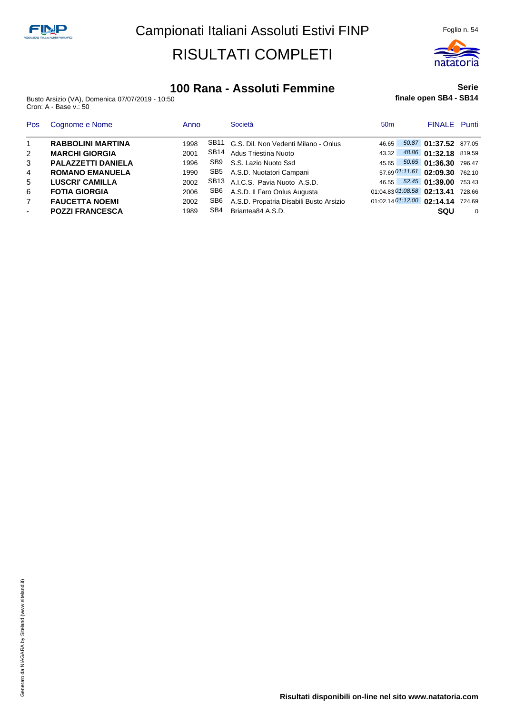

#### **100 Rana - Assoluti Femmine**

Busto Arsizio (VA), Domenica 07/07/2019 - 10:50 Cron: A - Base v.: 50

#### **Serie finale open SB4 - SB14**

| <b>Pos</b>               | Cognome e Nome            | Anno |     | Società                                   | 50 <sub>m</sub> | <b>FINALE</b> Punti               |          |
|--------------------------|---------------------------|------|-----|-------------------------------------------|-----------------|-----------------------------------|----------|
| $\overline{1}$           | <b>RABBOLINI MARTINA</b>  | 1998 |     | SB11 G.S. Dil. Non Vedenti Milano - Onlus | 46.65           | 50.87 01:37.52 877.05             |          |
| 2                        | <b>MARCHI GIORGIA</b>     | 2001 |     | SB14 Adus Triestina Nuoto                 | 43.32           | 48.86 01:32.18 819.59             |          |
| 3                        | <b>PALAZZETTI DANIELA</b> | 1996 |     | SB9 S.S. Lazio Nuoto Ssd                  | 45.65           | 50.65 01:36.30 796.47             |          |
| $\overline{4}$           | <b>ROMANO EMANUELA</b>    | 1990 |     | SB5 A.S.D. Nuotatori Campani              |                 | 57.69 01:11.61 02:09.30 762.10    |          |
| 5                        | <b>LUSCRI' CAMILLA</b>    | 2002 |     | SB13 A.I.C.S. Pavia Nuoto A.S.D.          |                 | 46.55 52.45 01:39.00 753.43       |          |
| 6                        | <b>FOTIA GIORGIA</b>      | 2006 |     | SB6 A.S.D. Il Faro Onlus Augusta          |                 | 01:04.83 01:08.58 02:13.41        | 728.66   |
| $\overline{7}$           | <b>FAUCETTA NOEMI</b>     | 2002 | SB6 | A.S.D. Propatria Disabili Busto Arsizio   |                 | 01:02.14 01:12.00 02:14.14 724.69 |          |
| $\overline{\phantom{a}}$ | <b>POZZI FRANCESCA</b>    | 1989 | SB4 | Briantea84 A.S.D.                         |                 | sou                               | $\Omega$ |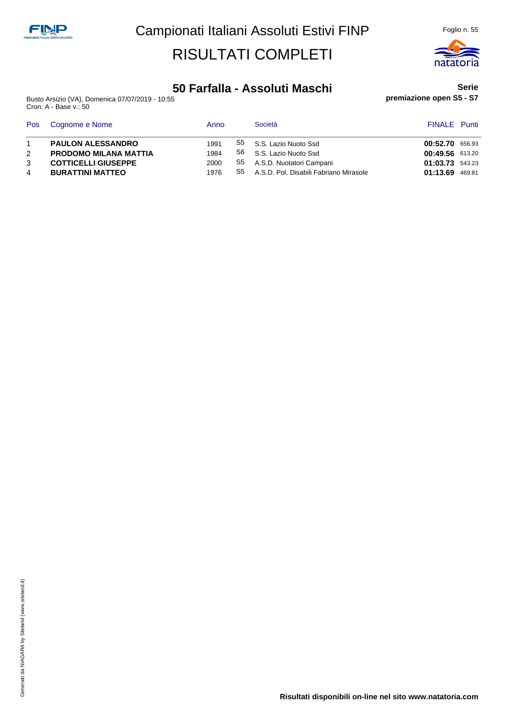

#### **50 Farfalla - Assoluti Maschi**

Busto Arsizio (VA), Domenica 07/07/2019 - 10:55 Cron: A - Base v.: 50

#### **Serie premiazione open S5 - S7**

| Pos | Cognome e Nome               | Anno |    | Società                                | <b>FINALE</b> Punti |        |
|-----|------------------------------|------|----|----------------------------------------|---------------------|--------|
|     | <b>PAULON ALESSANDRO</b>     | 1991 | S5 | S.S. Lazio Nuoto Ssd                   | 00:52.70 656.93     |        |
|     | <b>PRODOMO MILANA MATTIA</b> | 1984 | S6 | S.S. Lazio Nuoto Ssd                   | 00:49.56 613.20     |        |
| 3   | <b>COTTICELLI GIUSEPPE</b>   | 2000 | S5 | A.S.D. Nuotatori Campani               | 01:03.73 543.23     |        |
|     | <b>BURATTINI MATTEO</b>      | 1976 | S5 | A.S.D. Pol. Disabili Fabriano Mirasole | 01:13.69            | 469.81 |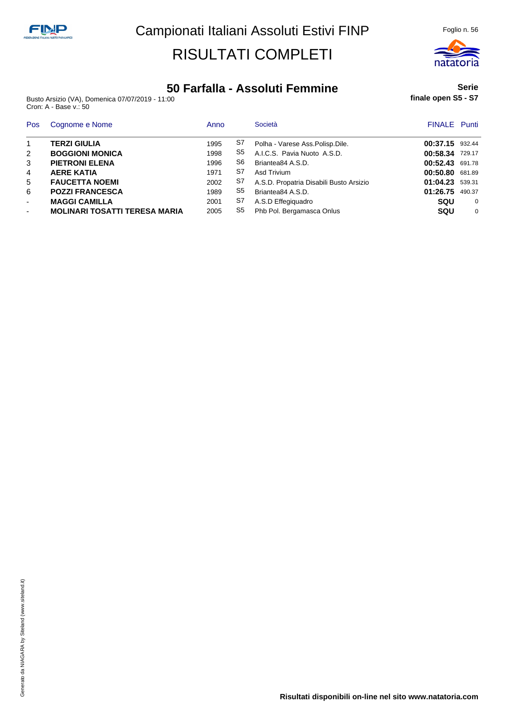

#### **50 Farfalla - Assoluti Femmine**

Busto Arsizio (VA), Domenica 07/07/2019 - 11:00 Cron: A - Base v.: 50

#### **Serie finale open S5 - S7**

| Pos                      | Cognome e Nome                       | Anno |    | Società                                 | <b>FINALE</b> Punti |          |
|--------------------------|--------------------------------------|------|----|-----------------------------------------|---------------------|----------|
| $\mathbf{1}$             | <b>TERZI GIULIA</b>                  | 1995 | S7 | Polha - Varese Ass. Polisp. Dile.       | 00:37.15 932.44     |          |
| 2                        | <b>BOGGIONI MONICA</b>               | 1998 | S5 | A.I.C.S. Pavia Nuoto A.S.D.             | 00:58.34 729.17     |          |
| 3                        | <b>PIETRONI ELENA</b>                | 1996 | S6 | Briantea84 A.S.D.                       | 00:52.43            | 691.78   |
| 4                        | <b>AERE KATIA</b>                    | 1971 | S7 | Asd Trivium                             | 00:50.80            | 681.89   |
| 5                        | <b>FAUCETTA NOEMI</b>                | 2002 | S7 | A.S.D. Propatria Disabili Busto Arsizio | 01:04.23            | 539.31   |
| 6                        | <b>POZZI FRANCESCA</b>               | 1989 | S5 | Briantea84 A.S.D.                       | 01:26.75            | 490.37   |
| $\blacksquare$           | <b>MAGGI CAMILLA</b>                 | 2001 | S7 | A.S.D Effegiguadro                      | <b>SQU</b>          | $\Omega$ |
| $\overline{\phantom{a}}$ | <b>MOLINARI TOSATTI TERESA MARIA</b> | 2005 | S5 | Phb Pol. Bergamasca Onlus               | <b>SQU</b>          | $\Omega$ |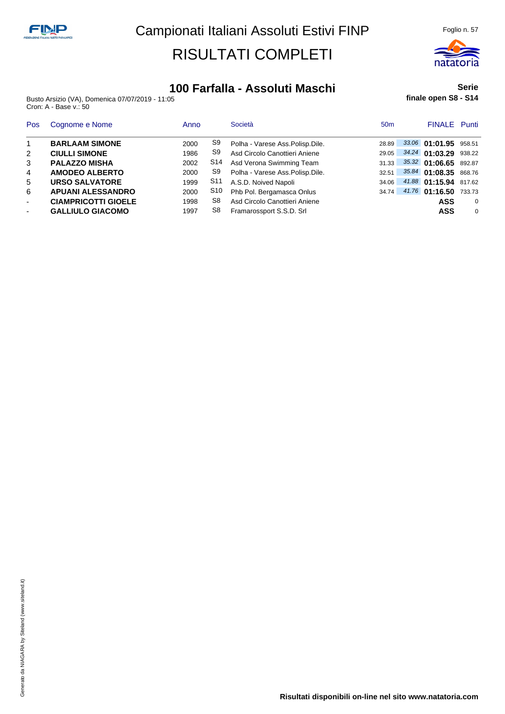

#### **100 Farfalla - Assoluti Maschi**

Busto Arsizio (VA), Domenica 07/07/2019 - 11:05 Cron: A - Base v.: 50

#### **Serie finale open S8 - S14**

| Pos                      | Cognome e Nome             | Anno |            | Società                           | 50 <sub>m</sub> | <b>FINALE</b> Punti   |          |
|--------------------------|----------------------------|------|------------|-----------------------------------|-----------------|-----------------------|----------|
|                          | <b>BARLAAM SIMONE</b>      | 2000 | S9         | Polha - Varese Ass. Polisp. Dile. | 28.89           | 33.06 01:01.95 958.51 |          |
| 2                        | <b>CIULLI SIMONE</b>       | 1986 | S9         | Asd Circolo Canottieri Aniene     | 29.05           | 34.24 01:03.29        | 938.22   |
| 3                        | <b>PALAZZO MISHA</b>       | 2002 | S14        | Asd Verona Swimming Team          | 31.33           | 35.32 01:06.65        | 892.87   |
| $\overline{4}$           | <b>AMODEO ALBERTO</b>      | 2000 | S9         | Polha - Varese Ass.Polisp.Dile.   | 32.51           | $35.84$ 01:08.35      | 868.76   |
| 5                        | <b>URSO SALVATORE</b>      | 1999 | <b>S11</b> | A.S.D. Noived Napoli              | 34.06           | 41.88 01:15.94        | 817.62   |
| 6                        | <b>APUANI ALESSANDRO</b>   | 2000 | S10        | Phb Pol. Bergamasca Onlus         | 34.74           | 41.76 01:16.50        | 733.73   |
| $\overline{\phantom{a}}$ | <b>CIAMPRICOTTI GIOELE</b> | 1998 | S8         | Asd Circolo Canottieri Aniene     |                 | ASS                   | $\Omega$ |
| $\overline{\phantom{a}}$ | <b>GALLIULO GIACOMO</b>    | 1997 | S8         | Framarossport S.S.D. Srl          |                 | <b>ASS</b>            | $\Omega$ |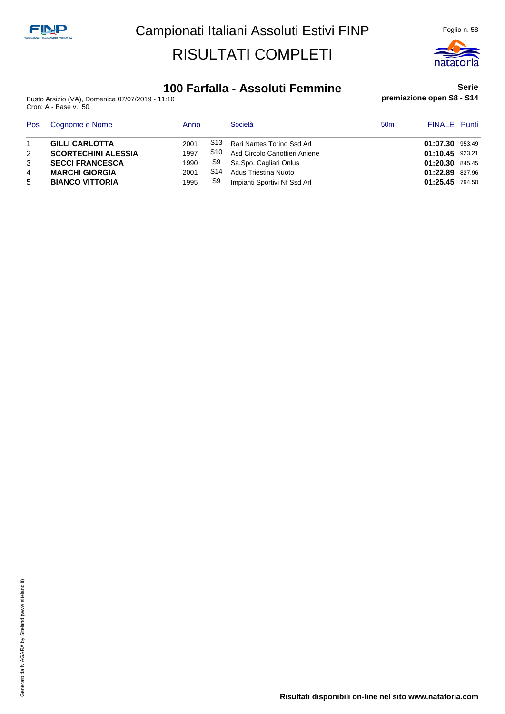

### **100 Farfalla - Assoluti Femmine**

Busto Arsizio (VA), Domenica 07/07/2019 - 11:10 Cron: A - Base v.: 50

#### **Serie premiazione open S8 - S14**

| <b>Pos</b> | Cognome e Nome             | Anno |                 | Società                       | 50 <sub>m</sub> | <b>FINALE</b> Punti |  |
|------------|----------------------------|------|-----------------|-------------------------------|-----------------|---------------------|--|
|            | <b>GILLI CARLOTTA</b>      | 2001 | S <sub>13</sub> | Rari Nantes Torino Ssd Arl    |                 | 01:07.30 953.49     |  |
|            | <b>SCORTECHINI ALESSIA</b> | 1997 | S10             | Asd Circolo Canottieri Aniene |                 | 01:10.45 923.21     |  |
|            | <b>SECCI FRANCESCA</b>     | 1990 | S9              | Sa.Spo. Cagliari Onlus        |                 | 01:20.30 845.45     |  |
| 4          | <b>MARCHI GIORGIA</b>      | 2001 | S14             | Adus Triestina Nuoto          |                 | 01:22.89 827.96     |  |
| 5          | <b>BIANCO VITTORIA</b>     | 1995 | S9              | Impianti Sportivi Nf Ssd Arl  |                 | 01:25.45 794.50     |  |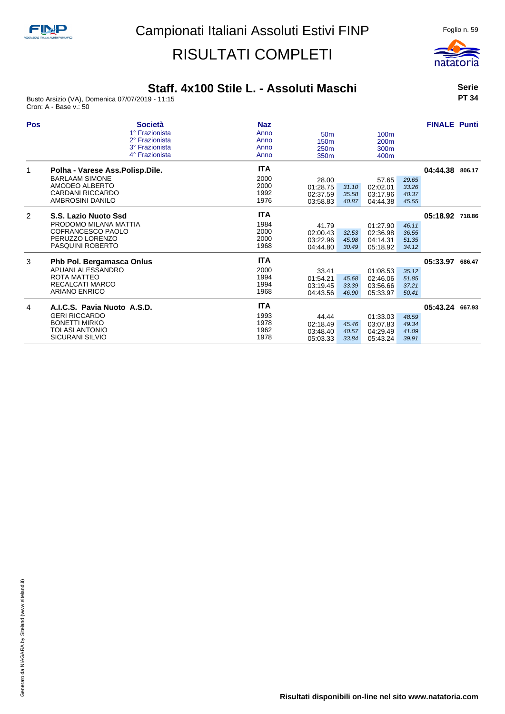

### **Staff. 4x100 Stile L. - Assoluti Maschi**

Busto Arsizio (VA), Domenica 07/07/2019 - 11:15 Cron: A - Base v.: 50

**Serie PT 34**

| <b>Pos</b> | <b>Società</b>                  | <b>Naz</b> |                  |       |                  |       | <b>FINALE Punti</b> |  |
|------------|---------------------------------|------------|------------------|-------|------------------|-------|---------------------|--|
|            | 1° Frazionista                  | Anno       | 50 <sub>m</sub>  |       | 100 <sub>m</sub> |       |                     |  |
|            | 2° Frazionista                  | Anno       | 150 <sub>m</sub> |       | 200 <sub>m</sub> |       |                     |  |
|            | 3° Frazionista                  | Anno       | 250 <sub>m</sub> |       | 300 <sub>m</sub> |       |                     |  |
|            | 4° Frazionista                  | Anno       | 350 <sub>m</sub> |       | 400m             |       |                     |  |
| 1          | Polha - Varese Ass.Polisp.Dile. | <b>ITA</b> |                  |       |                  |       | 04:44.38 806.17     |  |
|            | <b>BARLAAM SIMONE</b>           | 2000       | 28.00            |       | 57.65            | 29.65 |                     |  |
|            | AMODEO ALBERTO                  | 2000       | 01:28.75         | 31.10 | 02:02.01         | 33.26 |                     |  |
|            | CARDANI RICCARDO                | 1992       | 02:37.59         | 35.58 | 03:17.96         | 40.37 |                     |  |
|            | AMBROSINI DANILO                | 1976       | 03:58.83         | 40.87 | 04:44.38         | 45.55 |                     |  |
| 2          | S.S. Lazio Nuoto Ssd            | <b>ITA</b> |                  |       |                  |       | 05:18.92 718.86     |  |
|            | PRODOMO MILANA MATTIA           | 1984       | 41.79            |       | 01:27.90         | 46.11 |                     |  |
|            | COFRANCESCO PAOLO               | 2000       | 02:00.43         | 32.53 | 02:36.98         | 36.55 |                     |  |
|            | PERUZZO LORENZO                 | 2000       | 03:22.96         | 45.98 | 04:14.31         | 51.35 |                     |  |
|            | <b>PASQUINI ROBERTO</b>         | 1968       | 04:44.80         | 30.49 | 05:18.92         | 34.12 |                     |  |
| 3          | Phb Pol. Bergamasca Onlus       | <b>ITA</b> |                  |       |                  |       | 05:33.97 686.47     |  |
|            | APUANI ALESSANDRO               | 2000       | 33.41            |       | 01:08.53         | 35.12 |                     |  |
|            | ROTA MATTEO                     | 1994       | 01:54.21         | 45.68 | 02:46.06         | 51.85 |                     |  |
|            | <b>RECALCATI MARCO</b>          | 1994       | 03:19.45         | 33.39 | 03:56.66         | 37.21 |                     |  |
|            | <b>ARIANO ENRICO</b>            | 1968       | 04:43.56         | 46.90 | 05:33.97         | 50.41 |                     |  |
|            |                                 |            |                  |       |                  |       |                     |  |
| 4          | A.I.C.S. Pavia Nuoto A.S.D.     | <b>ITA</b> |                  |       |                  |       | 05:43.24 667.93     |  |
|            | <b>GERI RICCARDO</b>            | 1993       | 44.44            |       | 01:33.03         | 48.59 |                     |  |
|            | <b>BONETTI MIRKO</b>            | 1978       | 02:18.49         | 45.46 | 03:07.83         | 49.34 |                     |  |
|            | <b>TOLASI ANTONIO</b>           | 1962       | 03:48.40         | 40.57 | 04:29.49         | 41.09 |                     |  |
|            | <b>SICURANI SILVIO</b>          | 1978       | 05:03.33         | 33.84 | 05:43.24         | 39.91 |                     |  |